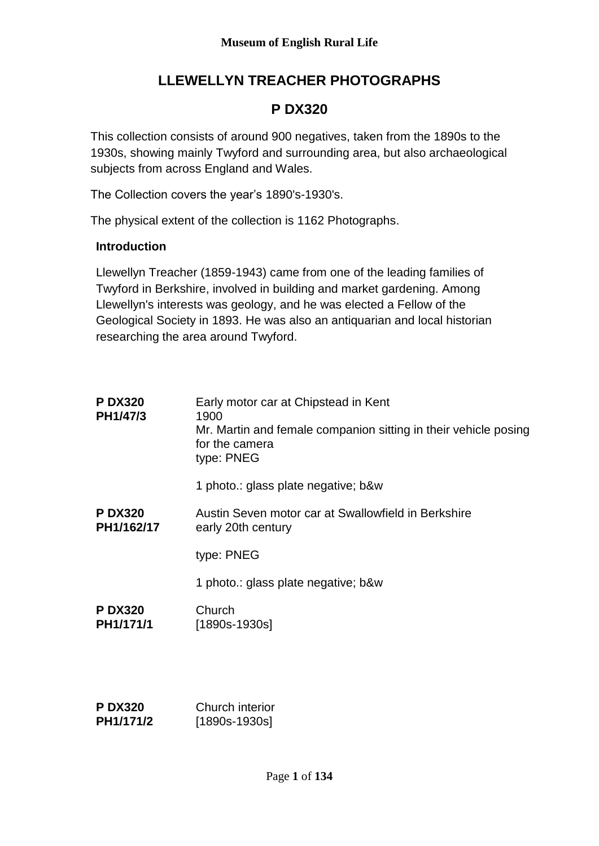## **LLEWELLYN TREACHER PHOTOGRAPHS**

## **P DX320**

This collection consists of around 900 negatives, taken from the 1890s to the 1930s, showing mainly Twyford and surrounding area, but also archaeological subjects from across England and Wales.

The Collection covers the year's 1890's-1930's.

The physical extent of the collection is 1162 Photographs.

## **Introduction**

Llewellyn Treacher (1859-1943) came from one of the leading families of Twyford in Berkshire, involved in building and market gardening. Among Llewellyn's interests was geology, and he was elected a Fellow of the Geological Society in 1893. He was also an antiquarian and local historian researching the area around Twyford.

| <b>P DX320</b><br>PH1/47/3  | Early motor car at Chipstead in Kent<br>1900<br>Mr. Martin and female companion sitting in their vehicle posing<br>for the camera<br>type: PNEG |
|-----------------------------|-------------------------------------------------------------------------------------------------------------------------------------------------|
|                             | 1 photo.: glass plate negative; b&w                                                                                                             |
| <b>PDX320</b><br>PH1/162/17 | Austin Seven motor car at Swallowfield in Berkshire<br>early 20th century                                                                       |
|                             | type: PNEG                                                                                                                                      |
|                             | 1 photo.: glass plate negative; b&w                                                                                                             |
| <b>PDX320</b><br>PH1/171/1  | Church<br>[1890s-1930s]                                                                                                                         |
|                             |                                                                                                                                                 |

| <b>P DX320</b> | Church interior |
|----------------|-----------------|
| PH1/171/2      | [1890s-1930s]   |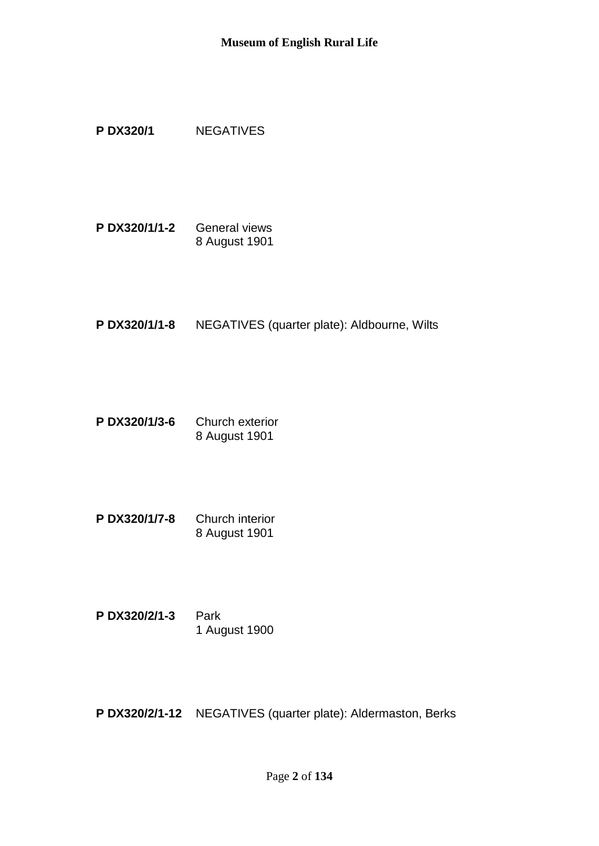## **P DX320/1** NEGATIVES

**P DX320/1/1-2** General views 8 August 1901

**P DX320/1/1-8** NEGATIVES (quarter plate): Aldbourne, Wilts

- **P DX320/1/3-6** Church exterior 8 August 1901
- **P DX320/1/7-8** Church interior 8 August 1901
- **P DX320/2/1-3** Park 1 August 1900

**P DX320/2/1-12** NEGATIVES (quarter plate): Aldermaston, Berks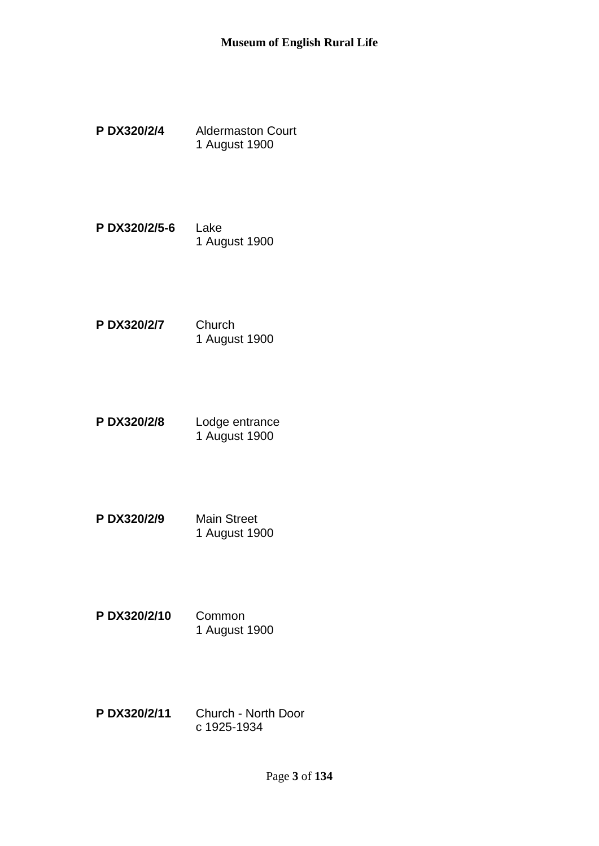- **P DX320/2/4** Aldermaston Court 1 August 1900
- **P DX320/2/5-6** Lake 1 August 1900
- **P DX320/2/7** Church 1 August 1900
- **P DX320/2/8** Lodge entrance 1 August 1900
- **P DX320/2/9** Main Street 1 August 1900
- **P DX320/2/10** Common 1 August 1900
- **P DX320/2/11** Church North Door c 1925-1934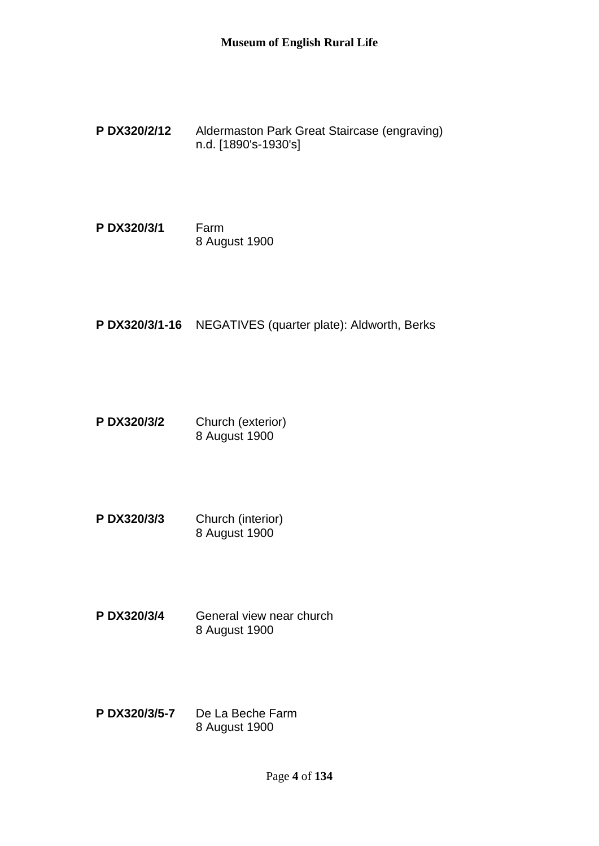- **P DX320/2/12** Aldermaston Park Great Staircase (engraving) n.d. [1890's-1930's]
- **P DX320/3/1** Farm 8 August 1900
- **P DX320/3/1-16** NEGATIVES (quarter plate): Aldworth, Berks
- **P DX320/3/2** Church (exterior) 8 August 1900
- **P DX320/3/3** Church (interior) 8 August 1900
- **P DX320/3/4** General view near church 8 August 1900
- **P DX320/3/5-7** De La Beche Farm 8 August 1900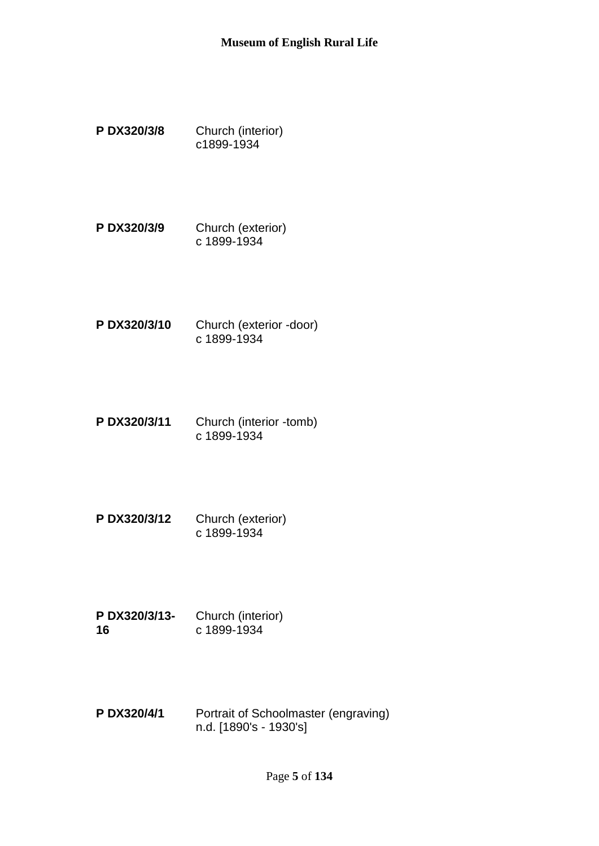- **P DX320/3/8** Church (interior) c1899-1934
- **P DX320/3/9** Church (exterior) c 1899-1934
- **P DX320/3/10** Church (exterior -door) c 1899-1934
- **P DX320/3/11** Church (interior -tomb) c 1899-1934
- **P DX320/3/12** Church (exterior) c 1899-1934
- **P DX320/3/13- 16** Church (interior) c 1899-1934
- **P DX320/4/1** Portrait of Schoolmaster (engraving) n.d. [1890's - 1930's]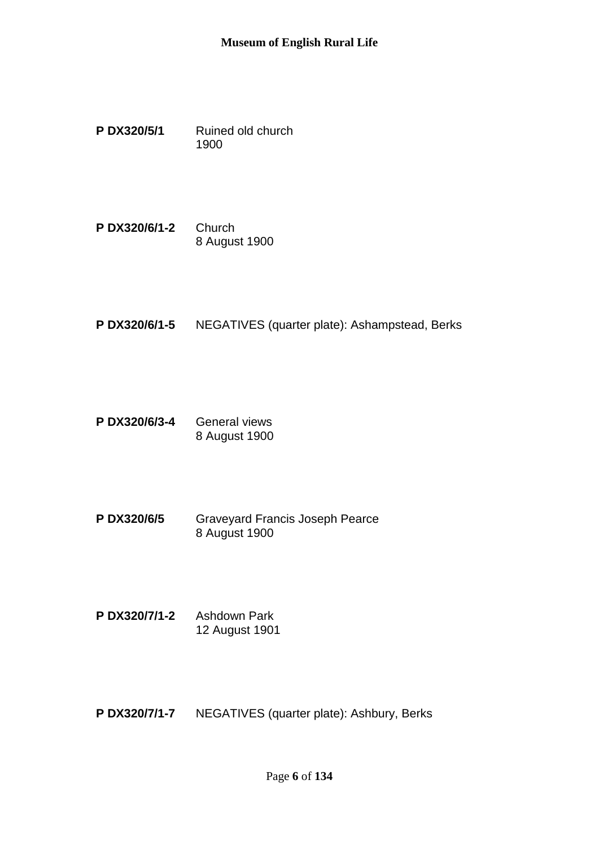- **P DX320/5/1** Ruined old church 1900
- **P DX320/6/1-2** Church 8 August 1900
- **P DX320/6/1-5** NEGATIVES (quarter plate): Ashampstead, Berks
- **P DX320/6/3-4** General views 8 August 1900
- **P DX320/6/5** Graveyard Francis Joseph Pearce 8 August 1900
- **P DX320/7/1-2** Ashdown Park 12 August 1901
- **P DX320/7/1-7** NEGATIVES (quarter plate): Ashbury, Berks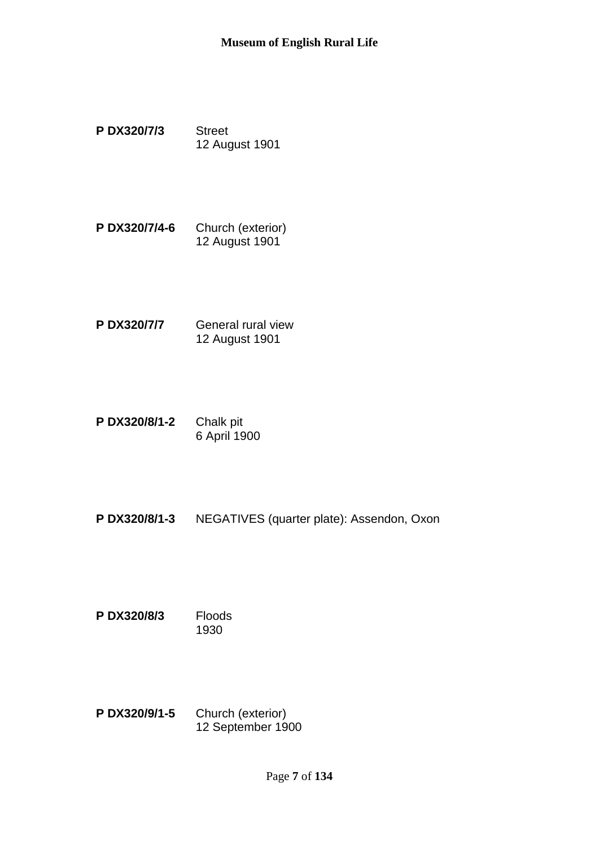- **P DX320/7/3** Street 12 August 1901
- **P DX320/7/4-6** Church (exterior) 12 August 1901
- **P DX320/7/7** General rural view 12 August 1901
- **P DX320/8/1-2** Chalk pit 6 April 1900
- **P DX320/8/1-3** NEGATIVES (quarter plate): Assendon, Oxon
- **P DX320/8/3** Floods 1930
- **P DX320/9/1-5** Church (exterior) 12 September 1900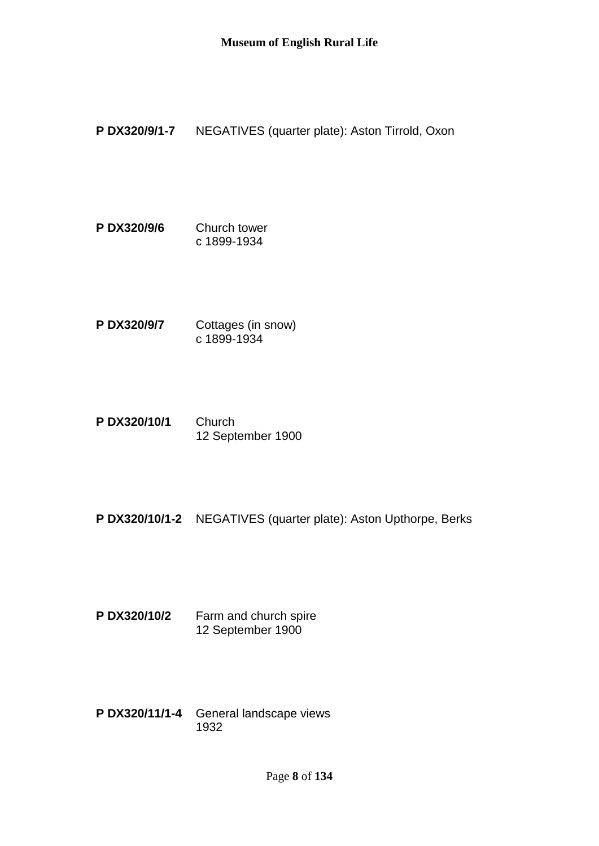**P DX320/9/1-7** NEGATIVES (quarter plate): Aston Tirrold, Oxon

- **P DX320/9/6** Church tower c 1899-1934
- **P DX320/9/7** Cottages (in snow) c 1899-1934
- **P DX320/10/1** Church 12 September 1900
- **P DX320/10/1-2** NEGATIVES (quarter plate): Aston Upthorpe, Berks
- **P DX320/10/2** Farm and church spire 12 September 1900
- **P DX320/11/1-4** General landscape views 1932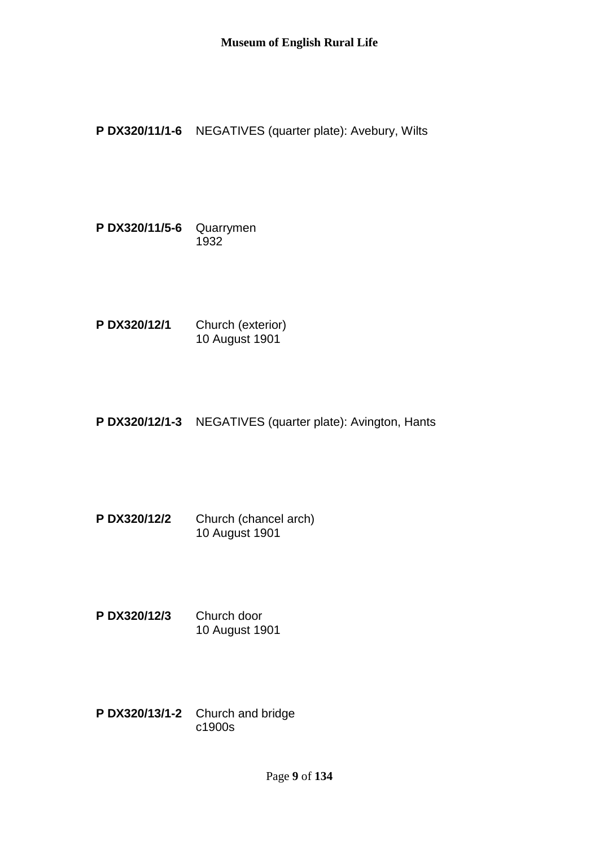**P DX320/11/1-6** NEGATIVES (quarter plate): Avebury, Wilts

**P DX320/11/5-6** Quarrymen 1932

**P DX320/12/1** Church (exterior) 10 August 1901

**P DX320/12/1-3** NEGATIVES (quarter plate): Avington, Hants

**P DX320/12/2** Church (chancel arch) 10 August 1901

- **P DX320/12/3** Church door 10 August 1901
- **P DX320/13/1-2** Church and bridge c1900s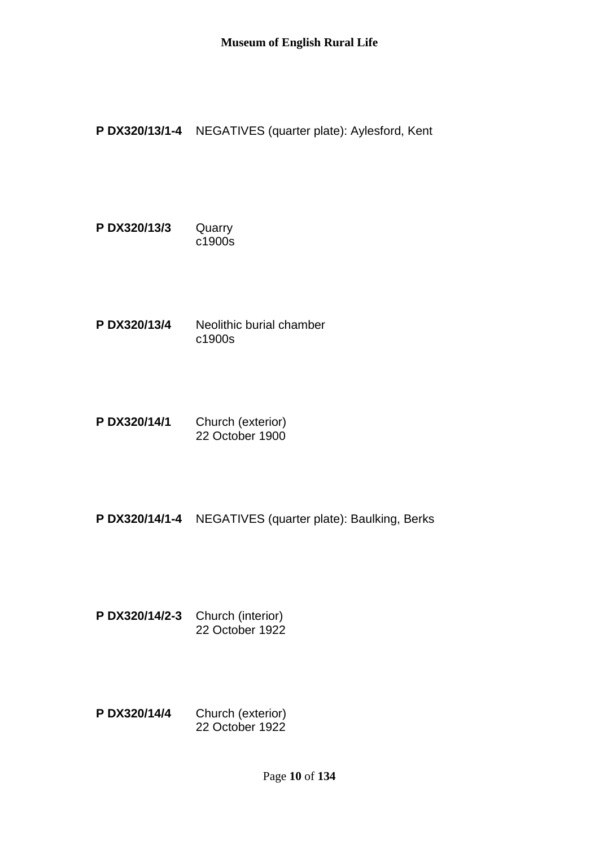**P DX320/13/1-4** NEGATIVES (quarter plate): Aylesford, Kent

- **P DX320/13/3** Quarry c1900s
- **P DX320/13/4** Neolithic burial chamber c1900s
- **P DX320/14/1** Church (exterior) 22 October 1900
- **P DX320/14/1-4** NEGATIVES (quarter plate): Baulking, Berks
- **P DX320/14/2-3** Church (interior) 22 October 1922
- **P DX320/14/4** Church (exterior) 22 October 1922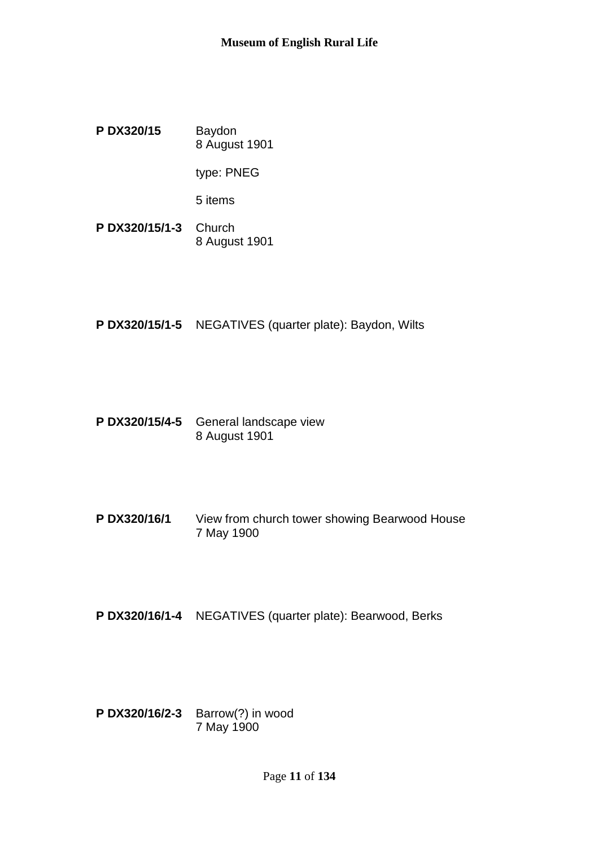**P DX320/15** Baydon 8 August 1901

type: PNEG

5 items

- **P DX320/15/1-3** Church 8 August 1901
- **P DX320/15/1-5** NEGATIVES (quarter plate): Baydon, Wilts
- **P DX320/15/4-5** General landscape view 8 August 1901
- **P DX320/16/1** View from church tower showing Bearwood House 7 May 1900
- **P DX320/16/1-4** NEGATIVES (quarter plate): Bearwood, Berks
- **P DX320/16/2-3** Barrow(?) in wood 7 May 1900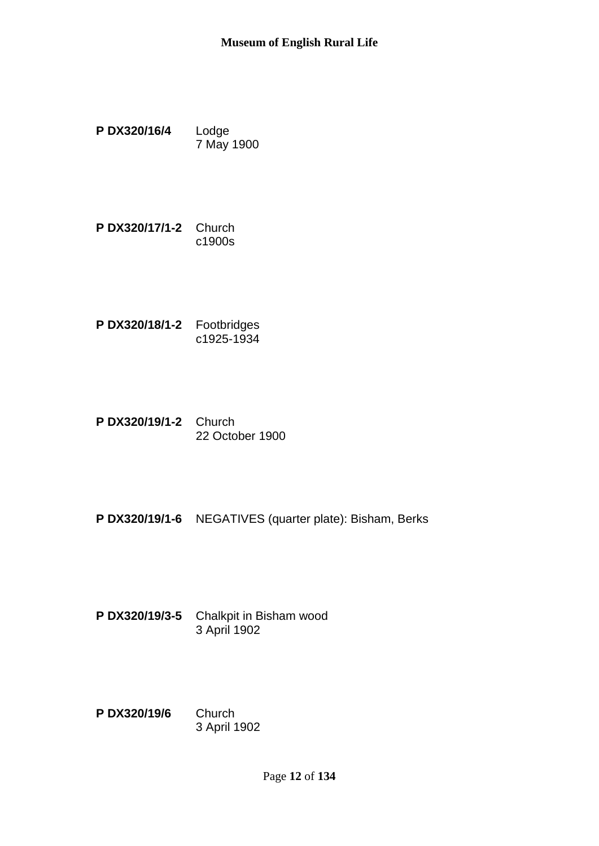- **P DX320/16/4** Lodge 7 May 1900
- **P DX320/17/1-2** Church c1900s
- **P DX320/18/1-2** Footbridges c1925-1934
- **P DX320/19/1-2** Church 22 October 1900
- **P DX320/19/1-6** NEGATIVES (quarter plate): Bisham, Berks
- **P DX320/19/3-5** Chalkpit in Bisham wood 3 April 1902
- **P DX320/19/6** Church 3 April 1902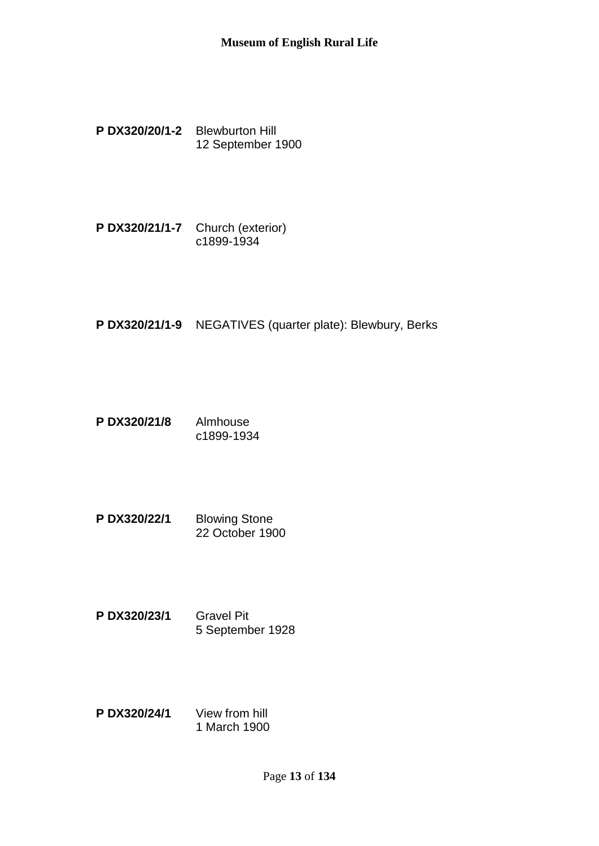- **P DX320/20/1-2** Blewburton Hill 12 September 1900
- **P DX320/21/1-7** Church (exterior) c1899-1934
- **P DX320/21/1-9** NEGATIVES (quarter plate): Blewbury, Berks
- **P DX320/21/8** Almhouse c1899-1934
- **P DX320/22/1** Blowing Stone 22 October 1900
- **P DX320/23/1** Gravel Pit 5 September 1928
- **P DX320/24/1** View from hill 1 March 1900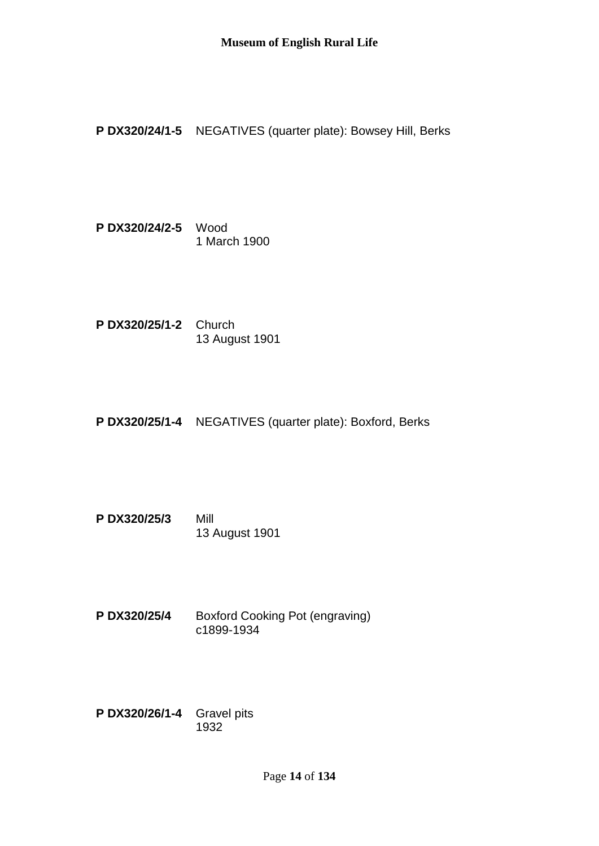**P DX320/24/1-5** NEGATIVES (quarter plate): Bowsey Hill, Berks

**P DX320/24/2-5** Wood 1 March 1900

**P DX320/25/1-2** Church 13 August 1901

**P DX320/25/1-4** NEGATIVES (quarter plate): Boxford, Berks

**P DX320/25/3** Mill 13 August 1901

**P DX320/25/4** Boxford Cooking Pot (engraving) c1899-1934

**P DX320/26/1-4** Gravel pits 1932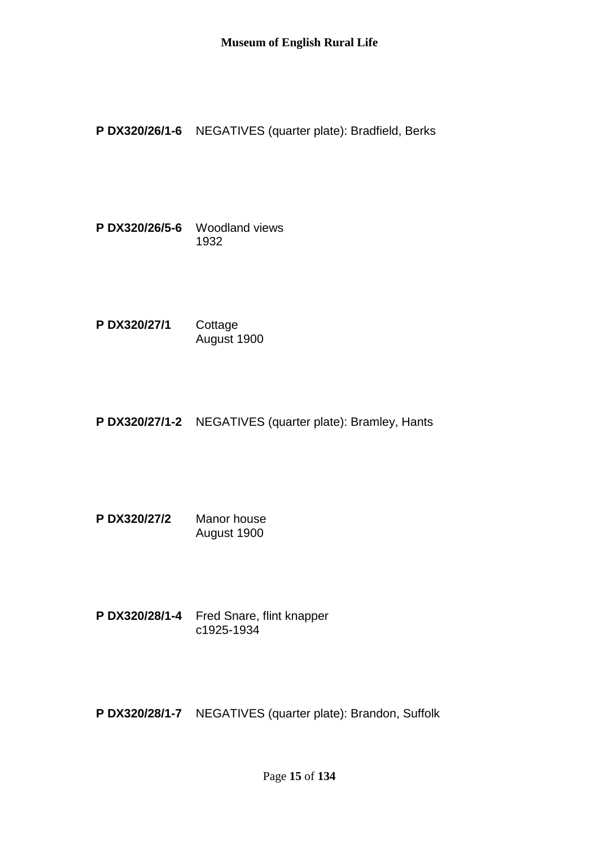**P DX320/26/1-6** NEGATIVES (quarter plate): Bradfield, Berks

**P DX320/26/5-6** Woodland views 1932

**P DX320/27/1** Cottage August 1900

**P DX320/27/1-2** NEGATIVES (quarter plate): Bramley, Hants

**P DX320/27/2** Manor house August 1900

**P DX320/28/1-4** Fred Snare, flint knapper c1925-1934

**P DX320/28/1-7** NEGATIVES (quarter plate): Brandon, Suffolk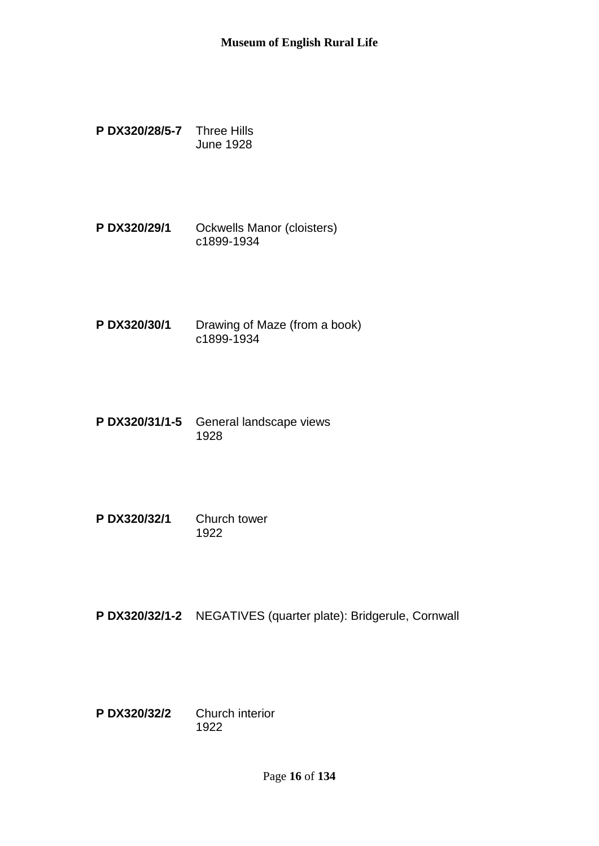- **P DX320/28/5-7** Three Hills June 1928
- **P DX320/29/1** Ockwells Manor (cloisters) c1899-1934
- **P DX320/30/1** Drawing of Maze (from a book) c1899-1934
- **P DX320/31/1-5** General landscape views 1928
- **P DX320/32/1** Church tower 1922
- **P DX320/32/1-2** NEGATIVES (quarter plate): Bridgerule, Cornwall
- **P DX320/32/2** Church interior 1922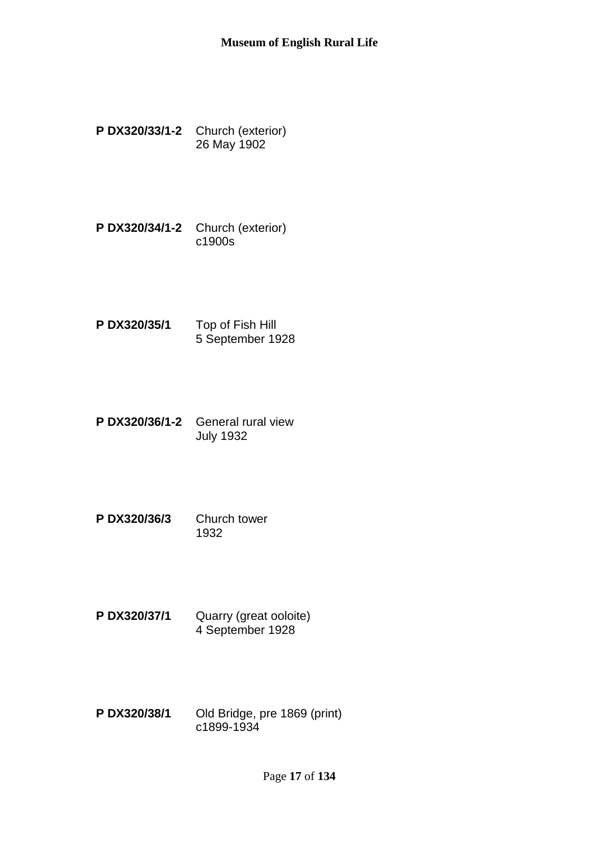- **P DX320/33/1-2** Church (exterior) 26 May 1902
- **P DX320/34/1-2** Church (exterior) c1900s
- **P DX320/35/1** Top of Fish Hill 5 September 1928
- **P DX320/36/1-2** General rural view July 1932
- **P DX320/36/3** Church tower 1932
- **P DX320/37/1** Quarry (great ooloite) 4 September 1928
- **P DX320/38/1** Old Bridge, pre 1869 (print) c1899-1934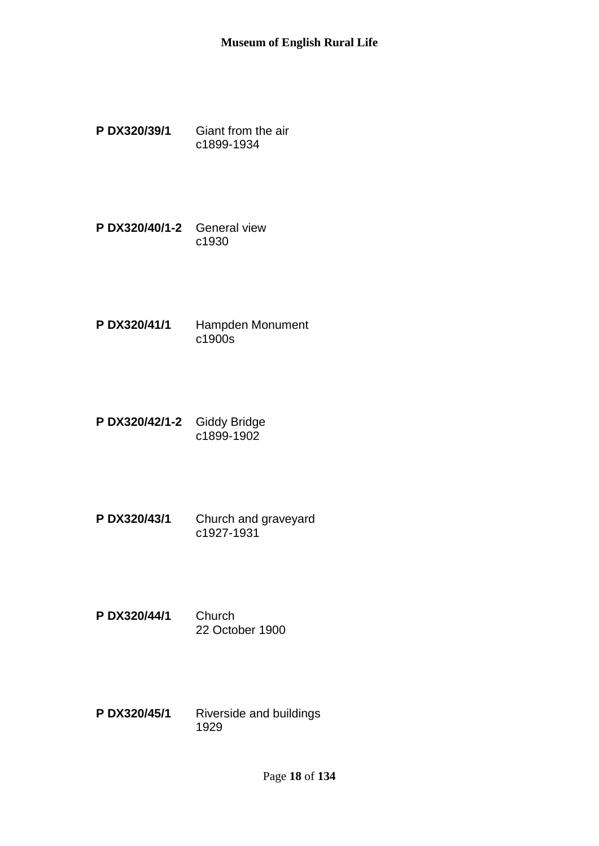- **P DX320/39/1** Giant from the air c1899-1934
- **P DX320/40/1-2** General view c1930
- **P DX320/41/1** Hampden Monument c1900s
- **P DX320/42/1-2** Giddy Bridge c1899-1902
- **P DX320/43/1** Church and graveyard c1927-1931
- **P DX320/44/1** Church 22 October 1900
- **P DX320/45/1** Riverside and buildings 1929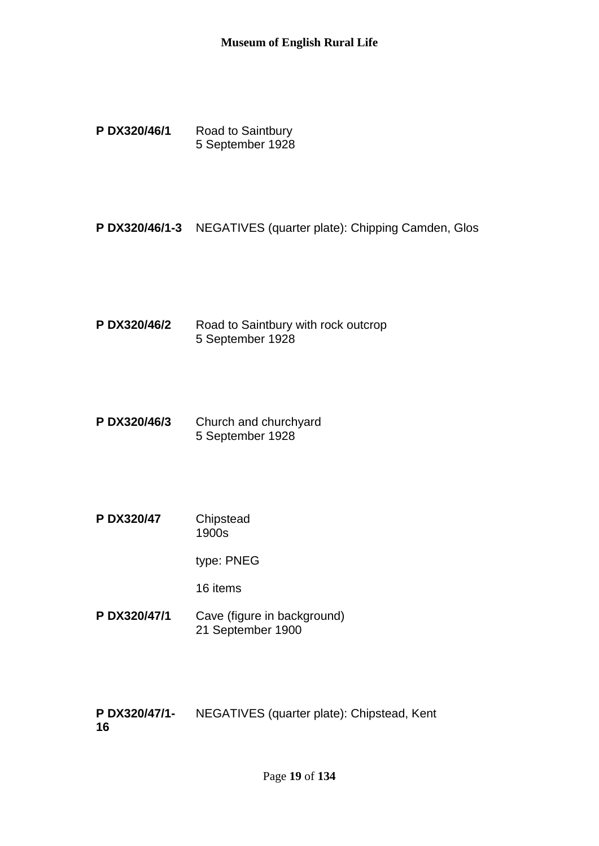- P DX320/46/1 Road to Saintbury 5 September 1928
- **P DX320/46/1-3** NEGATIVES (quarter plate): Chipping Camden, Glos
- **P DX320/46/2** Road to Saintbury with rock outcrop 5 September 1928
- **P DX320/46/3** Church and churchyard 5 September 1928
- **P DX320/47** Chipstead 1900s

type: PNEG

16 items

**P DX320/47/1** Cave (figure in background) 21 September 1900

**P DX320/47/1- 16** NEGATIVES (quarter plate): Chipstead, Kent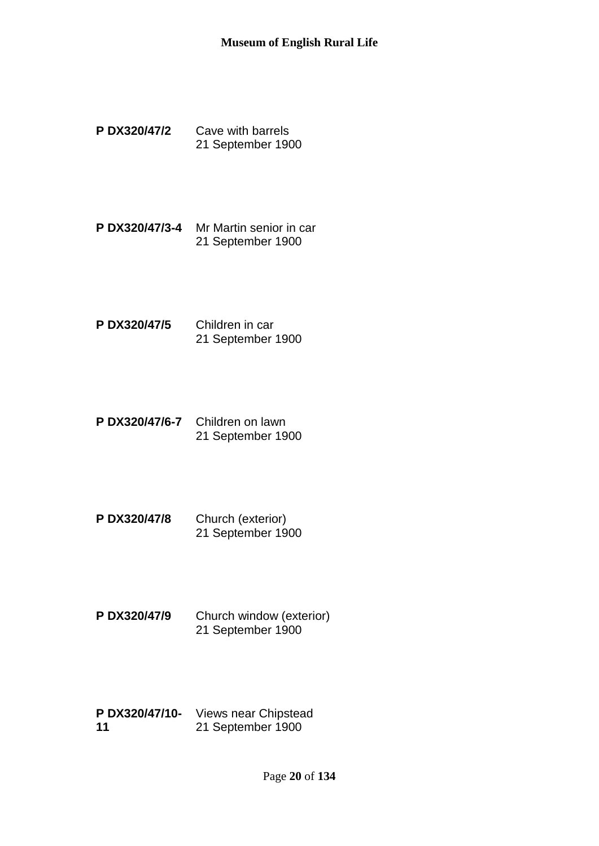- **P DX320/47/2** Cave with barrels 21 September 1900
- **P DX320/47/3-4** Mr Martin senior in car 21 September 1900
- **P DX320/47/5** Children in car 21 September 1900
- **P DX320/47/6-7** Children on lawn 21 September 1900
- **P DX320/47/8** Church (exterior) 21 September 1900
- **P DX320/47/9** Church window (exterior) 21 September 1900
- **P DX320/47/10-** Views near Chipstead **11** 21 September 1900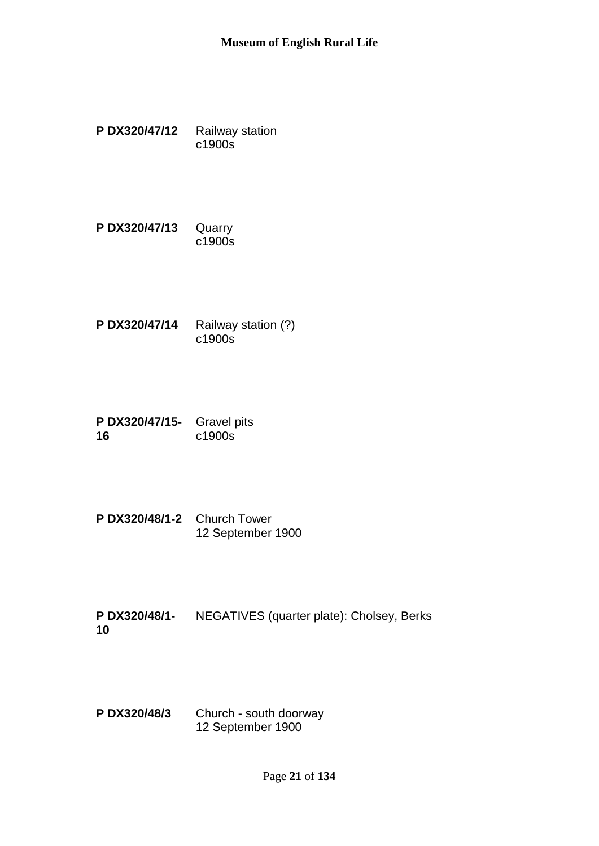- **P DX320/47/12** Railway station c1900s
- **P DX320/47/13** Quarry c1900s
- **P DX320/47/14** Railway station (?) c1900s
- **P DX320/47/15-** Gravel pits **16** c1900s
- **P DX320/48/1-2** Church Tower 12 September 1900
- **P DX320/48/1- 10** NEGATIVES (quarter plate): Cholsey, Berks
- **P DX320/48/3** Church south doorway 12 September 1900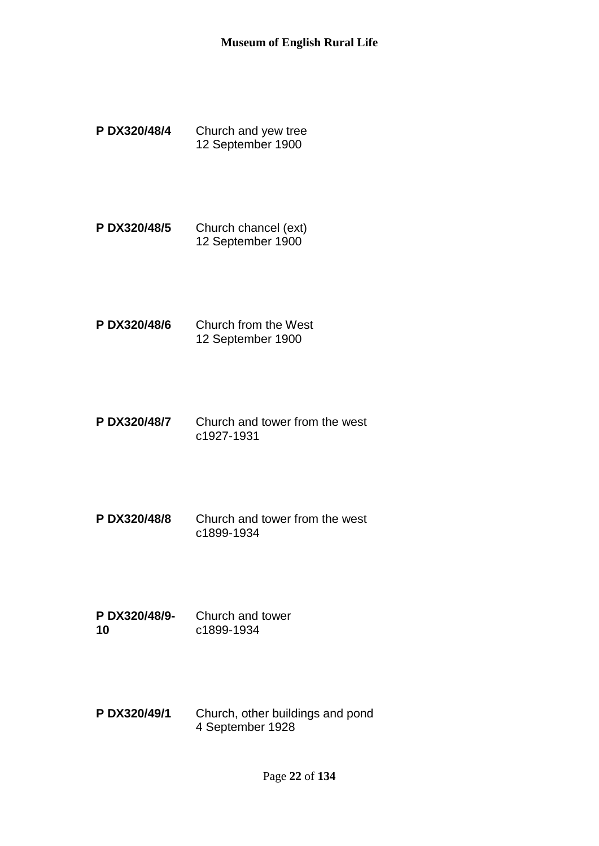- **P DX320/48/4** Church and yew tree 12 September 1900
- **P DX320/48/5** Church chancel (ext) 12 September 1900
- **P DX320/48/6** Church from the West 12 September 1900
- **P DX320/48/7** Church and tower from the west c1927-1931
- **P DX320/48/8** Church and tower from the west c1899-1934
- **P DX320/48/9- 10** Church and tower c1899-1934
- **P DX320/49/1** Church, other buildings and pond 4 September 1928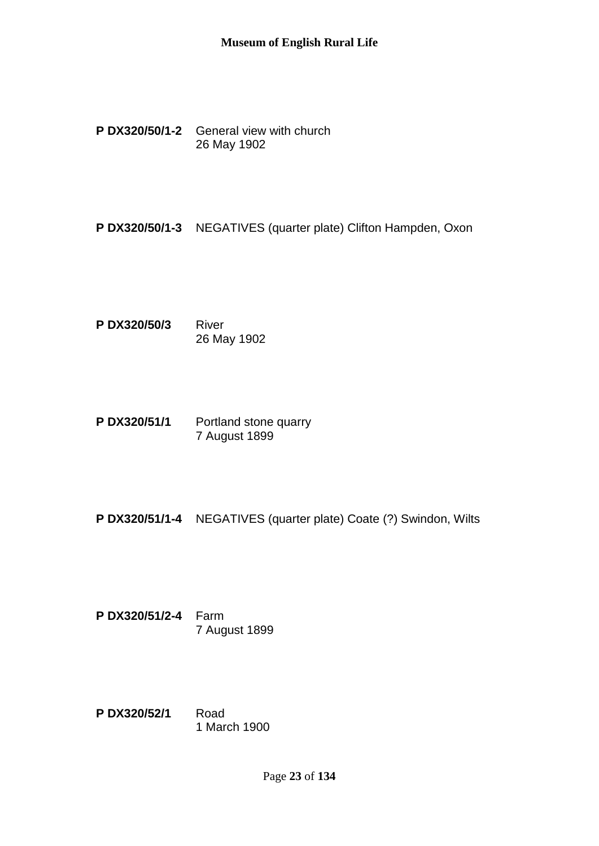**P DX320/50/1-2** General view with church 26 May 1902

**P DX320/50/1-3** NEGATIVES (quarter plate) Clifton Hampden, Oxon

**P DX320/50/3** River 26 May 1902

**P DX320/51/1** Portland stone quarry 7 August 1899

**P DX320/51/1-4** NEGATIVES (quarter plate) Coate (?) Swindon, Wilts

**P DX320/51/2-4** Farm 7 August 1899

**P DX320/52/1** Road 1 March 1900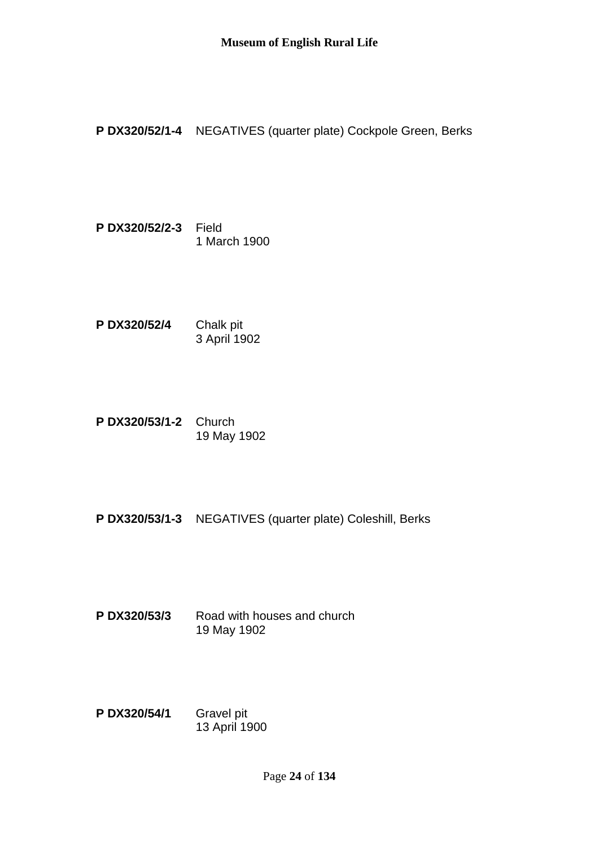**P DX320/52/1-4** NEGATIVES (quarter plate) Cockpole Green, Berks

- **P DX320/52/2-3** Field 1 March 1900
- **P DX320/52/4** Chalk pit 3 April 1902
- **P DX320/53/1-2** Church 19 May 1902
- **P DX320/53/1-3** NEGATIVES (quarter plate) Coleshill, Berks
- **P DX320/53/3** Road with houses and church 19 May 1902
- **P DX320/54/1** Gravel pit 13 April 1900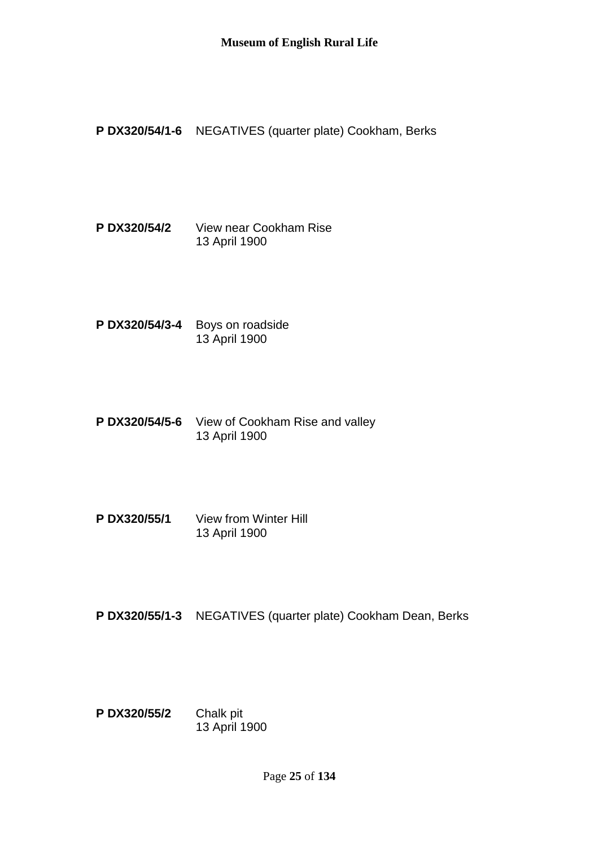**P DX320/54/1-6** NEGATIVES (quarter plate) Cookham, Berks

**P DX320/54/2** View near Cookham Rise 13 April 1900

- **P DX320/54/3-4** Boys on roadside 13 April 1900
- **P DX320/54/5-6** View of Cookham Rise and valley 13 April 1900
- **P DX320/55/1** View from Winter Hill 13 April 1900
- **P DX320/55/1-3** NEGATIVES (quarter plate) Cookham Dean, Berks
- **P DX320/55/2** Chalk pit 13 April 1900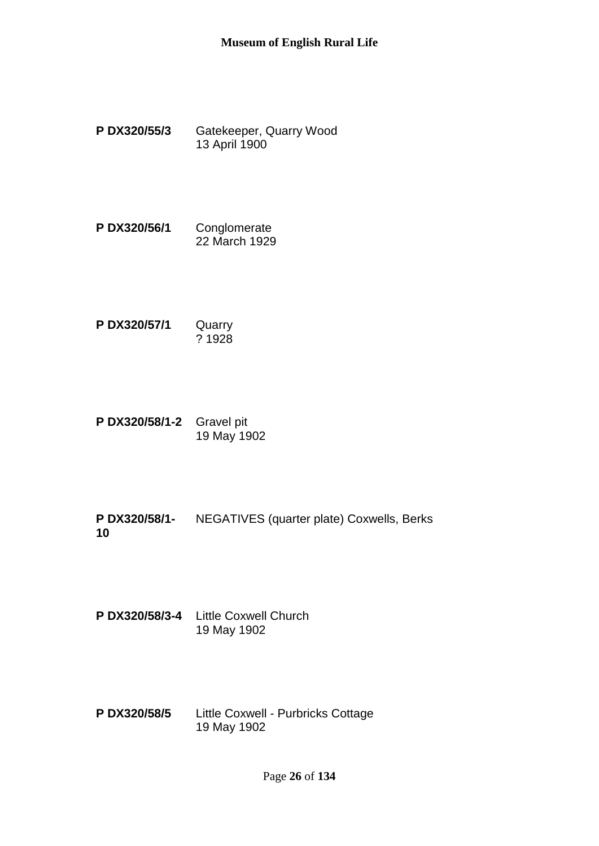- **P DX320/55/3** Gatekeeper, Quarry Wood 13 April 1900
- **P DX320/56/1** Conglomerate 22 March 1929
- **P DX320/57/1** Quarry ? 1928
- **P DX320/58/1-2** Gravel pit 19 May 1902

**P DX320/58/1- 10** NEGATIVES (quarter plate) Coxwells, Berks

**P DX320/58/3-4** Little Coxwell Church 19 May 1902

**P DX320/58/5** Little Coxwell - Purbricks Cottage 19 May 1902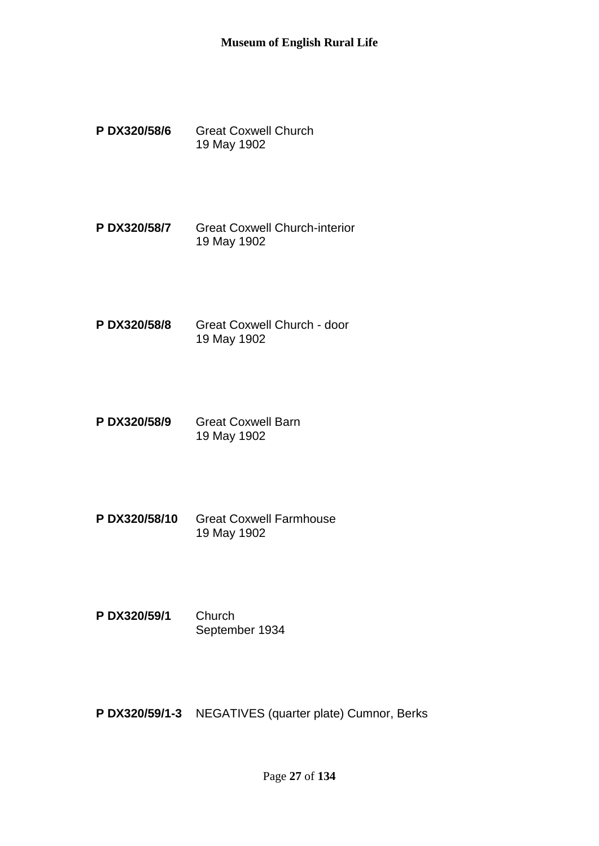- **P DX320/58/6** Great Coxwell Church 19 May 1902
- **P DX320/58/7** Great Coxwell Church-interior 19 May 1902
- **P DX320/58/8** Great Coxwell Church door 19 May 1902
- **P DX320/58/9** Great Coxwell Barn 19 May 1902
- **P DX320/58/10** Great Coxwell Farmhouse 19 May 1902
- **P DX320/59/1** Church September 1934

**P DX320/59/1-3** NEGATIVES (quarter plate) Cumnor, Berks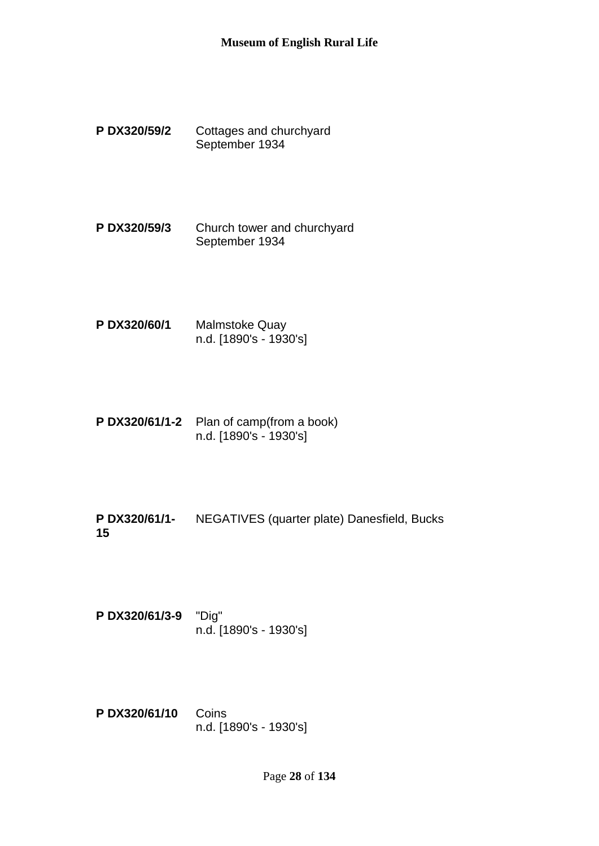- **P DX320/59/2** Cottages and churchyard September 1934
- **P DX320/59/3** Church tower and churchyard September 1934
- **P DX320/60/1** Malmstoke Quay n.d. [1890's - 1930's]
- **P DX320/61/1-2** Plan of camp(from a book) n.d. [1890's - 1930's]
- **P DX320/61/1- 15** NEGATIVES (quarter plate) Danesfield, Bucks
- **P DX320/61/3-9** "Dig" n.d. [1890's - 1930's]
- **P DX320/61/10** Coins n.d. [1890's - 1930's]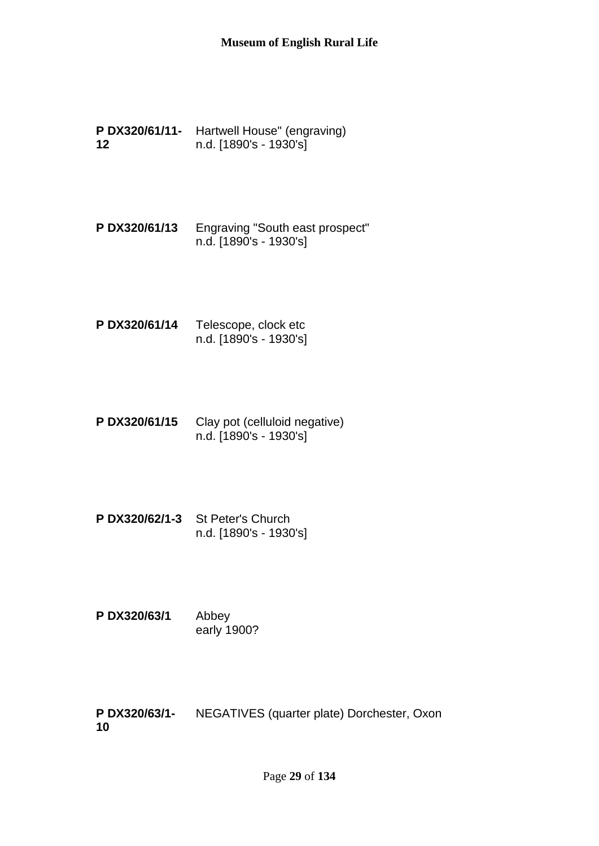- **P DX320/61/11-** Hartwell House" (engraving) **12** n.d. [1890's - 1930's]
- **P DX320/61/13** Engraving "South east prospect" n.d. [1890's - 1930's]
- **P DX320/61/14** Telescope, clock etc n.d. [1890's - 1930's]
- **P DX320/61/15** Clay pot (celluloid negative) n.d. [1890's - 1930's]
- **P DX320/62/1-3** St Peter's Church n.d. [1890's - 1930's]
- **P DX320/63/1** Abbey early 1900?

**P DX320/63/1- 10** NEGATIVES (quarter plate) Dorchester, Oxon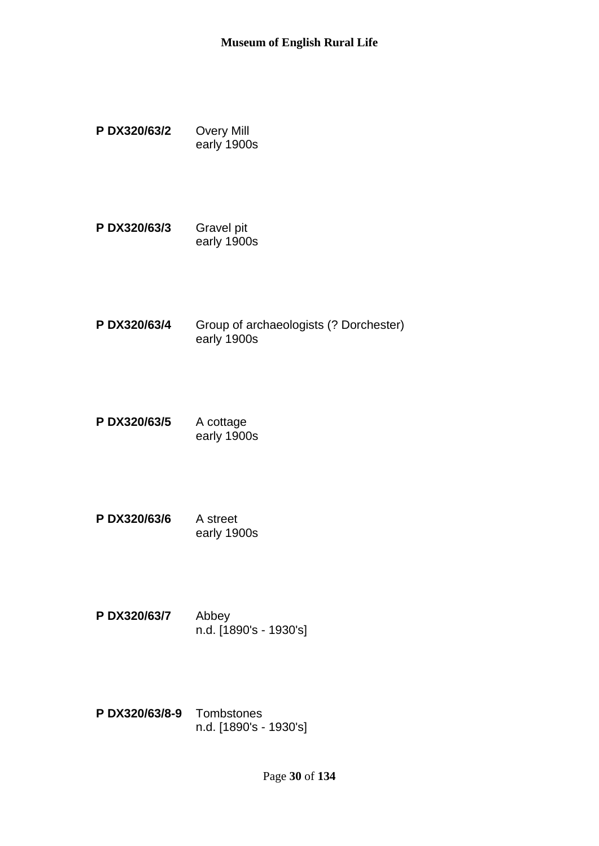- **P DX320/63/2** Overy Mill early 1900s
- **P DX320/63/3** Gravel pit early 1900s
- **P DX320/63/4** Group of archaeologists (? Dorchester) early 1900s
- **P DX320/63/5** A cottage early 1900s
- **P DX320/63/6** A street early 1900s
- **P DX320/63/7** Abbey n.d. [1890's - 1930's]
- **P DX320/63/8-9** Tombstones n.d. [1890's - 1930's]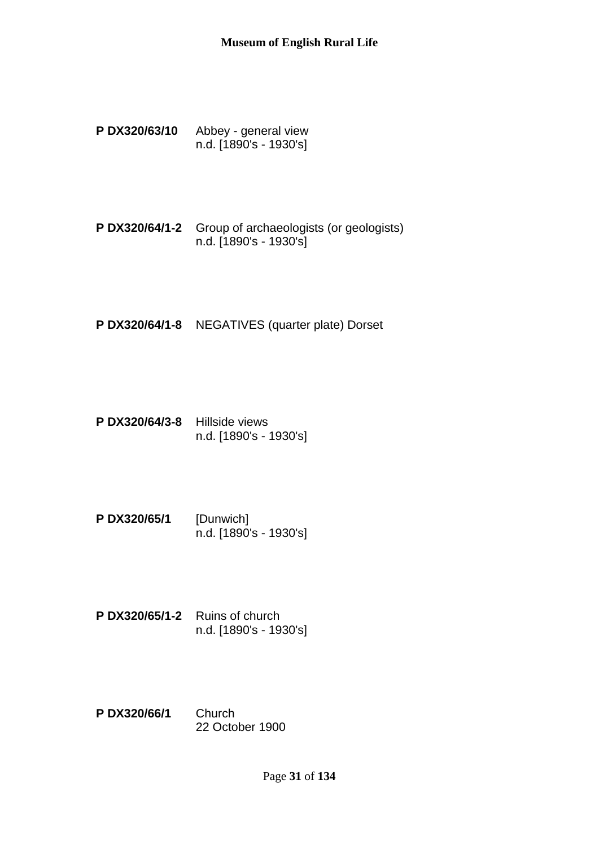- **P DX320/63/10** Abbey general view n.d. [1890's - 1930's]
- **P DX320/64/1-2** Group of archaeologists (or geologists) n.d. [1890's - 1930's]
- **P DX320/64/1-8** NEGATIVES (quarter plate) Dorset
- **P DX320/64/3-8** Hillside views n.d. [1890's - 1930's]
- **P DX320/65/1** [Dunwich] n.d. [1890's - 1930's]
- **P DX320/65/1-2** Ruins of church n.d. [1890's - 1930's]
- **P DX320/66/1** Church 22 October 1900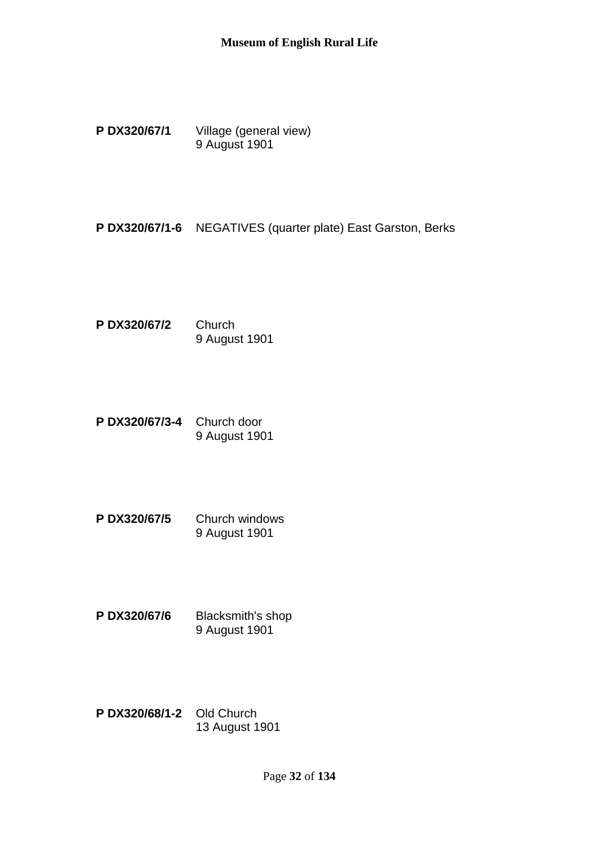**P DX320/67/1** Village (general view) 9 August 1901

**P DX320/67/1-6** NEGATIVES (quarter plate) East Garston, Berks

**P DX320/67/2** Church 9 August 1901

- **P DX320/67/3-4** Church door 9 August 1901
- **P DX320/67/5** Church windows 9 August 1901
- **P DX320/67/6** Blacksmith's shop 9 August 1901
- **P DX320/68/1-2** Old Church 13 August 1901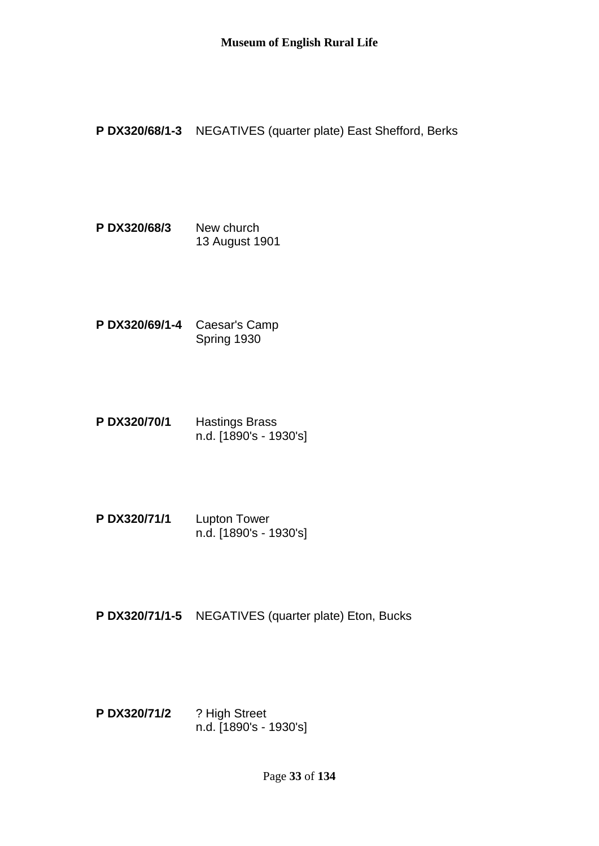**P DX320/68/1-3** NEGATIVES (quarter plate) East Shefford, Berks

- **P DX320/68/3** New church 13 August 1901
- **P DX320/69/1-4** Caesar's Camp Spring 1930
- **P DX320/70/1** Hastings Brass n.d. [1890's - 1930's]
- **P DX320/71/1** Lupton Tower n.d. [1890's - 1930's]
- **P DX320/71/1-5** NEGATIVES (quarter plate) Eton, Bucks
- **P DX320/71/2** ? High Street n.d. [1890's - 1930's]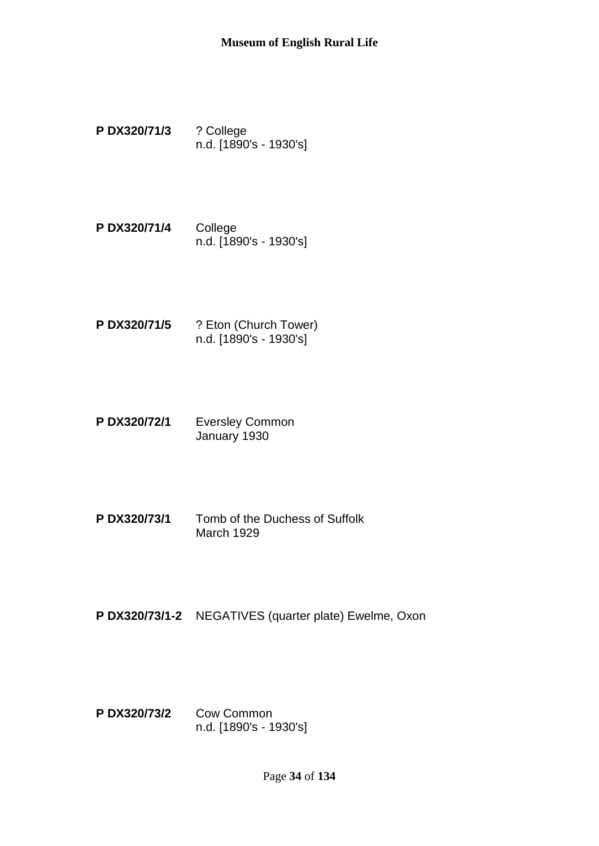- **P DX320/71/3** ? College n.d. [1890's - 1930's]
- **P DX320/71/4** College n.d. [1890's - 1930's]
- **P DX320/71/5** ? Eton (Church Tower) n.d. [1890's - 1930's]
- **P DX320/72/1** Eversley Common January 1930
- **P DX320/73/1** Tomb of the Duchess of Suffolk March 1929
- **P DX320/73/1-2** NEGATIVES (quarter plate) Ewelme, Oxon
- **P DX320/73/2** Cow Common n.d. [1890's - 1930's]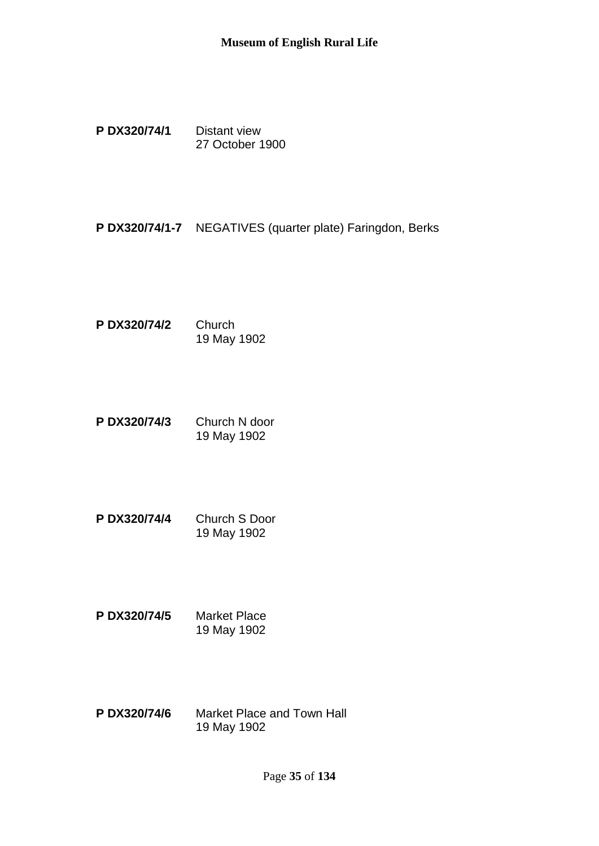**P DX320/74/1** Distant view 27 October 1900

**P DX320/74/1-7** NEGATIVES (quarter plate) Faringdon, Berks

- **P DX320/74/2** Church 19 May 1902
- **P DX320/74/3** Church N door 19 May 1902
- **P DX320/74/4** Church S Door 19 May 1902
- **P DX320/74/5** Market Place 19 May 1902
- **P DX320/74/6** Market Place and Town Hall 19 May 1902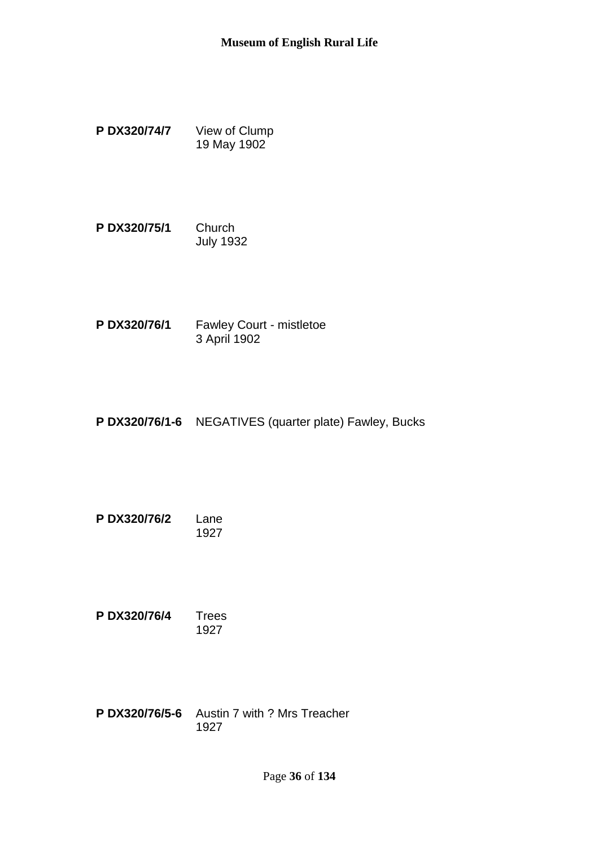- **P DX320/74/7** View of Clump 19 May 1902
- **P DX320/75/1** Church July 1932
- **P DX320/76/1** Fawley Court mistletoe 3 April 1902
- **P DX320/76/1-6** NEGATIVES (quarter plate) Fawley, Bucks
- **P DX320/76/2** Lane 1927

**P DX320/76/4** Trees 1927

**P DX320/76/5-6** Austin 7 with ? Mrs Treacher 1927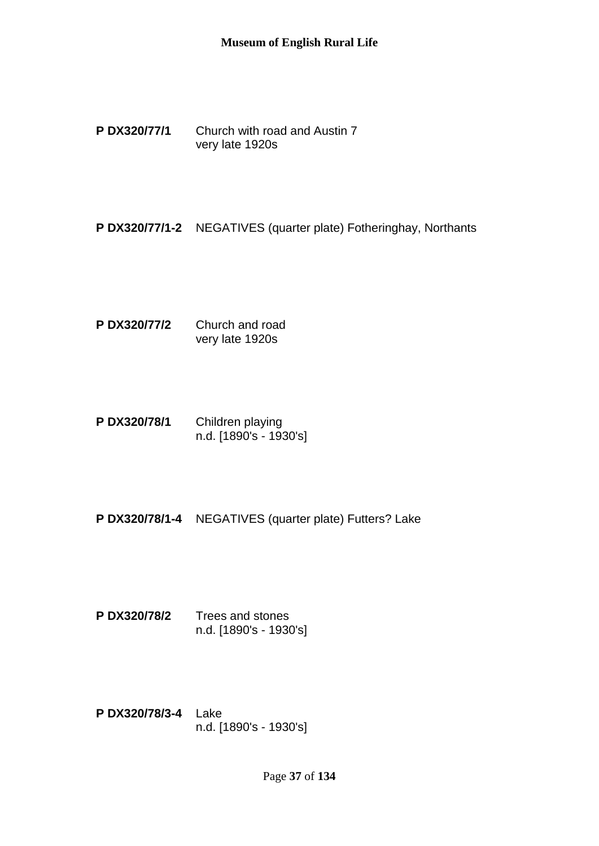**P DX320/77/1** Church with road and Austin 7 very late 1920s

**P DX320/77/1-2** NEGATIVES (quarter plate) Fotheringhay, Northants

- **P DX320/77/2** Church and road very late 1920s
- **P DX320/78/1** Children playing n.d. [1890's - 1930's]
- **P DX320/78/1-4** NEGATIVES (quarter plate) Futters? Lake
- **P DX320/78/2** Trees and stones n.d. [1890's - 1930's]
- **P DX320/78/3-4** Lake n.d. [1890's - 1930's]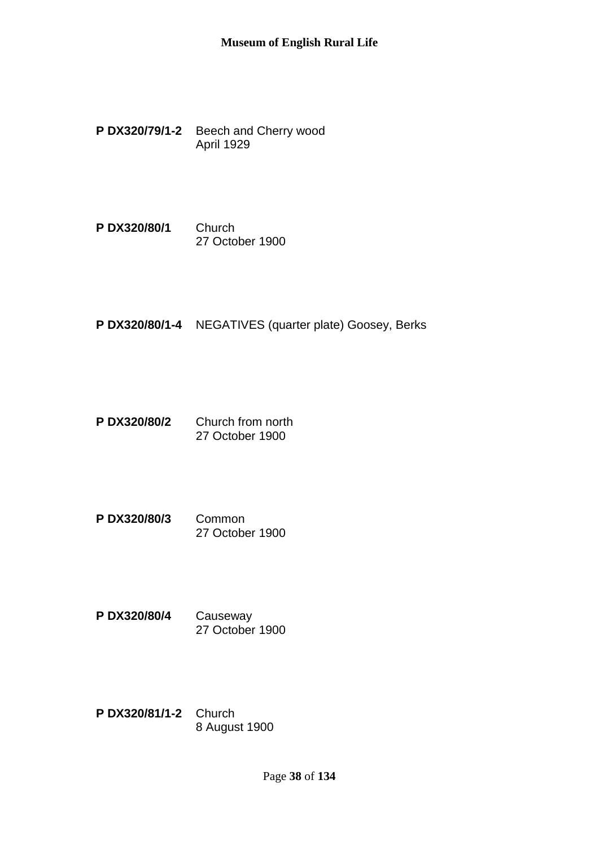- **P DX320/79/1-2** Beech and Cherry wood April 1929
- **P DX320/80/1** Church 27 October 1900
- **P DX320/80/1-4** NEGATIVES (quarter plate) Goosey, Berks
- **P DX320/80/2** Church from north 27 October 1900
- **P DX320/80/3** Common 27 October 1900
- **P DX320/80/4** Causeway 27 October 1900
- **P DX320/81/1-2** Church 8 August 1900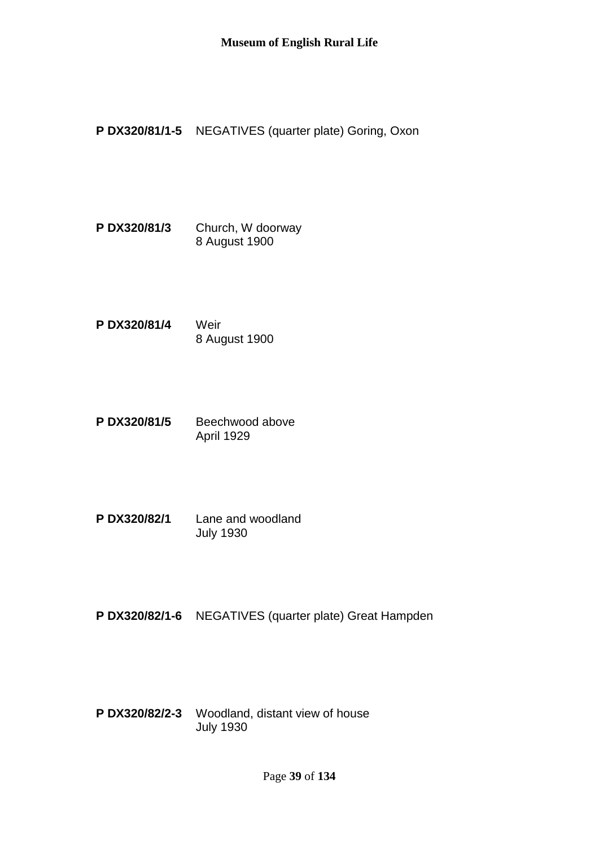**P DX320/81/1-5** NEGATIVES (quarter plate) Goring, Oxon

**P DX320/81/3** Church, W doorway 8 August 1900

- **P DX320/81/4** Weir 8 August 1900
- P DX320/81/5 Beechwood above April 1929
- **P DX320/82/1** Lane and woodland July 1930

**P DX320/82/1-6** NEGATIVES (quarter plate) Great Hampden

**P DX320/82/2-3** Woodland, distant view of house July 1930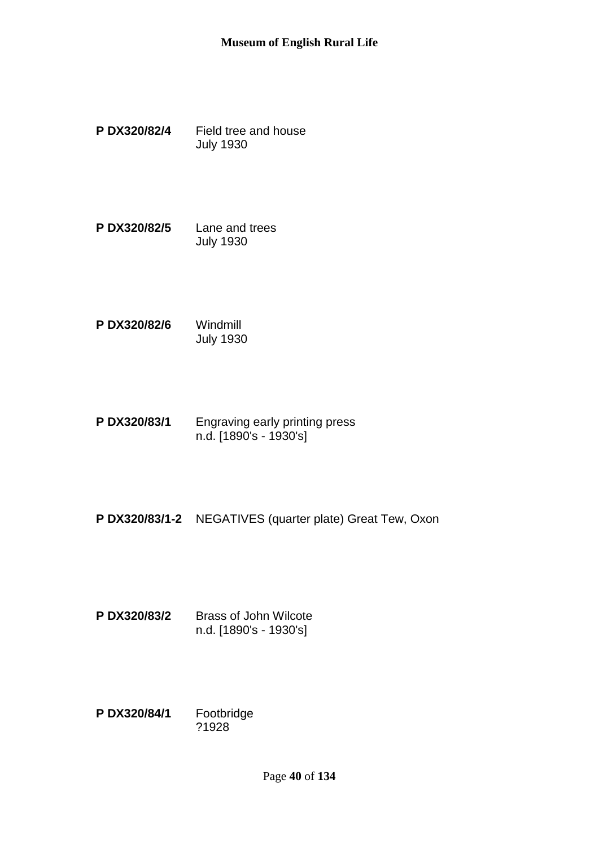- **P DX320/82/4** Field tree and house July 1930
- **P DX320/82/5** Lane and trees July 1930
- **P DX320/82/6** Windmill July 1930
- **P DX320/83/1** Engraving early printing press n.d. [1890's - 1930's]
- **P DX320/83/1-2** NEGATIVES (quarter plate) Great Tew, Oxon
- **P DX320/83/2** Brass of John Wilcote n.d. [1890's - 1930's]
- **P DX320/84/1** Footbridge ?1928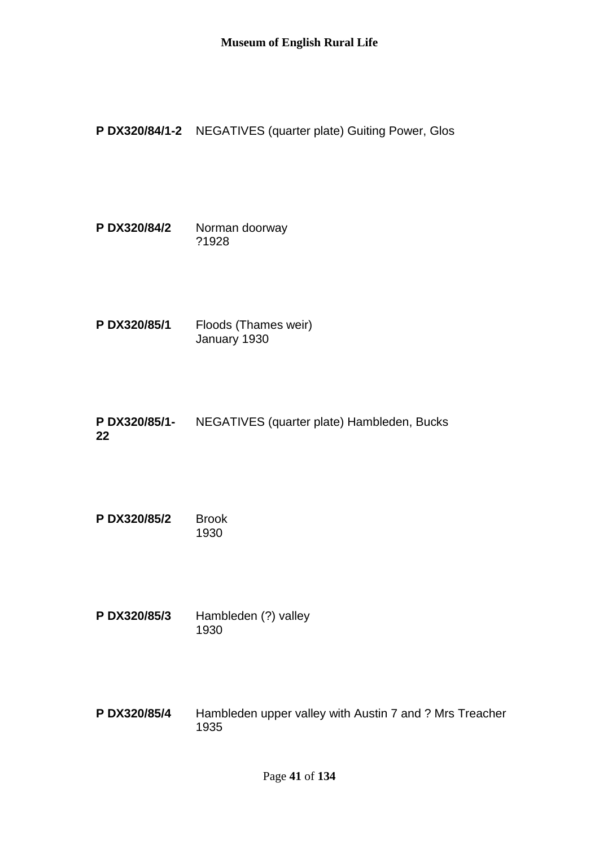**P DX320/84/1-2** NEGATIVES (quarter plate) Guiting Power, Glos

**P DX320/84/2** Norman doorway ?1928

**P DX320/85/1** Floods (Thames weir) January 1930

**P DX320/85/1- 22** NEGATIVES (quarter plate) Hambleden, Bucks

**P DX320/85/2** Brook 1930

**P DX320/85/3** Hambleden (?) valley 1930

**P DX320/85/4** Hambleden upper valley with Austin 7 and ? Mrs Treacher 1935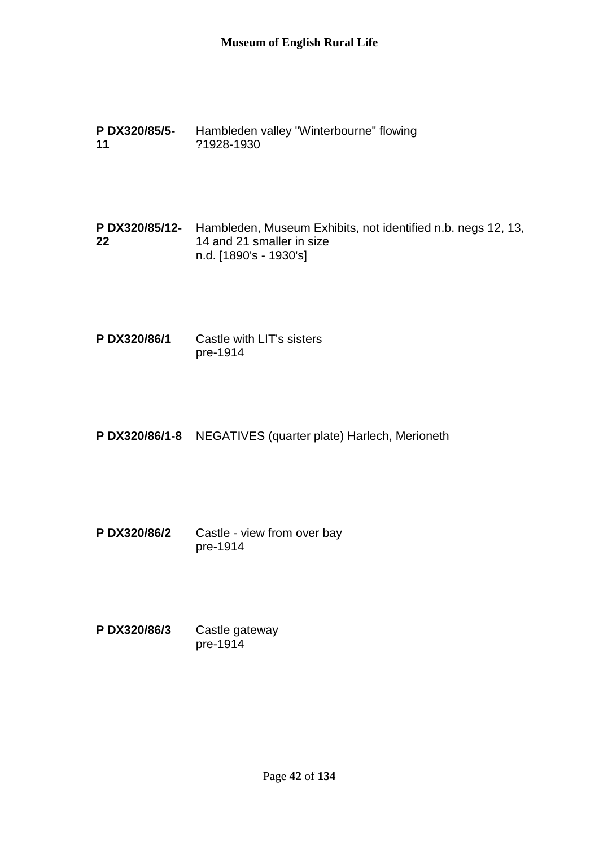**P DX320/85/5- 11** Hambleden valley "Winterbourne" flowing ?1928-1930

**P DX320/85/12-** Hambleden, Museum Exhibits, not identified n.b. negs 12, 13, **22** 14 and 21 smaller in size n.d. [1890's - 1930's]

**P DX320/86/1** Castle with LIT's sisters pre-1914

**P DX320/86/1-8** NEGATIVES (quarter plate) Harlech, Merioneth

**P DX320/86/2** Castle - view from over bay pre-1914

**P DX320/86/3** Castle gateway pre-1914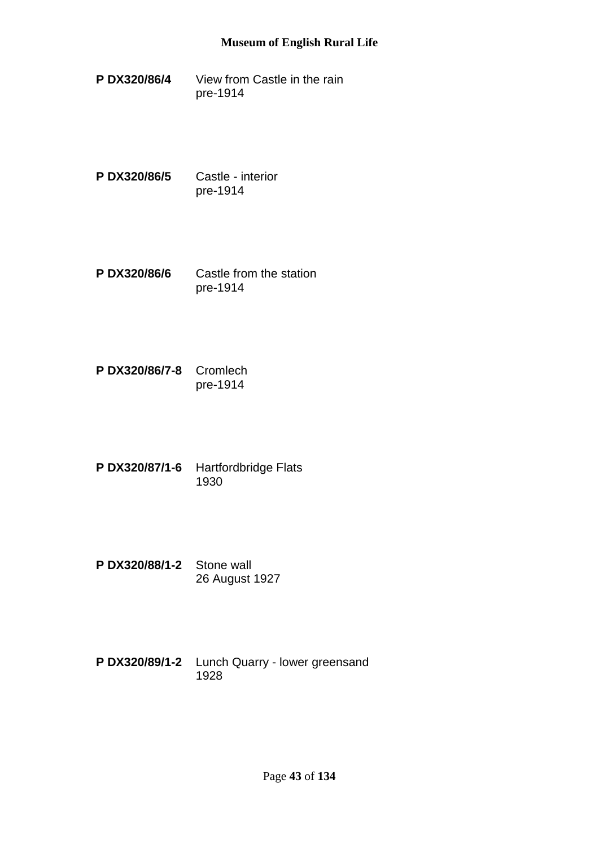- **P DX320/86/4** View from Castle in the rain pre-1914
- **P DX320/86/5** Castle interior pre-1914
- **P DX320/86/6** Castle from the station pre-1914
- **P DX320/86/7-8** Cromlech pre-1914
- **P DX320/87/1-6** Hartfordbridge Flats 1930
- **P DX320/88/1-2** Stone wall 26 August 1927
- **P DX320/89/1-2** Lunch Quarry lower greensand 1928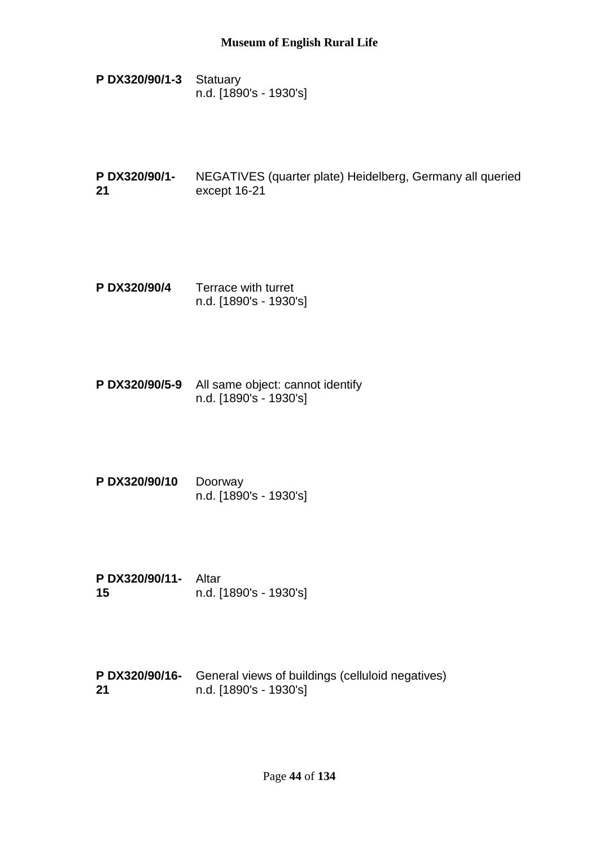- **P DX320/90/1-3** Statuary n.d. [1890's - 1930's]
- **P DX320/90/1- 21** NEGATIVES (quarter plate) Heidelberg, Germany all queried except 16-21
- **P DX320/90/4** Terrace with turret n.d. [1890's - 1930's]
- **P DX320/90/5-9** All same object: cannot identify n.d. [1890's - 1930's]
- **P DX320/90/10** Doorway n.d. [1890's - 1930's]
- **P DX320/90/11-** Altar **15** n.d. [1890's - 1930's]
- **P DX320/90/16-** General views of buildings (celluloid negatives) **21** n.d. [1890's - 1930's]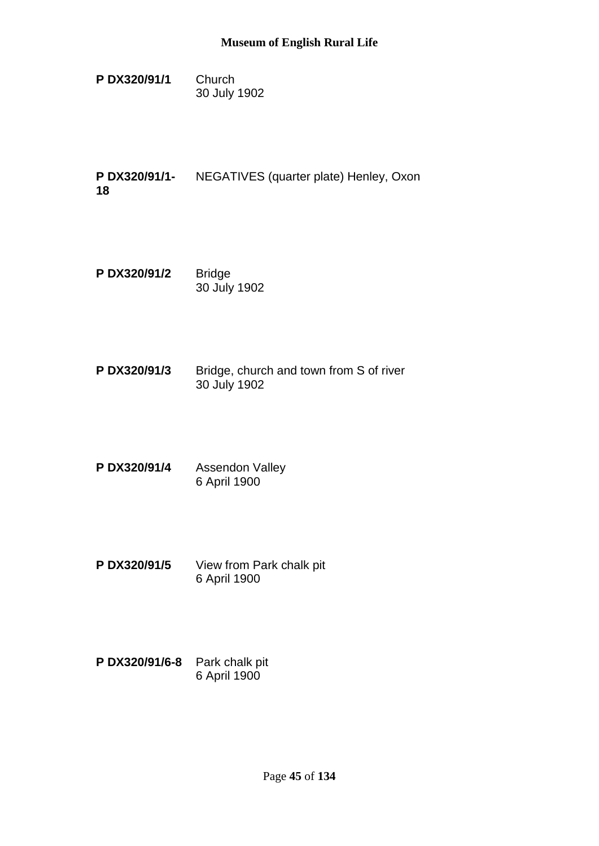- **P DX320/91/1** Church 30 July 1902
- **P DX320/91/1- 18** NEGATIVES (quarter plate) Henley, Oxon
- **P DX320/91/2** Bridge 30 July 1902
- **P DX320/91/3** Bridge, church and town from S of river 30 July 1902
- **P DX320/91/4** Assendon Valley 6 April 1900
- **P DX320/91/5** View from Park chalk pit 6 April 1900
- **P DX320/91/6-8** Park chalk pit 6 April 1900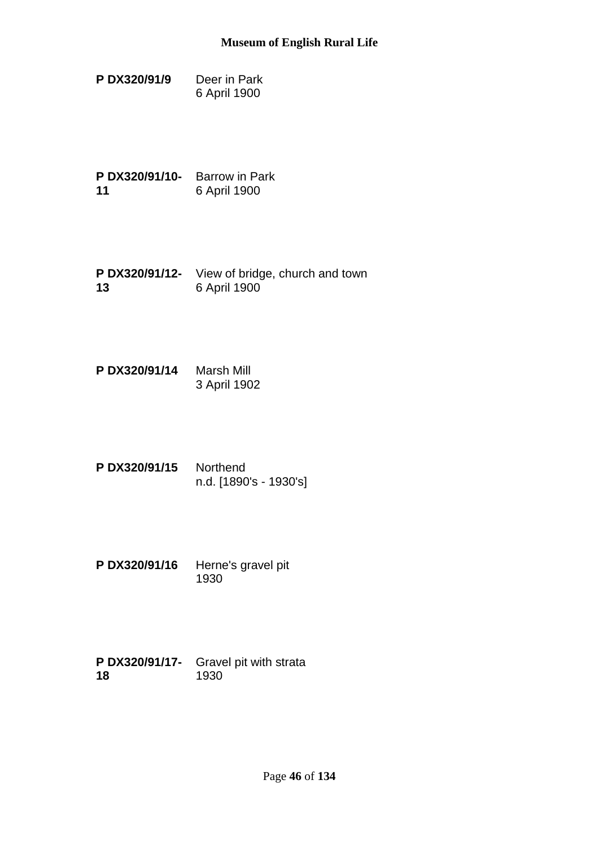- **P DX320/91/9** Deer in Park 6 April 1900
- **P DX320/91/10-** Barrow in Park **11** 6 April 1900
- **P DX320/91/12-** View of bridge, church and town **13** 6 April 1900
- **P DX320/91/14** Marsh Mill 3 April 1902
- **P DX320/91/15** Northend n.d. [1890's - 1930's]
- **P DX320/91/16** Herne's gravel pit 1930
- **P DX320/91/17-** Gravel pit with strata **18** 1930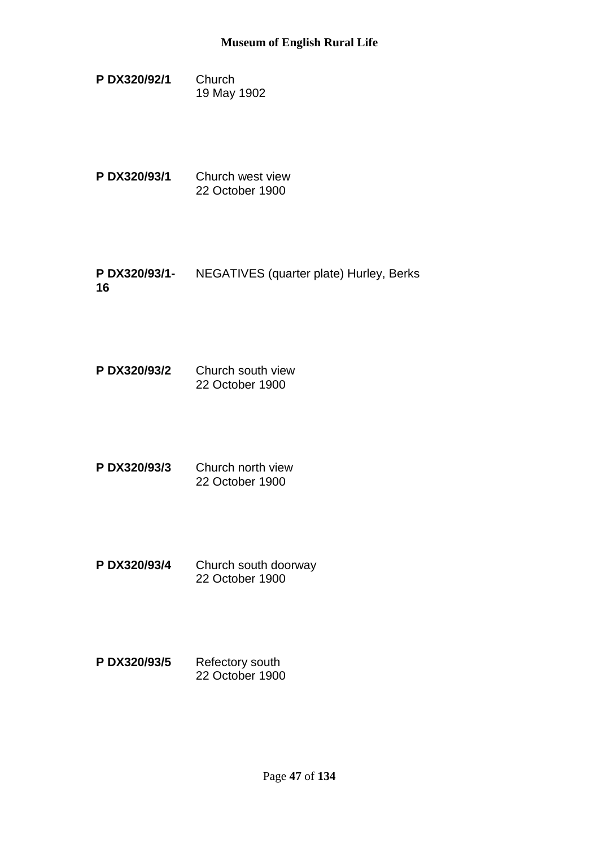- **P DX320/92/1** Church 19 May 1902
- **P DX320/93/1** Church west view 22 October 1900
- **P DX320/93/1-** NEGATIVES (quarter plate) Hurley, Berks **16**
- **P DX320/93/2** Church south view 22 October 1900
- **P DX320/93/3** Church north view 22 October 1900
- **P DX320/93/4** Church south doorway 22 October 1900
- P DX320/93/5 Refectory south 22 October 1900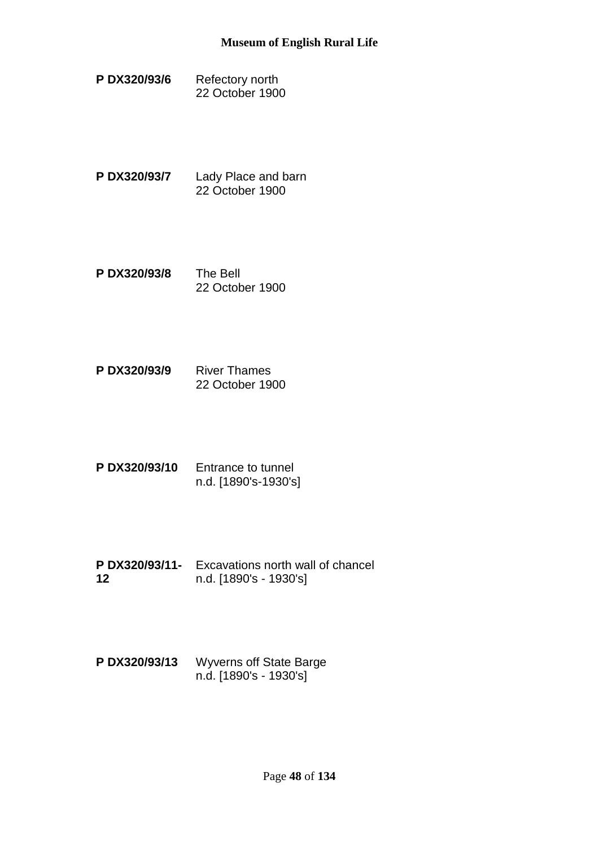- P DX320/93/6 Refectory north 22 October 1900
- **P DX320/93/7** Lady Place and barn 22 October 1900
- **P DX320/93/8** The Bell 22 October 1900
- **P DX320/93/9** River Thames 22 October 1900
- **P DX320/93/10** Entrance to tunnel n.d. [1890's-1930's]
- **P DX320/93/11-** Excavations north wall of chancel **12** n.d. [1890's - 1930's]
- **P DX320/93/13** Wyverns off State Barge n.d. [1890's - 1930's]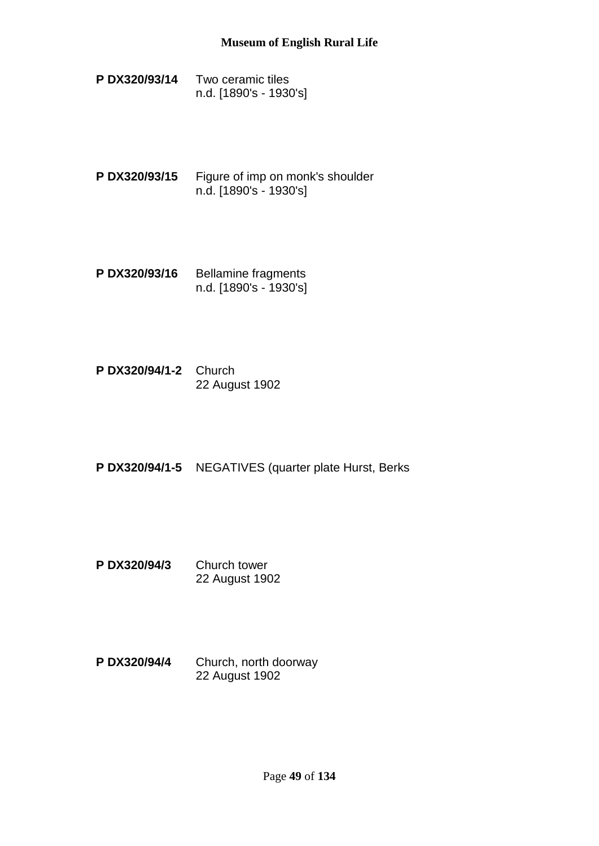- **P DX320/93/14** Two ceramic tiles n.d. [1890's - 1930's]
- **P DX320/93/15** Figure of imp on monk's shoulder n.d. [1890's - 1930's]
- P DX320/93/16 Bellamine fragments n.d. [1890's - 1930's]
- **P DX320/94/1-2** Church 22 August 1902
- **P DX320/94/1-5** NEGATIVES (quarter plate Hurst, Berks
- **P DX320/94/3** Church tower 22 August 1902
- **P DX320/94/4** Church, north doorway 22 August 1902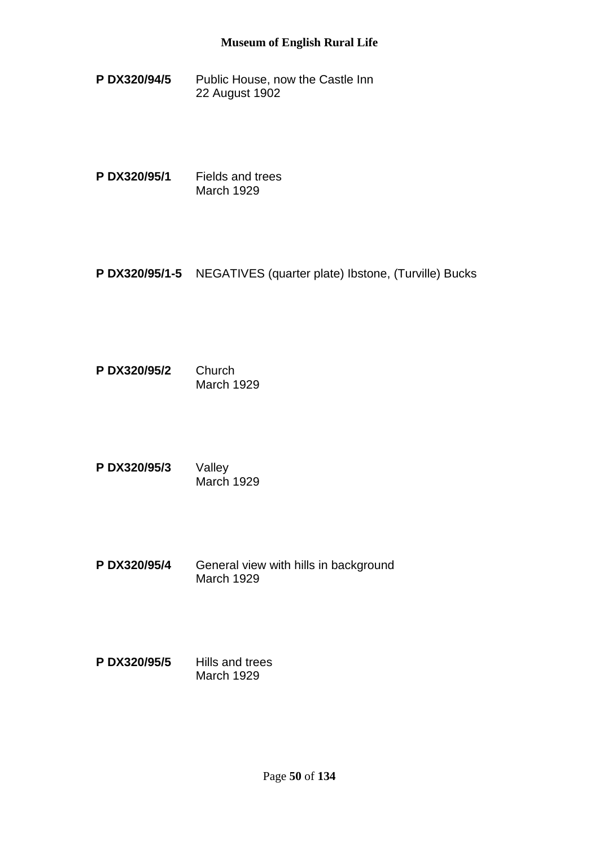**P DX320/94/5** Public House, now the Castle Inn 22 August 1902

**P DX320/95/1** Fields and trees March 1929

**P DX320/95/1-5** NEGATIVES (quarter plate) Ibstone, (Turville) Bucks

**P DX320/95/2** Church March 1929

**P DX320/95/3** Valley March 1929

**P DX320/95/4** General view with hills in background March 1929

**P DX320/95/5** Hills and trees March 1929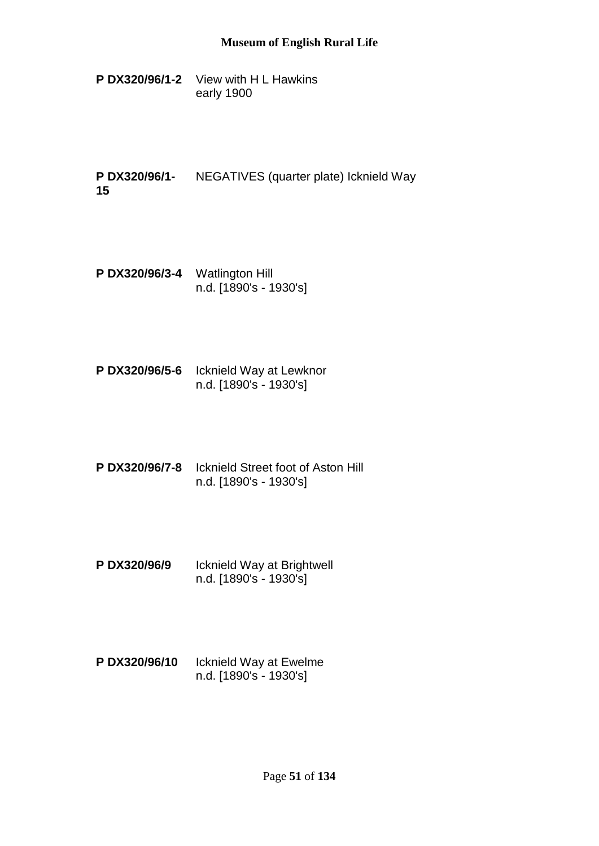- **P DX320/96/1-2** View with H L Hawkins early 1900
- **P DX320/96/1- 15** NEGATIVES (quarter plate) Icknield Way
- **P DX320/96/3-4** Watlington Hill n.d. [1890's - 1930's]
- **P DX320/96/5-6** Icknield Way at Lewknor n.d. [1890's - 1930's]
- **P DX320/96/7-8** Icknield Street foot of Aston Hill n.d. [1890's - 1930's]
- **P DX320/96/9** Icknield Way at Brightwell n.d. [1890's - 1930's]
- **P DX320/96/10** Icknield Way at Ewelme n.d. [1890's - 1930's]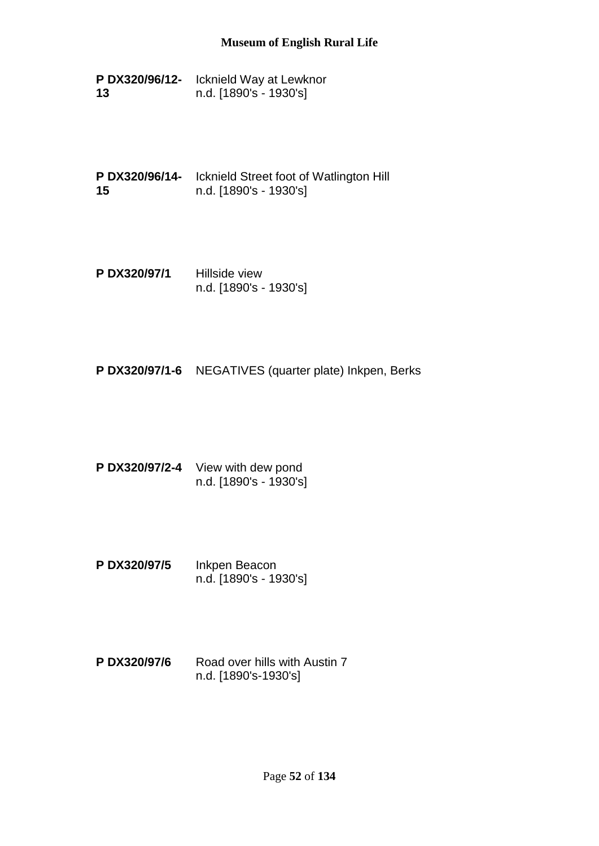**P DX320/96/12-** Icknield Way at Lewknor **13** n.d. [1890's - 1930's]

**P DX320/96/14-** Icknield Street foot of Watlington Hill **15** n.d. [1890's - 1930's]

**P DX320/97/1** Hillside view n.d. [1890's - 1930's]

**P DX320/97/1-6** NEGATIVES (quarter plate) Inkpen, Berks

- **P DX320/97/2-4** View with dew pond n.d. [1890's - 1930's]
- **P DX320/97/5** Inkpen Beacon n.d. [1890's - 1930's]
- **P DX320/97/6** Road over hills with Austin 7 n.d. [1890's-1930's]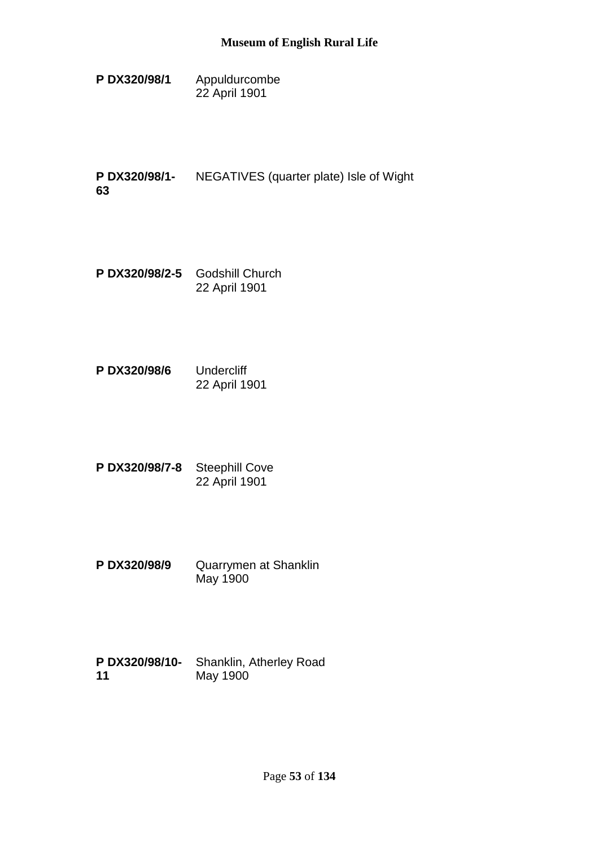**P DX320/98/1** Appuldurcombe 22 April 1901

**P DX320/98/1- 63** NEGATIVES (quarter plate) Isle of Wight

- **P DX320/98/2-5** Godshill Church 22 April 1901
- **P DX320/98/6** Undercliff 22 April 1901
- **P DX320/98/7-8** Steephill Cove 22 April 1901
- **P DX320/98/9** Quarrymen at Shanklin May 1900
- **P DX320/98/10- 11** Shanklin, Atherley Road May 1900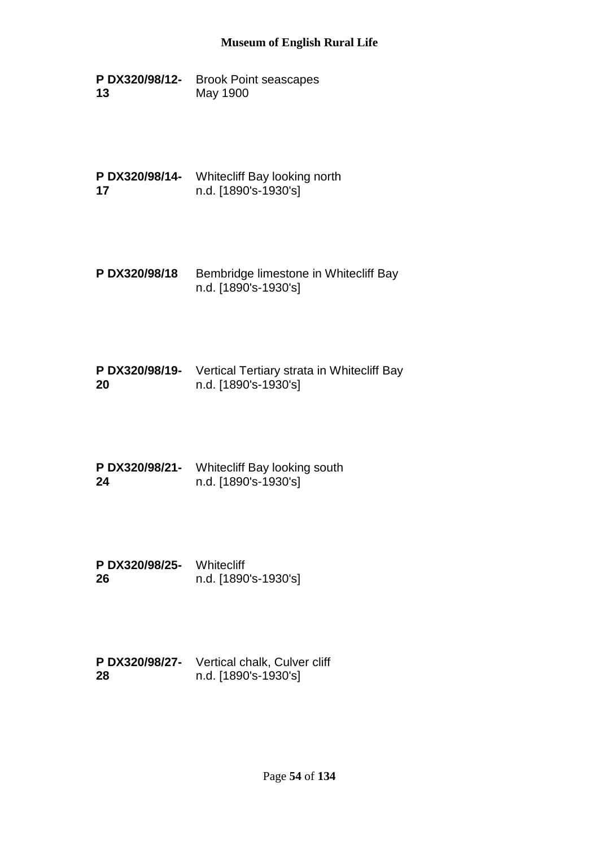**P DX320/98/12-** Brook Point seascapes **13** May 1900

**P DX320/98/14-** Whitecliff Bay looking north **17** n.d. [1890's-1930's]

- **P DX320/98/18** Bembridge limestone in Whitecliff Bay n.d. [1890's-1930's]
- **P DX320/98/19-** Vertical Tertiary strata in Whitecliff Bay **20** n.d. [1890's-1930's]
- **P DX320/98/21-** Whitecliff Bay looking south **24** n.d. [1890's-1930's]
- **P DX320/98/25-** Whitecliff **26** n.d. [1890's-1930's]
- **P DX320/98/27-** Vertical chalk, Culver cliff **28** n.d. [1890's-1930's]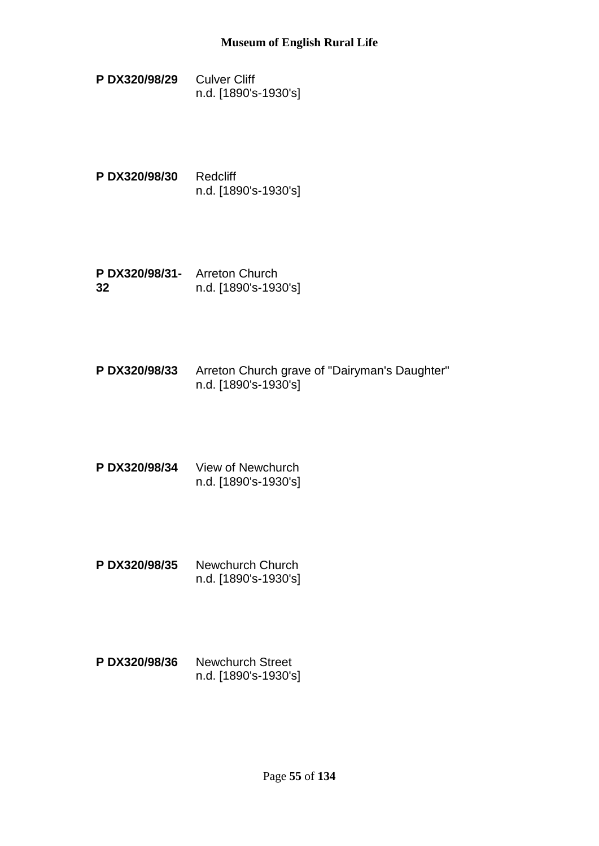- **P DX320/98/29** Culver Cliff n.d. [1890's-1930's]
- **P DX320/98/30** Redcliff n.d. [1890's-1930's]
- **P DX320/98/31-** Arreton Church **32** n.d. [1890's-1930's]
- **P DX320/98/33** Arreton Church grave of "Dairyman's Daughter" n.d. [1890's-1930's]
- **P DX320/98/34** View of Newchurch n.d. [1890's-1930's]
- **P DX320/98/35** Newchurch Church n.d. [1890's-1930's]
- **P DX320/98/36** Newchurch Street n.d. [1890's-1930's]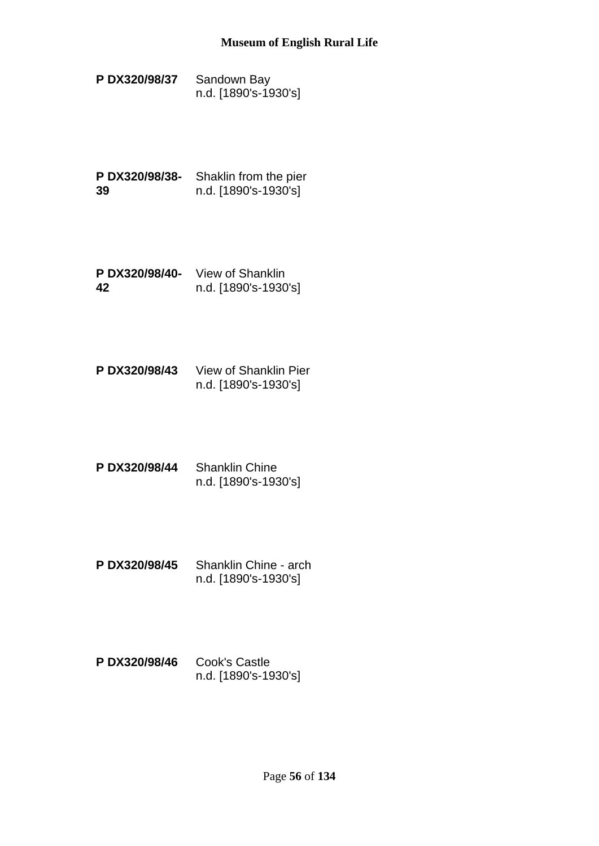- **P DX320/98/37** Sandown Bay n.d. [1890's-1930's]
- **P DX320/98/38-** Shaklin from the pier **39** n.d. [1890's-1930's]
- **P DX320/98/40-** View of Shanklin **42** n.d. [1890's-1930's]
- **P DX320/98/43** View of Shanklin Pier n.d. [1890's-1930's]
- **P DX320/98/44** Shanklin Chine n.d. [1890's-1930's]
- **P DX320/98/45** Shanklin Chine arch n.d. [1890's-1930's]
- **P DX320/98/46** Cook's Castle n.d. [1890's-1930's]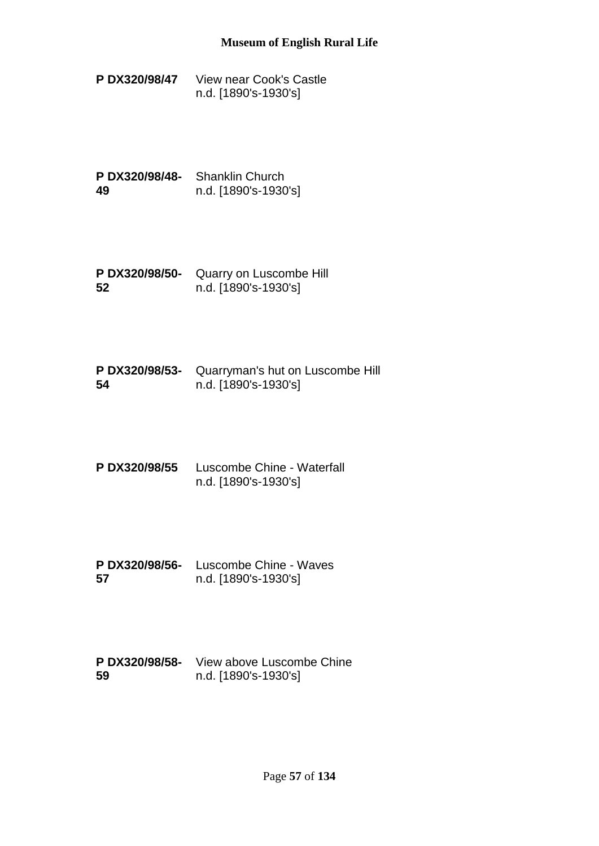**P DX320/98/47** View near Cook's Castle n.d. [1890's-1930's]

**P DX320/98/48-** Shanklin Church **49** n.d. [1890's-1930's]

**P DX320/98/50-** Quarry on Luscombe Hill **52** n.d. [1890's-1930's]

**P DX320/98/53-** Quarryman's hut on Luscombe Hill **54** n.d. [1890's-1930's]

**P DX320/98/55** Luscombe Chine - Waterfall n.d. [1890's-1930's]

**P DX320/98/56-** Luscombe Chine - Waves **57** n.d. [1890's-1930's]

**P DX320/98/58-** View above Luscombe Chine **59** n.d. [1890's-1930's]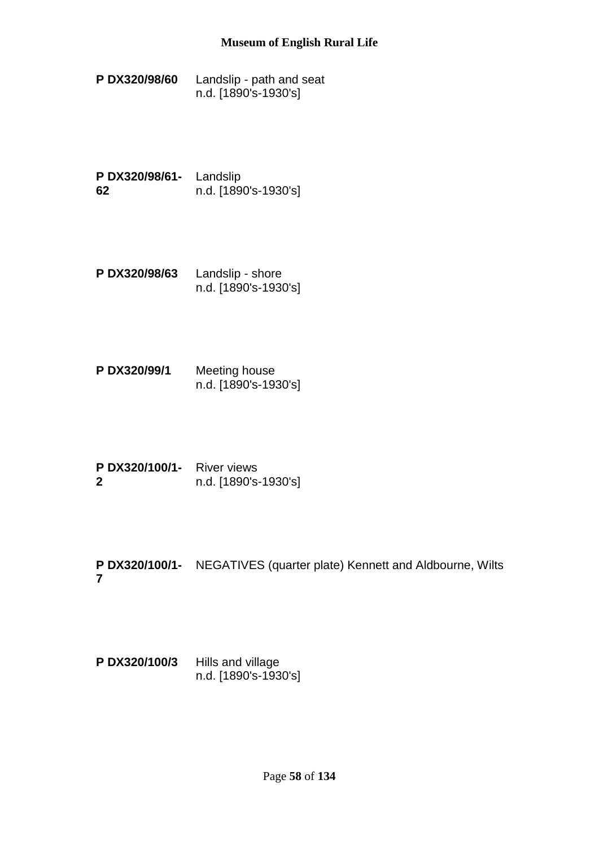**P DX320/98/60** Landslip - path and seat n.d. [1890's-1930's]

**P DX320/98/61-** Landslip **62** n.d. [1890's-1930's]

- **P DX320/98/63** Landslip shore n.d. [1890's-1930's]
- **P DX320/99/1** Meeting house n.d. [1890's-1930's]
- **P DX320/100/1-** River views **2** n.d. [1890's-1930's]
- **P DX320/100/1-** NEGATIVES (quarter plate) Kennett and Aldbourne, Wilts **7**

**P DX320/100/3** Hills and village n.d. [1890's-1930's]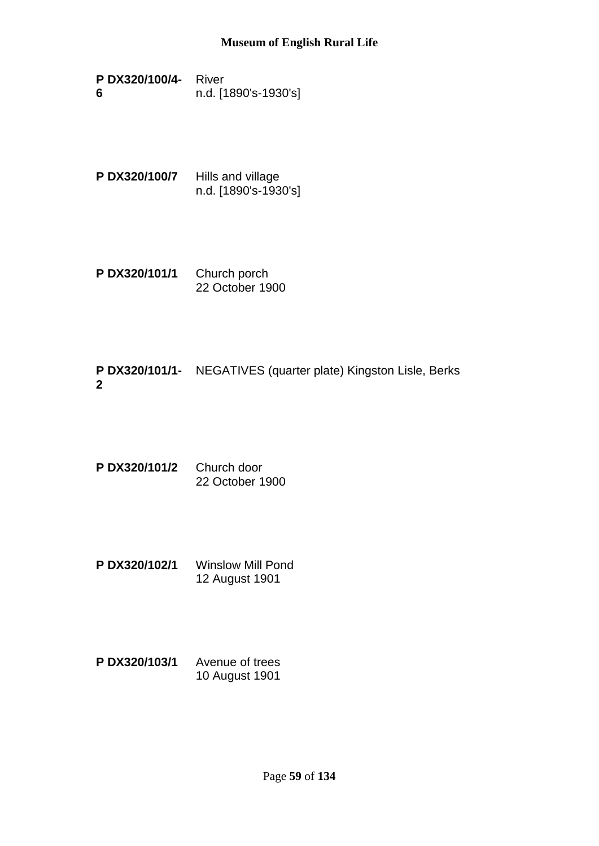- **P DX320/100/4-** River **6** n.d. [1890's-1930's]
- **P DX320/100/7** Hills and village n.d. [1890's-1930's]
- **P DX320/101/1** Church porch 22 October 1900

# **P DX320/101/1-** NEGATIVES (quarter plate) Kingston Lisle, Berks **2**

- **P DX320/101/2** Church door 22 October 1900
- **P DX320/102/1** Winslow Mill Pond 12 August 1901
- **P DX320/103/1** Avenue of trees 10 August 1901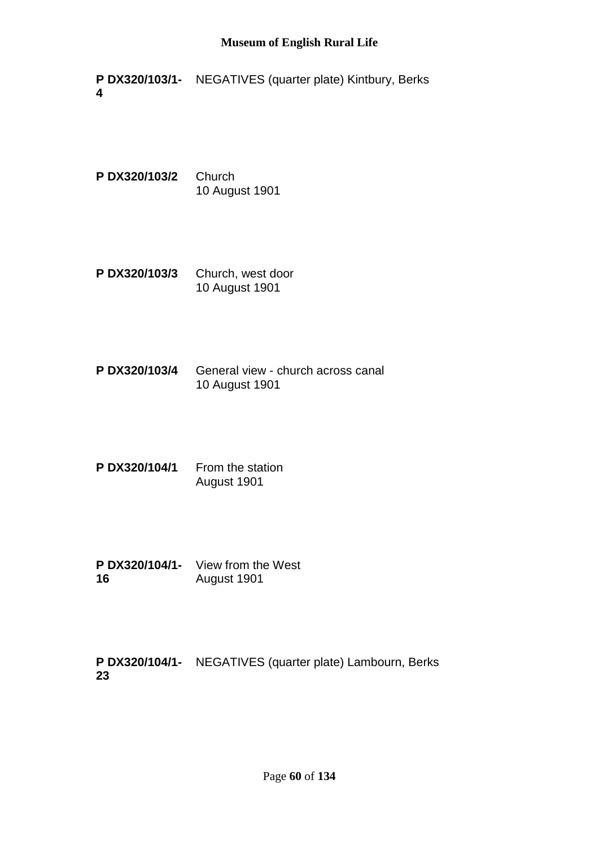**P DX320/103/1-** NEGATIVES (quarter plate) Kintbury, Berks **4**

**P DX320/103/2** Church 10 August 1901

- **P DX320/103/3** Church, west door 10 August 1901
- **P DX320/103/4** General view church across canal 10 August 1901
- P DX320/104/1 From the station August 1901
- **P DX320/104/1-** View from the West **16** August 1901

**P DX320/104/1-** NEGATIVES (quarter plate) Lambourn, Berks**23**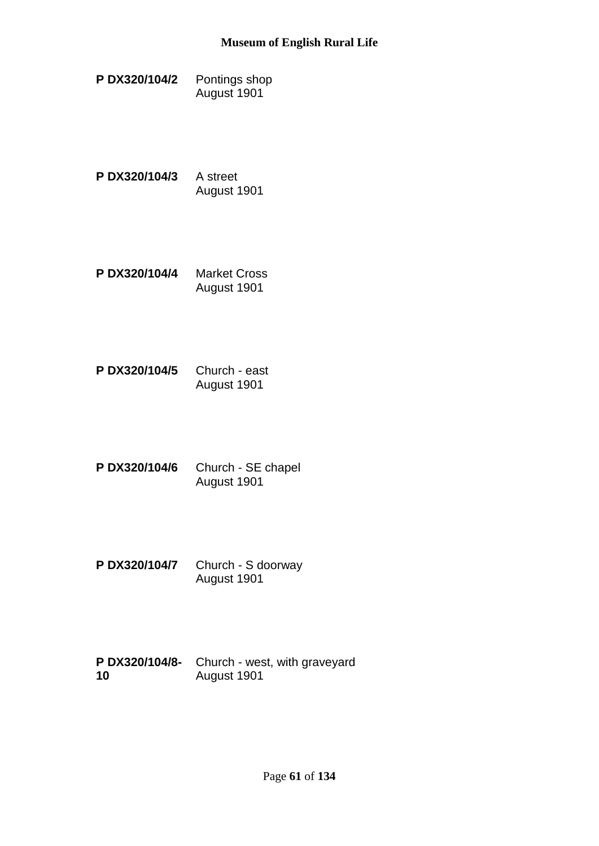- **P DX320/104/2** Pontings shop August 1901
- **P DX320/104/3** A street August 1901
- **P DX320/104/4** Market Cross August 1901
- **P DX320/104/5** Church east August 1901
- **P DX320/104/6** Church SE chapel August 1901
- **P DX320/104/7** Church S doorway August 1901
- **P DX320/104/8-** Church west, with graveyard **10** August 1901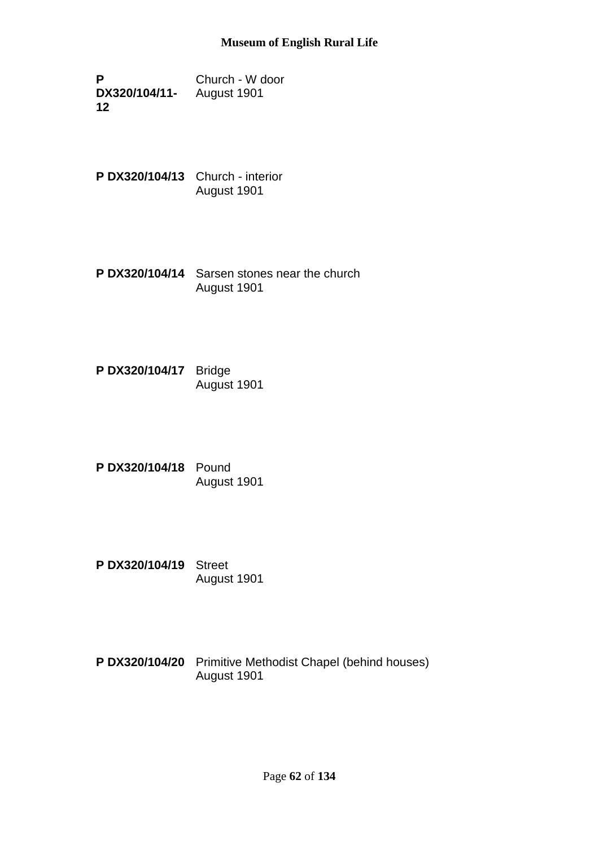**P DX320/104/11-** August 1901 **12** Church - W door

**P DX320/104/13** Church - interior August 1901

**P DX320/104/14** Sarsen stones near the church August 1901

**P DX320/104/17** Bridge August 1901

**P DX320/104/18** Pound August 1901

**P DX320/104/19** Street August 1901

**P DX320/104/20** Primitive Methodist Chapel (behind houses) August 1901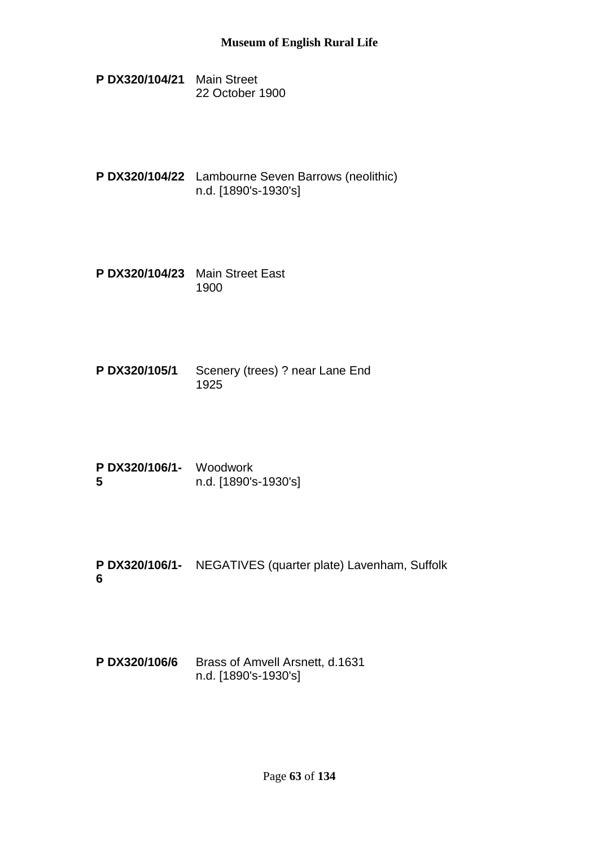- **P DX320/104/21** Main Street 22 October 1900
- **P DX320/104/22** Lambourne Seven Barrows (neolithic) n.d. [1890's-1930's]
- **P DX320/104/23** Main Street East 1900
- **P DX320/105/1** Scenery (trees) ? near Lane End 1925
- **P DX320/106/1-** Woodwork **5** n.d. [1890's-1930's]
- **P DX320/106/1-** NEGATIVES (quarter plate) Lavenham, Suffolk **6**
- **P DX320/106/6** Brass of Amvell Arsnett, d.1631 n.d. [1890's-1930's]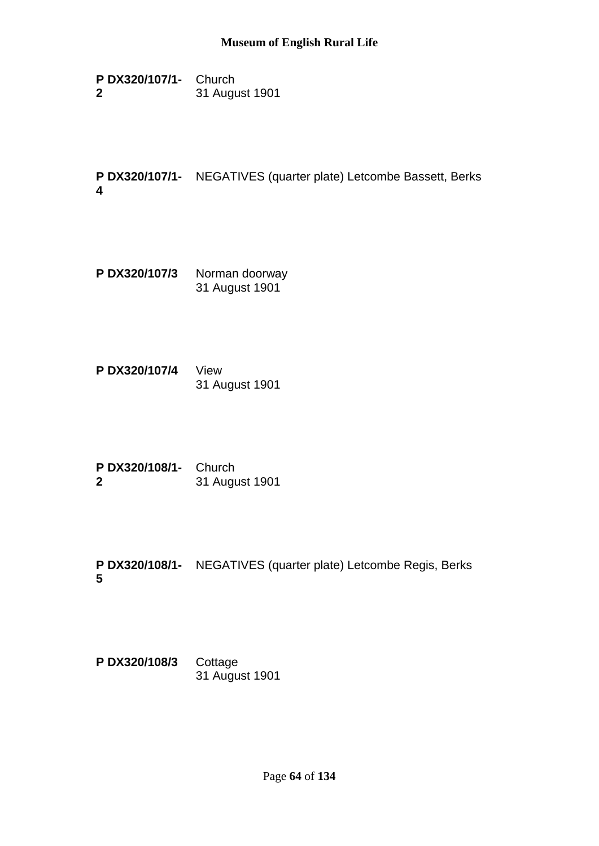**P DX320/107/1-** Church **2** 31 August 1901

**P DX320/107/1-** NEGATIVES (quarter plate) Letcombe Bassett, Berks **4**

- **P DX320/107/3** Norman doorway 31 August 1901
- **P DX320/107/4** View 31 August 1901
- **P DX320/108/1-** Church **2** 31 August 1901
- **P DX320/108/1-** NEGATIVES (quarter plate) Letcombe Regis, Berks **5**

**P DX320/108/3** Cottage 31 August 1901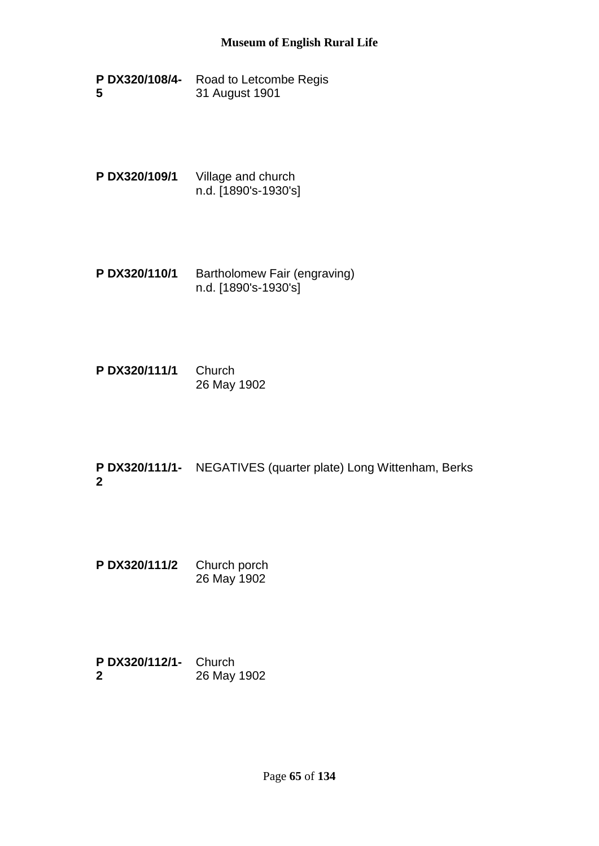- **P DX320/108/4-** Road to Letcombe Regis **5** 31 August 1901
- **P DX320/109/1** Village and church n.d. [1890's-1930's]
- **P DX320/110/1** Bartholomew Fair (engraving) n.d. [1890's-1930's]
- **P DX320/111/1** Church 26 May 1902
- **P DX320/111/1-** NEGATIVES (quarter plate) Long Wittenham, Berks **2**
- **P DX320/111/2** Church porch 26 May 1902
- **P DX320/112/1-** Church **2** 26 May 1902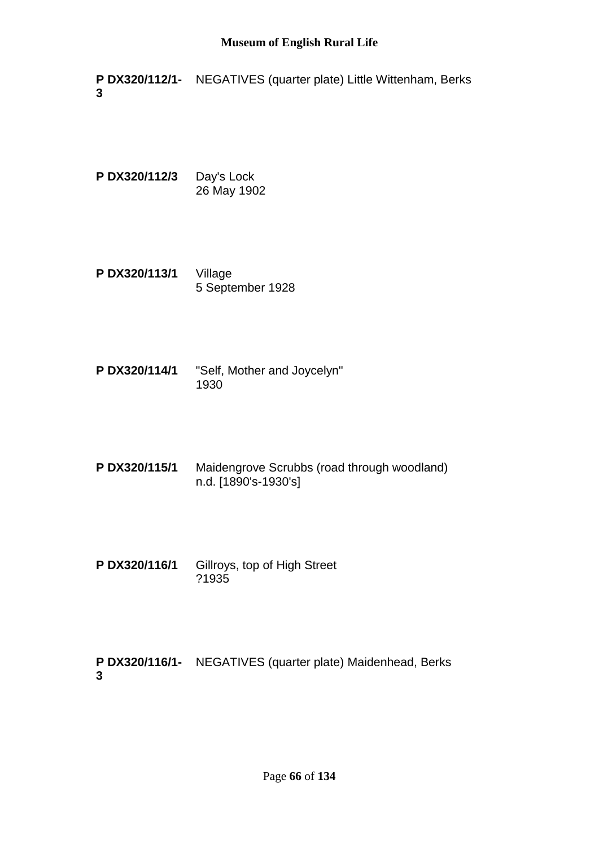**P DX320/112/1-** NEGATIVES (quarter plate) Little Wittenham, Berks **3**

**P DX320/112/3** Day's Lock 26 May 1902

- **P DX320/113/1** Village 5 September 1928
- **P DX320/114/1** "Self, Mother and Joycelyn" 1930
- **P DX320/115/1** Maidengrove Scrubbs (road through woodland) n.d. [1890's-1930's]
- **P DX320/116/1** Gillroys, top of High Street ?1935

**P DX320/116/1-** NEGATIVES (quarter plate) Maidenhead, Berks**3**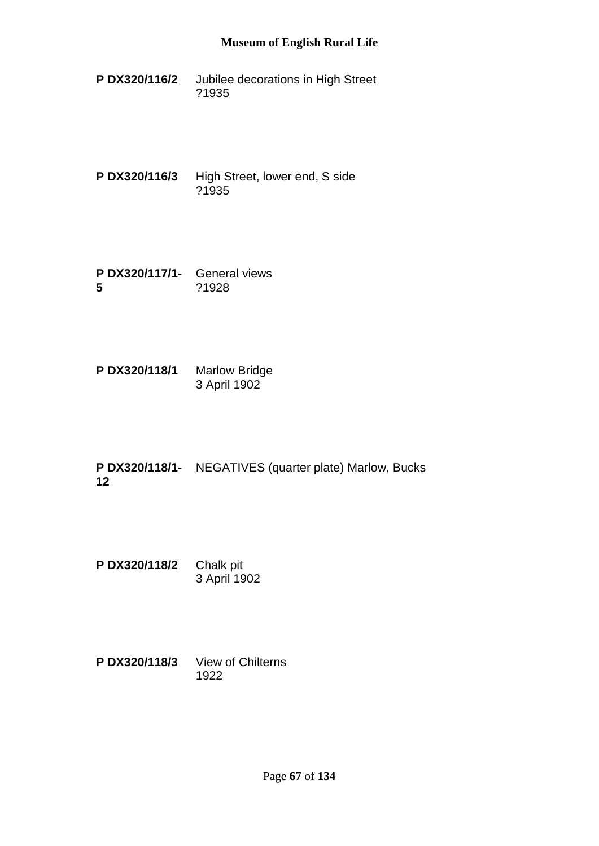- **P DX320/116/2** Jubilee decorations in High Street ?1935
- **P DX320/116/3** High Street, lower end, S side ?1935
- **P DX320/117/1-** General views **5** ?1928
- **P DX320/118/1** Marlow Bridge 3 April 1902
- **P DX320/118/1-** NEGATIVES (quarter plate) Marlow, Bucks **12**
- **P DX320/118/2** Chalk pit 3 April 1902
- **P DX320/118/3** View of Chilterns 1922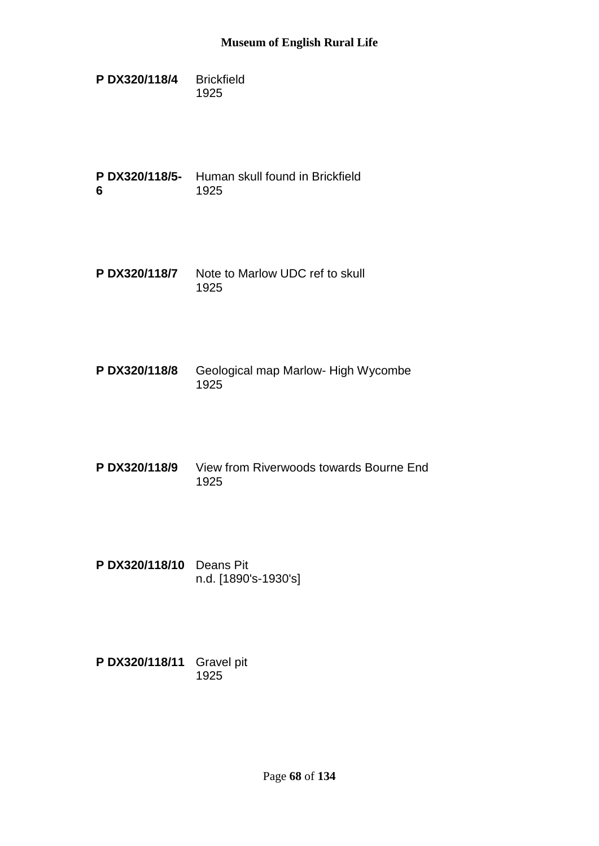**P DX320/118/4** Brickfield 1925

**P DX320/118/5-** Human skull found in Brickfield **6** 1925

- **P DX320/118/7** Note to Marlow UDC ref to skull 1925
- **P DX320/118/8** Geological map Marlow- High Wycombe 1925
- **P DX320/118/9** View from Riverwoods towards Bourne End 1925
- **P DX320/118/10** Deans Pit n.d. [1890's-1930's]

**P DX320/118/11** Gravel pit 1925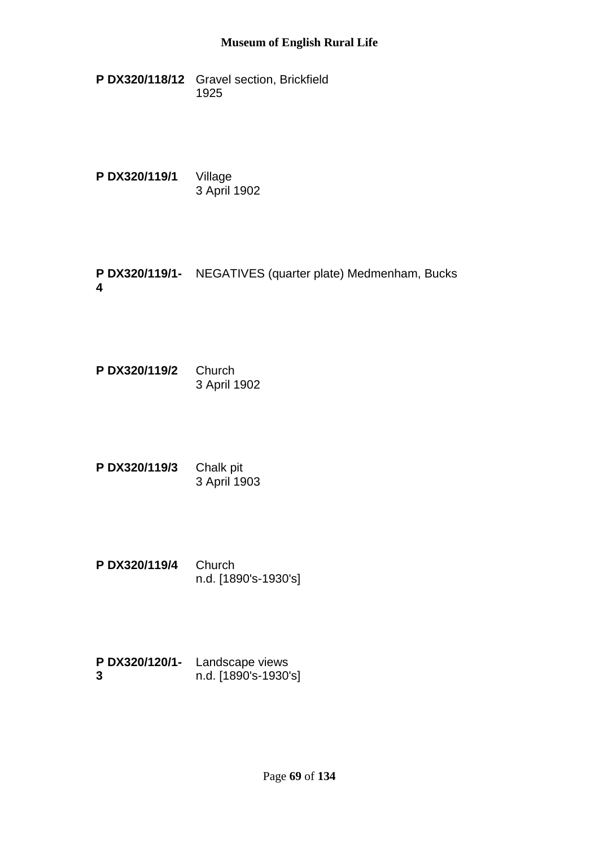- **P DX320/118/12** Gravel section, Brickfield 1925
- **P DX320/119/1** Village 3 April 1902
- **P DX320/119/1-** NEGATIVES (quarter plate) Medmenham, Bucks **4**
- **P DX320/119/2** Church 3 April 1902
- **P DX320/119/3** Chalk pit 3 April 1903
- **P DX320/119/4** Church n.d. [1890's-1930's]
- **P DX320/120/1-** Landscape views **3** n.d. [1890's-1930's]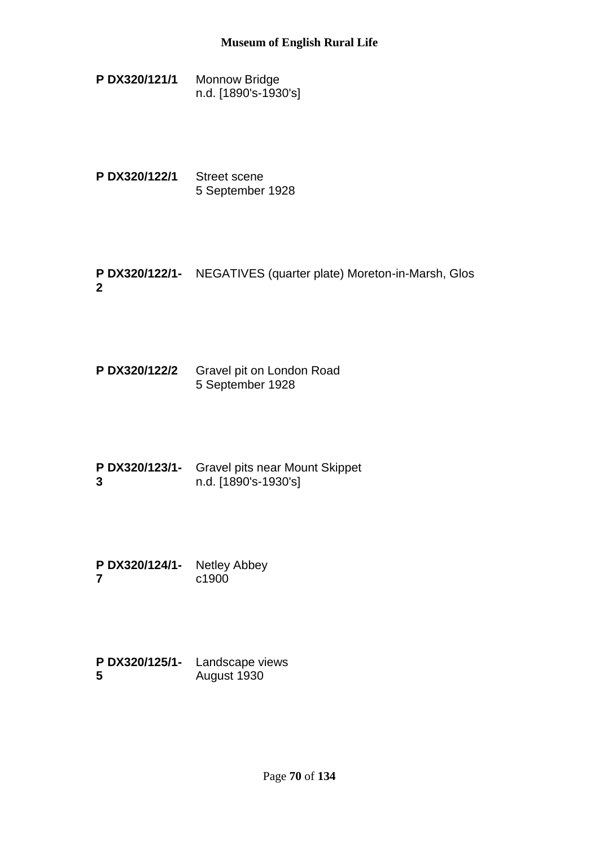**P DX320/121/1** Monnow Bridge n.d. [1890's-1930's]

- **P DX320/122/1** Street scene 5 September 1928
- **P DX320/122/1-** NEGATIVES (quarter plate) Moreton-in-Marsh, Glos **2**
- **P DX320/122/2** Gravel pit on London Road 5 September 1928
- **P DX320/123/1-** Gravel pits near Mount Skippet **3** n.d. [1890's-1930's]
- **P DX320/124/1-** Netley Abbey **7** c1900
- **P DX320/125/1-** Landscape views **5** August 1930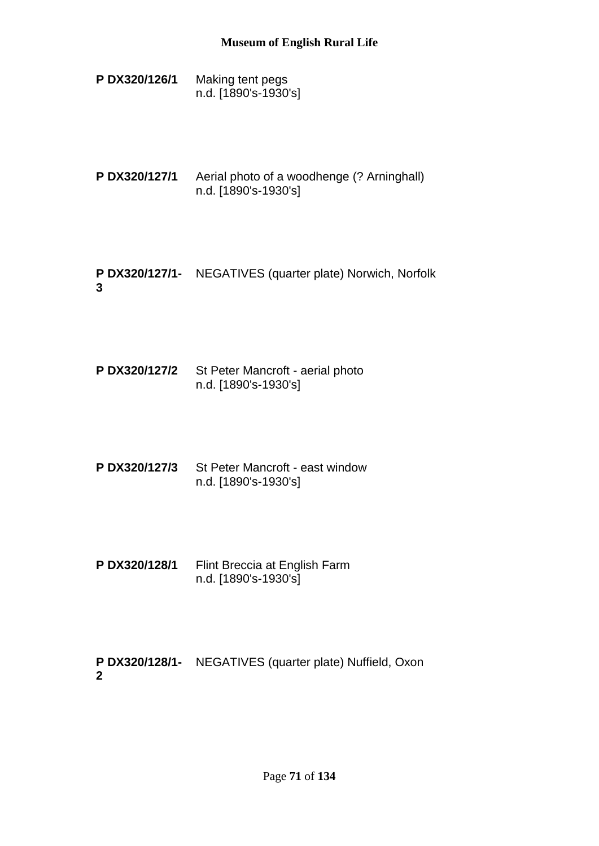- **P DX320/126/1** Making tent pegs n.d. [1890's-1930's]
- **P DX320/127/1** Aerial photo of a woodhenge (? Arninghall) n.d. [1890's-1930's]
- **P DX320/127/1-** NEGATIVES (quarter plate) Norwich, Norfolk **3**
- **P DX320/127/2** St Peter Mancroft aerial photo n.d. [1890's-1930's]
- **P DX320/127/3** St Peter Mancroft east window n.d. [1890's-1930's]
- **P DX320/128/1** Flint Breccia at English Farm n.d. [1890's-1930's]

**P DX320/128/1-** NEGATIVES (quarter plate) Nuffield, Oxon**2**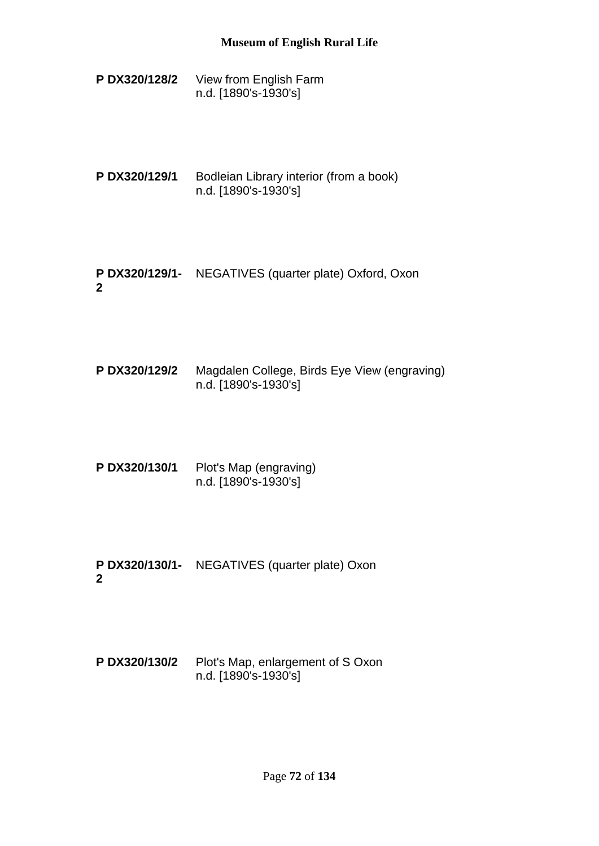- **P DX320/128/2** View from English Farm n.d. [1890's-1930's]
- **P DX320/129/1** Bodleian Library interior (from a book) n.d. [1890's-1930's]
- **P DX320/129/1-** NEGATIVES (quarter plate) Oxford, Oxon **2**
- **P DX320/129/2** Magdalen College, Birds Eye View (engraving) n.d. [1890's-1930's]
- **P DX320/130/1** Plot's Map (engraving) n.d. [1890's-1930's]
- **P DX320/130/1-** NEGATIVES (quarter plate) Oxon **2**
- **P DX320/130/2** Plot's Map, enlargement of S Oxon n.d. [1890's-1930's]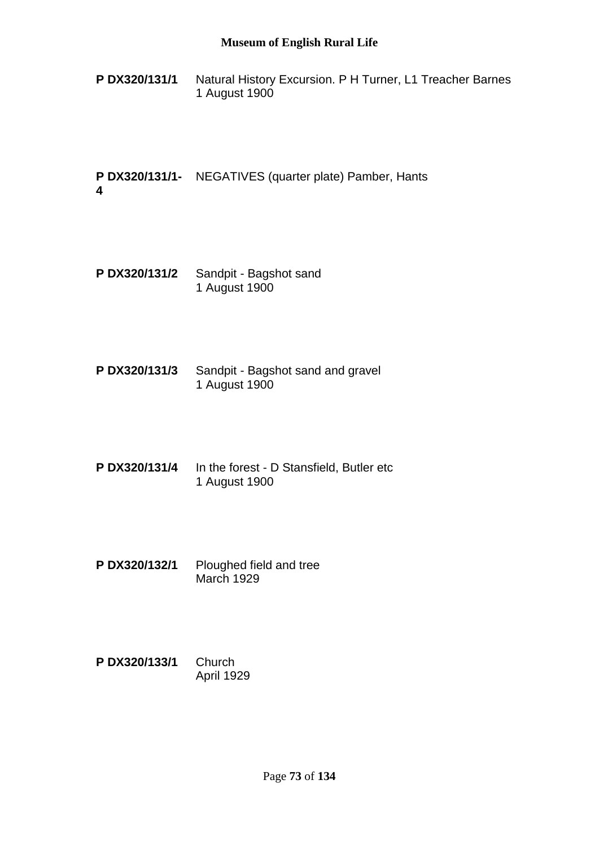**P DX320/131/1** Natural History Excursion. P H Turner, L1 Treacher Barnes 1 August 1900

**P DX320/131/1-** NEGATIVES (quarter plate) Pamber, Hants **4**

- **P DX320/131/2** Sandpit Bagshot sand 1 August 1900
- **P DX320/131/3** Sandpit Bagshot sand and gravel 1 August 1900
- **P DX320/131/4** In the forest D Stansfield, Butler etc 1 August 1900
- **P DX320/132/1** Ploughed field and tree March 1929
- **P DX320/133/1** Church April 1929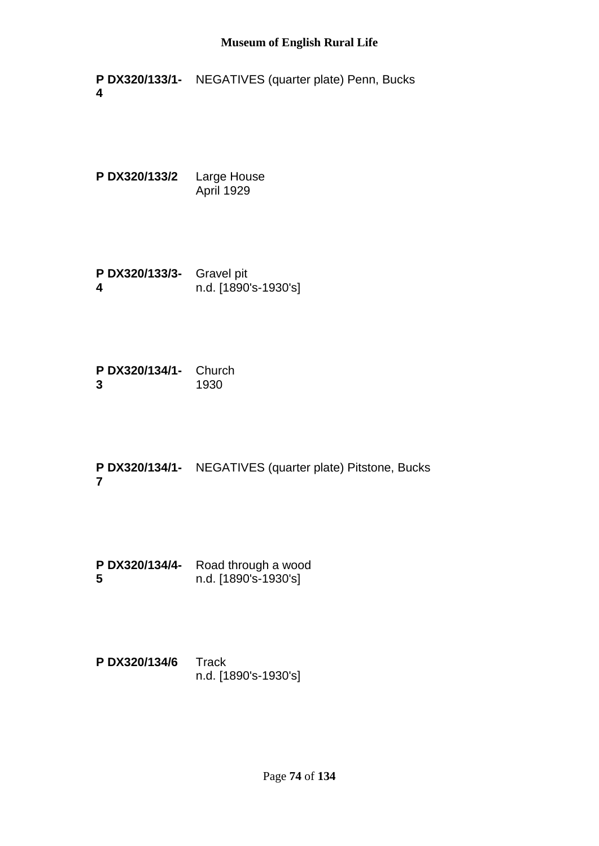**P DX320/133/1-** NEGATIVES (quarter plate) Penn, Bucks **4**

**P DX320/133/2** Large House April 1929

**P DX320/133/3-** Gravel pit **4** n.d. [1890's-1930's]

**P DX320/134/1-** Church **3** 1930

**P DX320/134/1-** NEGATIVES (quarter plate) Pitstone, Bucks **7**

**P DX320/134/4-** Road through a wood **5** n.d. [1890's-1930's]

**P DX320/134/6** Track n.d. [1890's-1930's]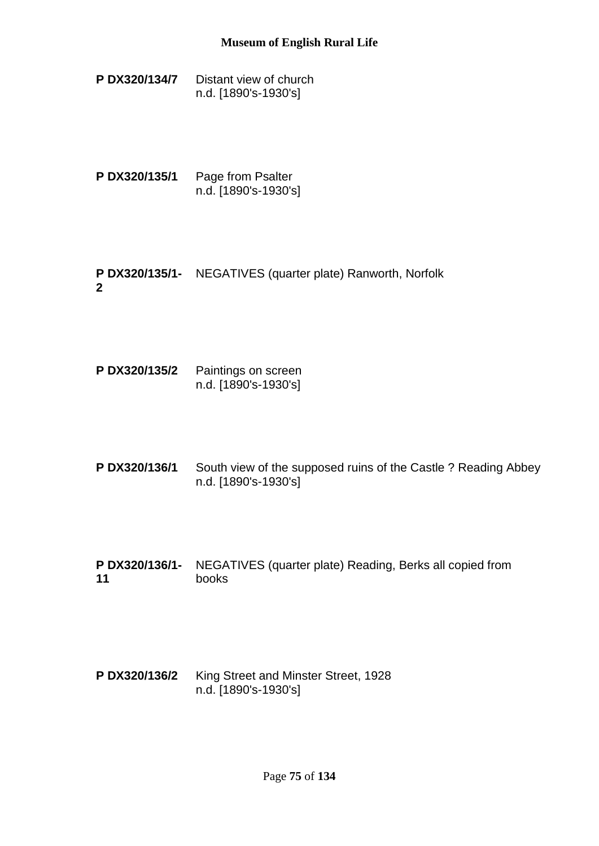- **P DX320/134/7** Distant view of church n.d. [1890's-1930's]
- **P DX320/135/1** Page from Psalter n.d. [1890's-1930's]
- **P DX320/135/1-** NEGATIVES (quarter plate) Ranworth, Norfolk **2**
- **P DX320/135/2** Paintings on screen n.d. [1890's-1930's]
- **P DX320/136/1** South view of the supposed ruins of the Castle ? Reading Abbey n.d. [1890's-1930's]
- **P DX320/136/1-** NEGATIVES (quarter plate) Reading, Berks all copied from **11** books
- **P DX320/136/2** King Street and Minster Street, 1928 n.d. [1890's-1930's]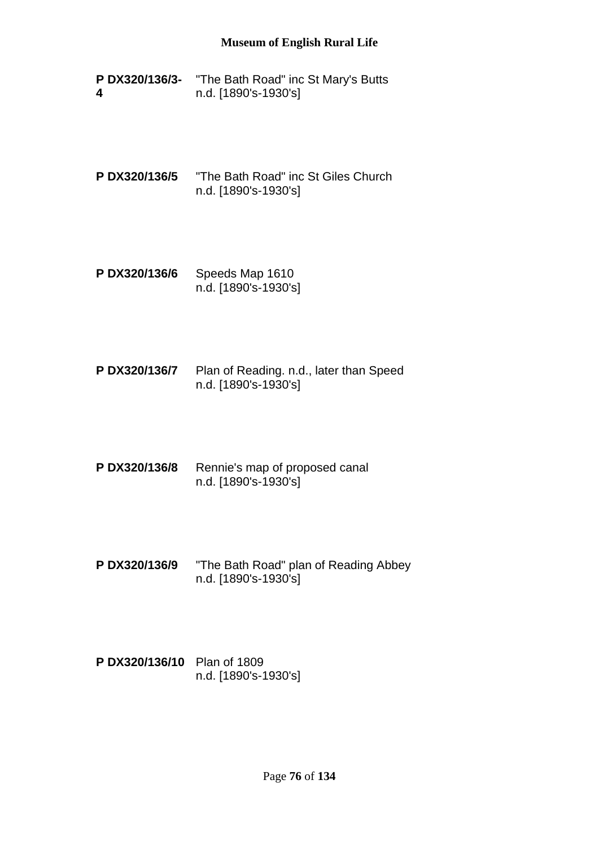- **P DX320/136/3-** "The Bath Road" inc St Mary's Butts **4** n.d. [1890's-1930's]
- **P DX320/136/5** "The Bath Road" inc St Giles Church n.d. [1890's-1930's]
- **P DX320/136/6** Speeds Map 1610 n.d. [1890's-1930's]
- **P DX320/136/7** Plan of Reading. n.d., later than Speed n.d. [1890's-1930's]
- **P DX320/136/8** Rennie's map of proposed canal n.d. [1890's-1930's]
- **P DX320/136/9** "The Bath Road" plan of Reading Abbey n.d. [1890's-1930's]
- **P DX320/136/10** Plan of 1809 n.d. [1890's-1930's]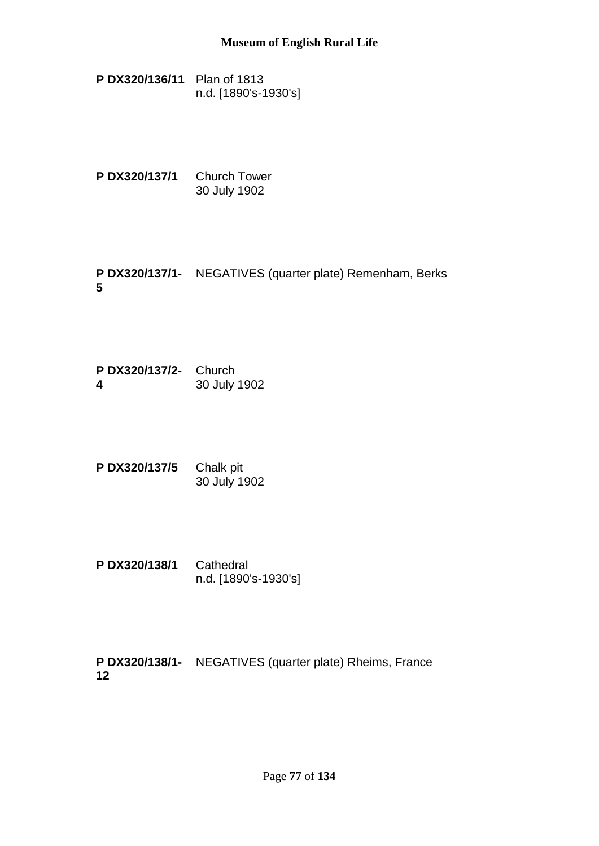- **P DX320/136/11** Plan of 1813 n.d. [1890's-1930's]
- **P DX320/137/1** Church Tower 30 July 1902
- **P DX320/137/1-** NEGATIVES (quarter plate) Remenham, Berks **5**
- **P DX320/137/2-** Church **4** 30 July 1902
- **P DX320/137/5** Chalk pit 30 July 1902
- **P DX320/138/1** Cathedral n.d. [1890's-1930's]

**P DX320/138/1-** NEGATIVES (quarter plate) Rheims, France**12**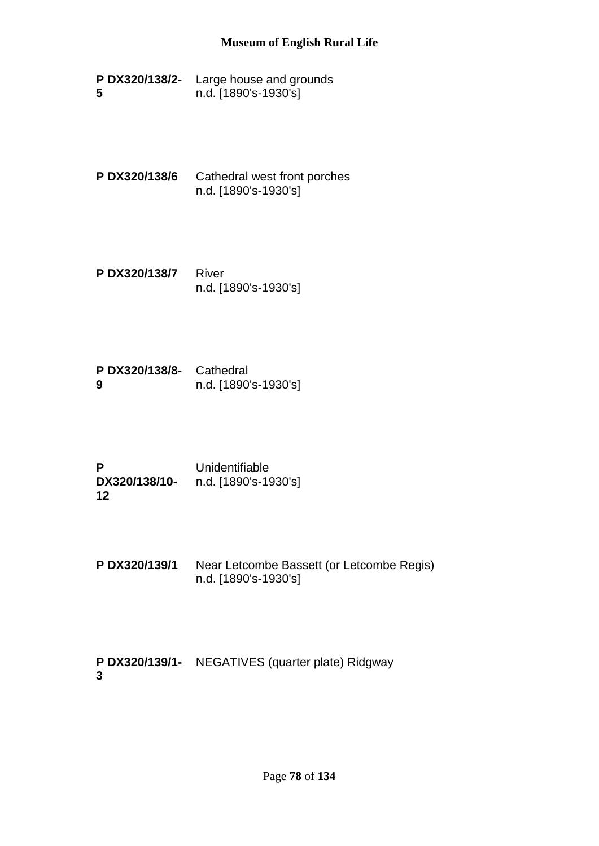- **P DX320/138/2-** Large house and grounds **5** n.d. [1890's-1930's]
- **P DX320/138/6** Cathedral west front porches n.d. [1890's-1930's]
- **P DX320/138/7** River n.d. [1890's-1930's]
- **P DX320/138/8-** Cathedral **9** n.d. [1890's-1930's]
- **P DX320/138/10- 12** Unidentifiable n.d. [1890's-1930's]
- **P DX320/139/1** Near Letcombe Bassett (or Letcombe Regis) n.d. [1890's-1930's]

**P DX320/139/1-** NEGATIVES (quarter plate) Ridgway**3**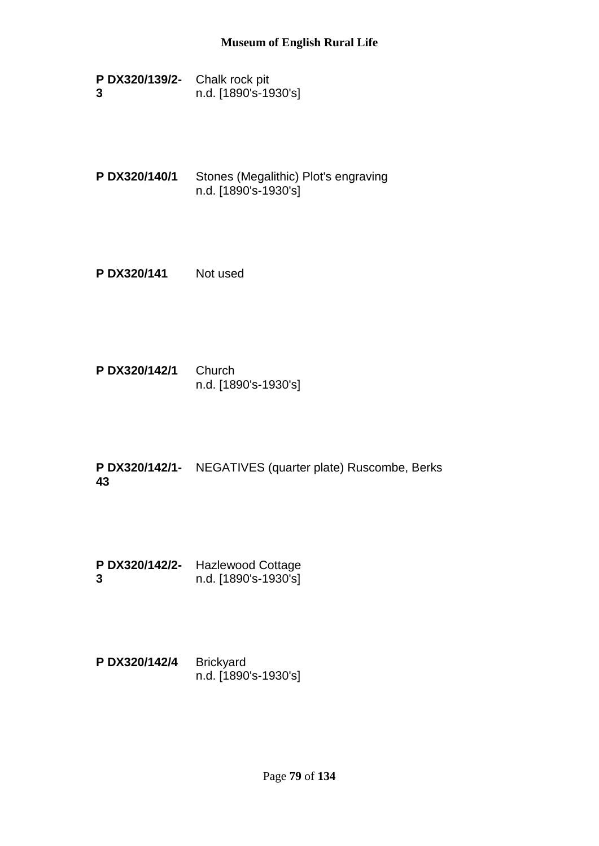| P DX320/139/2- Chalk rock pit |                      |  |
|-------------------------------|----------------------|--|
| 3                             | n.d. [1890's-1930's] |  |

- **P DX320/140/1** Stones (Megalithic) Plot's engraving n.d. [1890's-1930's]
- **P DX320/141** Not used
- **P DX320/142/1** Church n.d. [1890's-1930's]
- **P DX320/142/1-** NEGATIVES (quarter plate) Ruscombe, Berks **43**
- **P DX320/142/2-** Hazlewood Cottage **3** n.d. [1890's-1930's]
- **P DX320/142/4** Brickyard n.d. [1890's-1930's]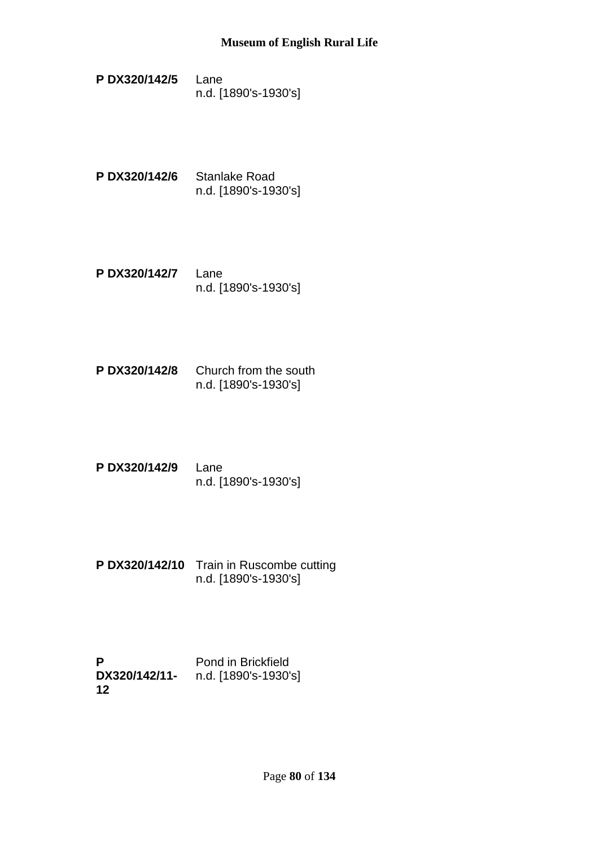- **P DX320/142/5** Lane n.d. [1890's-1930's]
- **P DX320/142/6** Stanlake Road n.d. [1890's-1930's]
- **P DX320/142/7** Lane n.d. [1890's-1930's]
- **P DX320/142/8** Church from the south n.d. [1890's-1930's]
- **P DX320/142/9** Lane n.d. [1890's-1930's]
- **P DX320/142/10** Train in Ruscombe cutting n.d. [1890's-1930's]

**P DX320/142/11-** n.d. [1890's-1930's]**12** Pond in Brickfield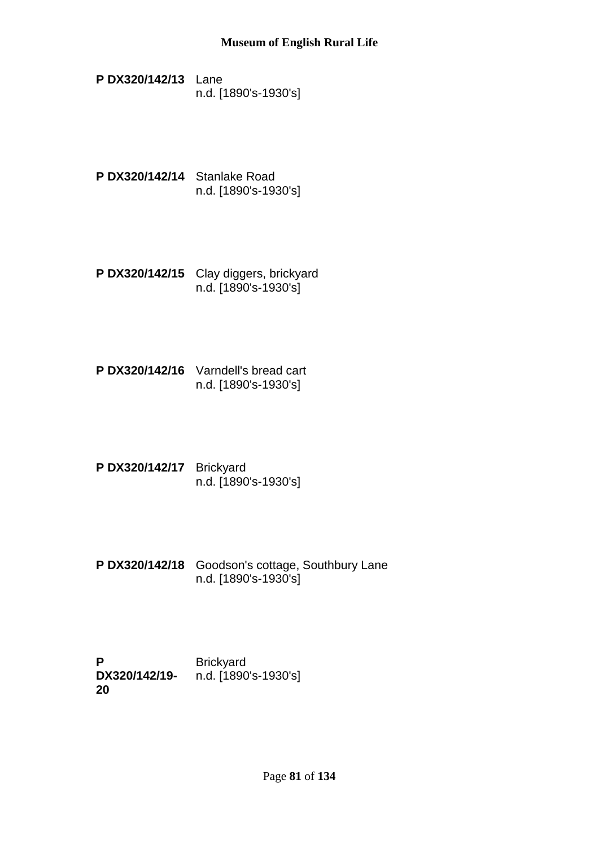- **P DX320/142/13** Lane n.d. [1890's-1930's]
- **P DX320/142/14** Stanlake Road n.d. [1890's-1930's]
- **P DX320/142/15** Clay diggers, brickyard n.d. [1890's-1930's]
- **P DX320/142/16** Varndell's bread cart n.d. [1890's-1930's]
- **P DX320/142/17** Brickyard n.d. [1890's-1930's]
- **P DX320/142/18** Goodson's cottage, Southbury Lane n.d. [1890's-1930's]

**P DX320/142/19-** n.d. [1890's-1930's]**20 Brickyard**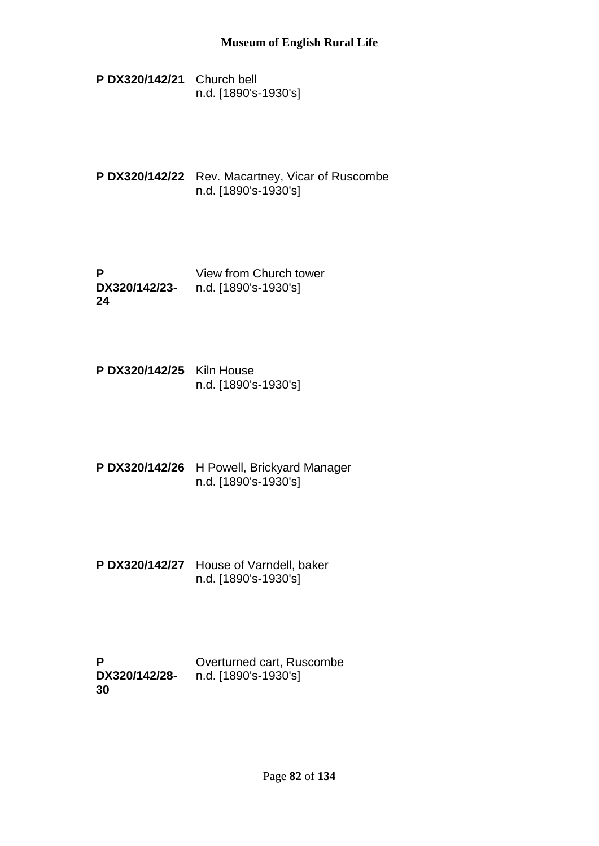- **P DX320/142/21** Church bell n.d. [1890's-1930's]
- **P DX320/142/22** Rev. Macartney, Vicar of Ruscombe n.d. [1890's-1930's]
- **P DX320/142/23-** n.d. [1890's-1930's] **24** View from Church tower
- **P DX320/142/25** Kiln House n.d. [1890's-1930's]
- **P DX320/142/26** H Powell, Brickyard Manager n.d. [1890's-1930's]
- **P DX320/142/27** House of Varndell, baker n.d. [1890's-1930's]

| P             | Overturned cart, Ruscombe |
|---------------|---------------------------|
| DX320/142/28- | n.d. [1890's-1930's]      |
| 30            |                           |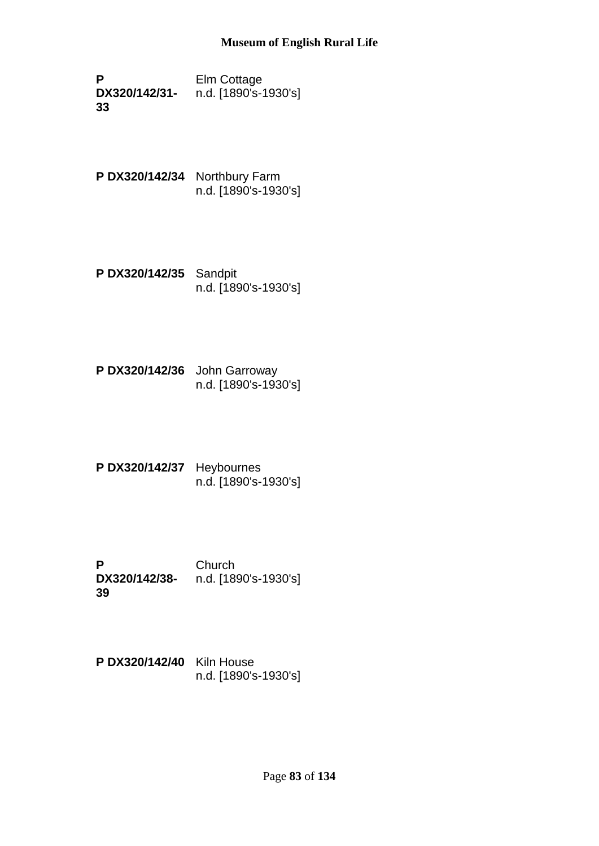**P DX320/142/31- 33** Elm Cottage n.d. [1890's-1930's]

- **P DX320/142/34** Northbury Farm n.d. [1890's-1930's]
- **P DX320/142/35** Sandpit n.d. [1890's-1930's]
- **P DX320/142/36** John Garroway n.d. [1890's-1930's]
- **P DX320/142/37** Heybournes n.d. [1890's-1930's]
- **P DX320/142/38-** n.d. [1890's-1930's] **39 Church**
- **P DX320/142/40** Kiln House n.d. [1890's-1930's]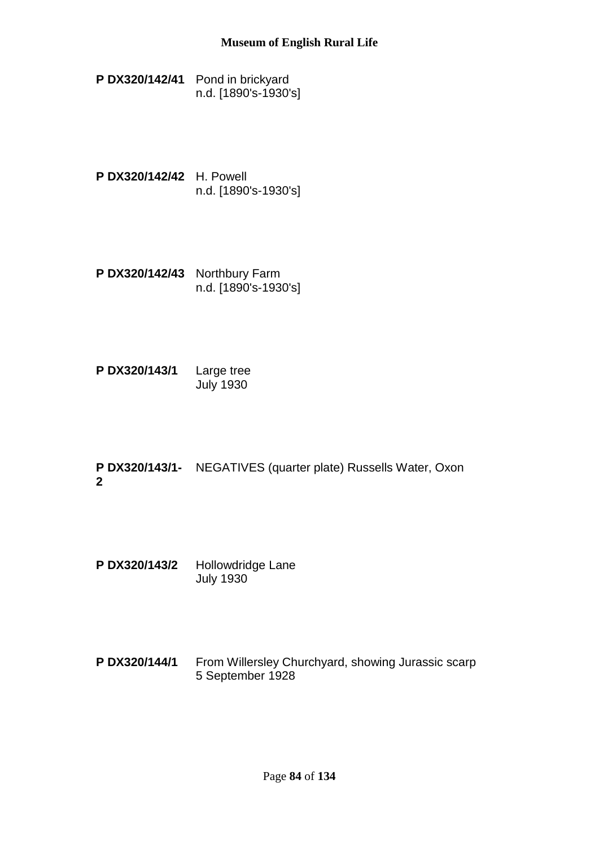**P DX320/142/41** Pond in brickyard n.d. [1890's-1930's]

- **P DX320/142/42** H. Powell n.d. [1890's-1930's]
- **P DX320/142/43** Northbury Farm n.d. [1890's-1930's]

**P DX320/143/1** Large tree July 1930

**P DX320/143/1-** NEGATIVES (quarter plate) Russells Water, Oxon **2**

- **P DX320/143/2** Hollowdridge Lane July 1930
- **P DX320/144/1** From Willersley Churchyard, showing Jurassic scarp 5 September 1928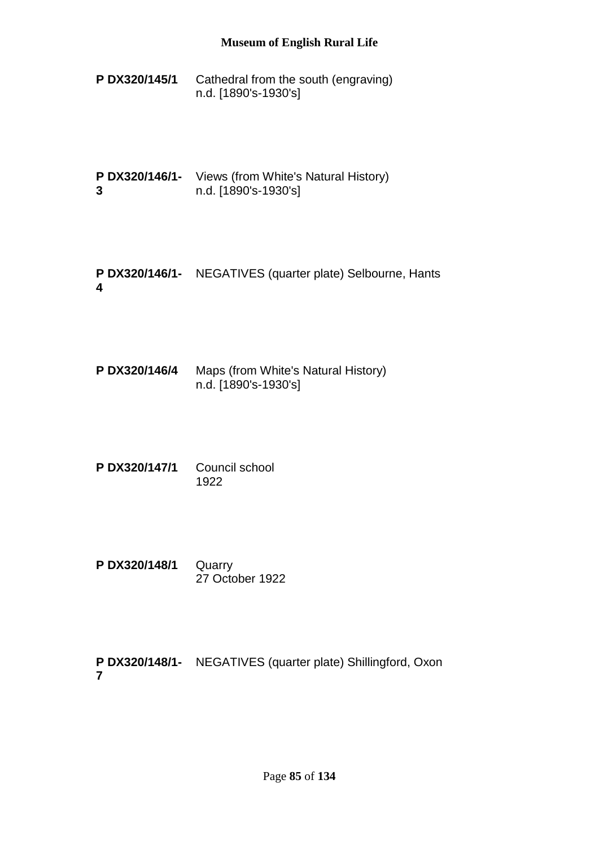**P DX320/145/1** Cathedral from the south (engraving) n.d. [1890's-1930's]

**P DX320/146/1-** Views (from White's Natural History) **3** n.d. [1890's-1930's]

**P DX320/146/1-** NEGATIVES (quarter plate) Selbourne, Hants **4**

**P DX320/146/4** Maps (from White's Natural History) n.d. [1890's-1930's]

**P DX320/147/1** Council school 1922

**P DX320/148/1** Quarry 27 October 1922

**P DX320/148/1-** NEGATIVES (quarter plate) Shillingford, Oxon**7**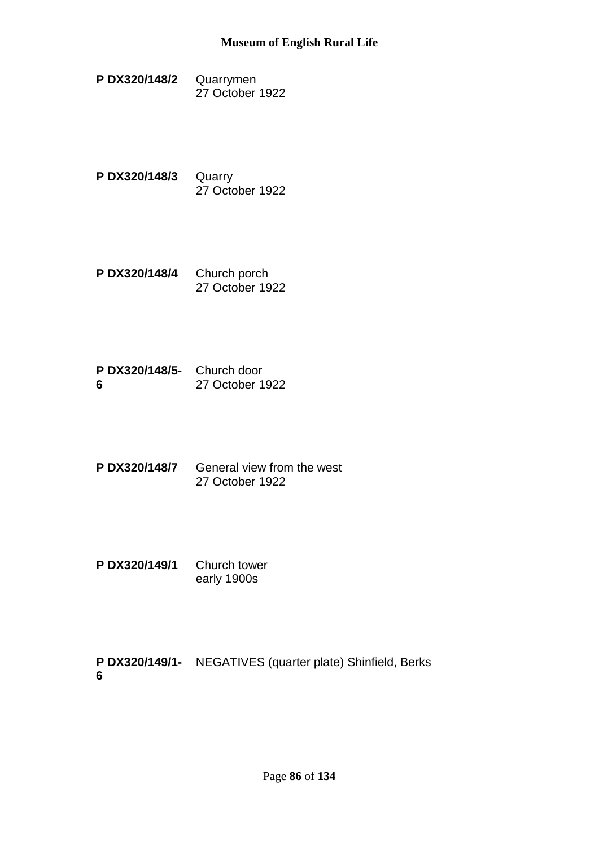- **P DX320/148/2** Quarrymen 27 October 1922
- **P DX320/148/3** Quarry 27 October 1922
- **P DX320/148/4** Church porch 27 October 1922
- **P DX320/148/5-** Church door **6** 27 October 1922
- **P DX320/148/7** General view from the west 27 October 1922
- **P DX320/149/1** Church tower early 1900s

**P DX320/149/1-** NEGATIVES (quarter plate) Shinfield, Berks**6**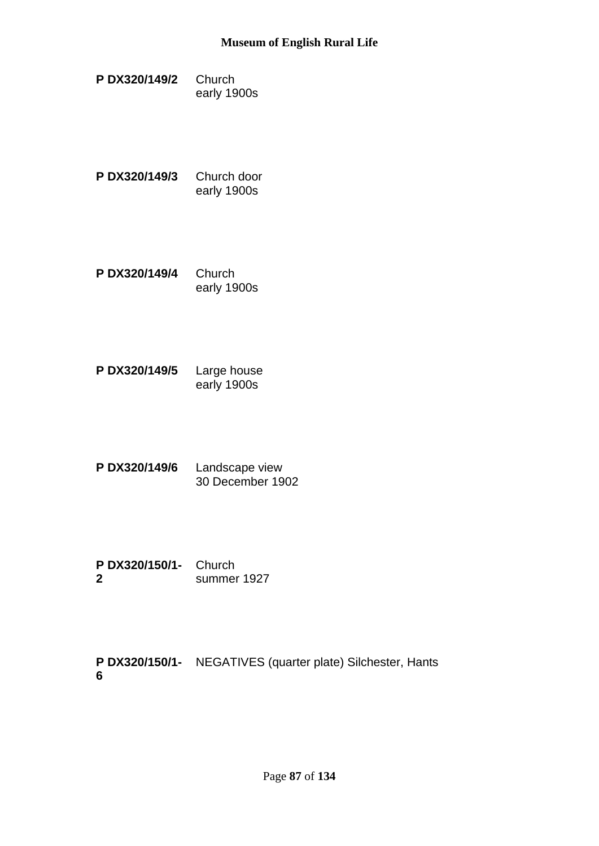- **P DX320/149/2** Church early 1900s
- **P DX320/149/3** Church door early 1900s
- **P DX320/149/4** Church early 1900s
- **P DX320/149/5** Large house early 1900s
- **P DX320/149/6** Landscape view 30 December 1902
- **P DX320/150/1-** Church **2** summer 1927

**P DX320/150/1-** NEGATIVES (quarter plate) Silchester, Hants**6**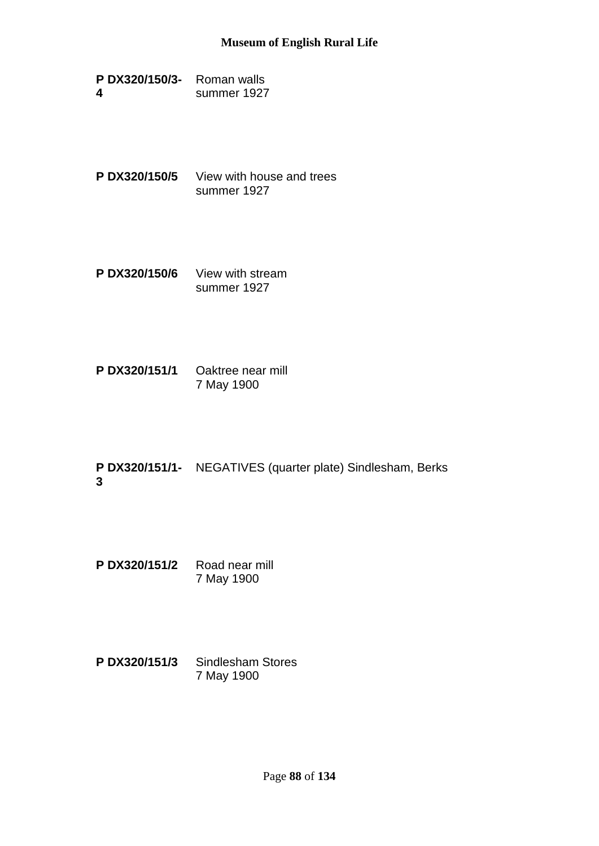| P DX320/150/3- | Roman walls |
|----------------|-------------|
| 4              | summer 1927 |

- **P DX320/150/5** View with house and trees summer 1927
- **P DX320/150/6** View with stream summer 1927
- **P DX320/151/1** Oaktree near mill 7 May 1900
- **P DX320/151/1-** NEGATIVES (quarter plate) Sindlesham, Berks **3**
- **P DX320/151/2** Road near mill 7 May 1900
- **P DX320/151/3** Sindlesham Stores 7 May 1900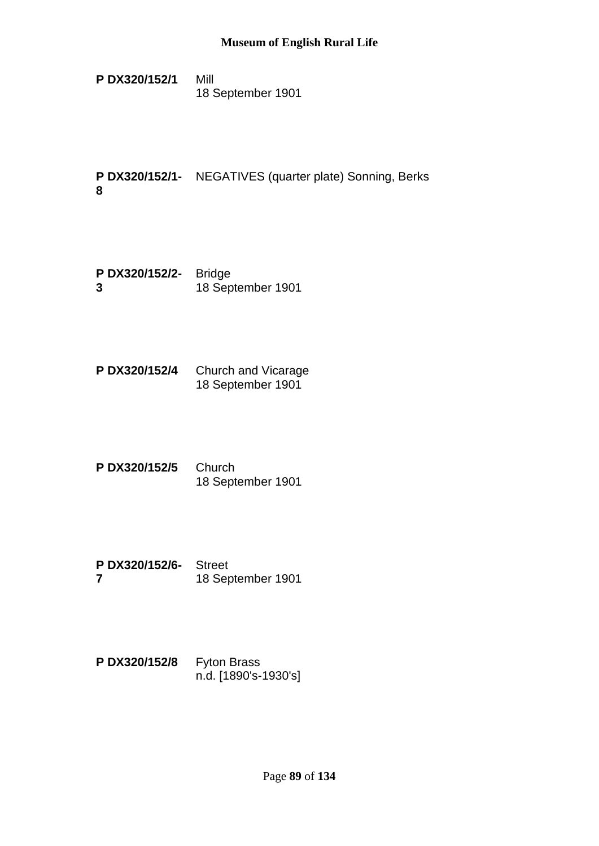**P DX320/152/1** Mill 18 September 1901

**P DX320/152/1-** NEGATIVES (quarter plate) Sonning, Berks **8**

- **P DX320/152/2-** Bridge **3** 18 September 1901
- **P DX320/152/4** Church and Vicarage 18 September 1901
- **P DX320/152/5** Church 18 September 1901
- **P DX320/152/6-** Street **7** 18 September 1901
- **P DX320/152/8** Fyton Brass n.d. [1890's-1930's]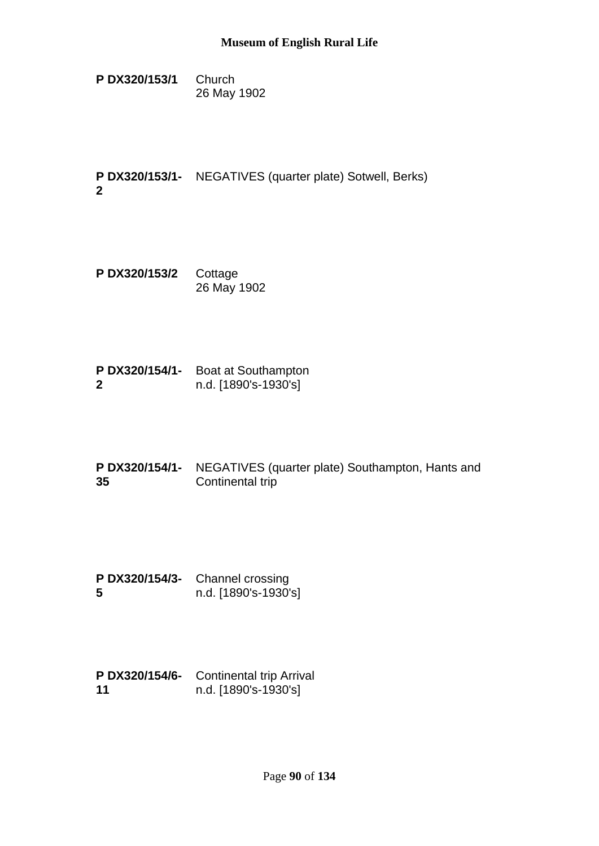**P DX320/153/1** Church 26 May 1902

**P DX320/153/1-** NEGATIVES (quarter plate) Sotwell, Berks) **2**

- **P DX320/153/2** Cottage 26 May 1902
- **P DX320/154/1-** Boat at Southampton **2** n.d. [1890's-1930's]
- **P DX320/154/1-** NEGATIVES (quarter plate) Southampton, Hants and **35** Continental trip
- **P DX320/154/3-** Channel crossing **5** n.d. [1890's-1930's]
- **P DX320/154/6-** Continental trip Arrival **11** n.d. [1890's-1930's]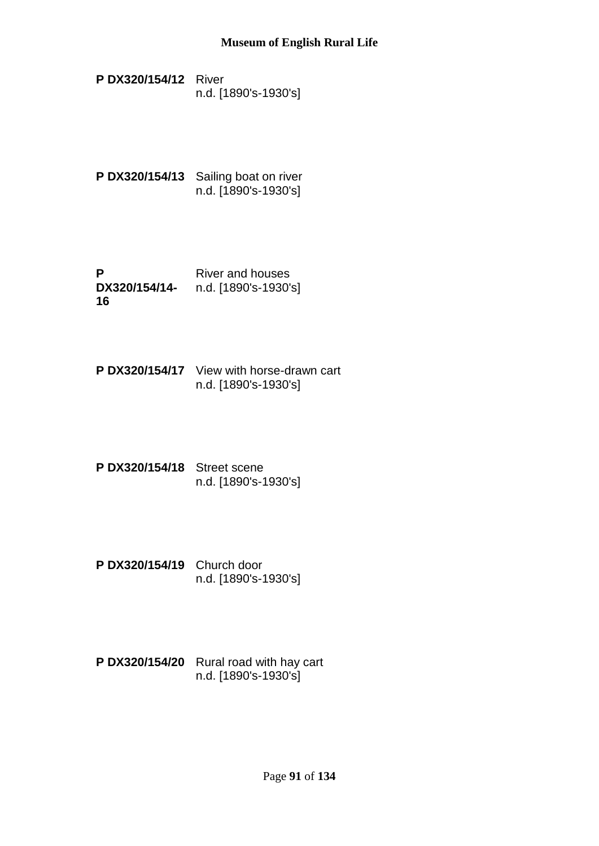- **P DX320/154/12** River n.d. [1890's-1930's]
- P DX320/154/13 Sailing boat on river n.d. [1890's-1930's]
- **P DX320/154/14-** n.d. [1890's-1930's] **16** River and houses
- **P DX320/154/17** View with horse-drawn cart n.d. [1890's-1930's]
- **P DX320/154/18** Street scene n.d. [1890's-1930's]
- **P DX320/154/19** Church door n.d. [1890's-1930's]
- **P DX320/154/20** Rural road with hay cart n.d. [1890's-1930's]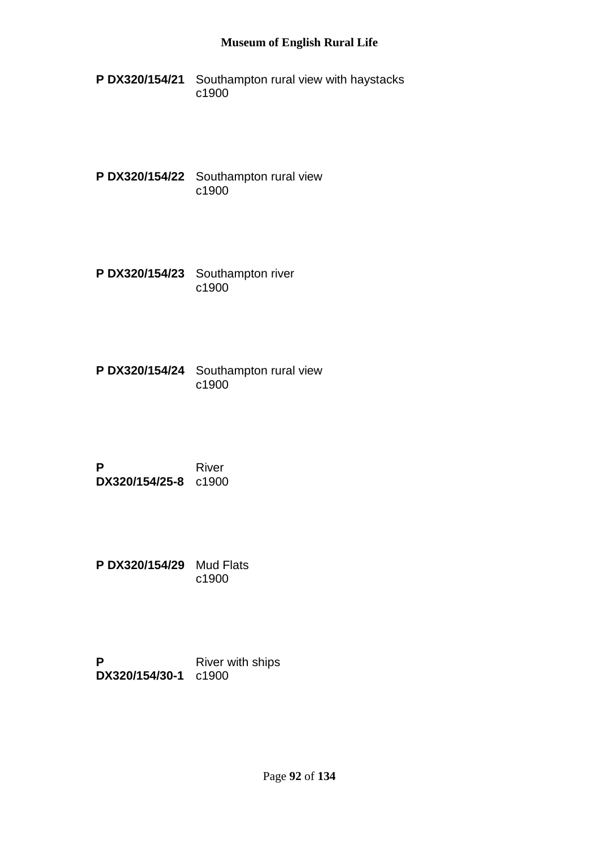- **P DX320/154/21** Southampton rural view with haystacks c1900
- **P DX320/154/22** Southampton rural view c1900
- **P DX320/154/23** Southampton river c1900
- **P DX320/154/24** Southampton rural view c1900
- **P DX320/154/25-8** c1900 River
- **P DX320/154/29** Mud Flats c1900
- **P DX320/154/30-1** c1900River with ships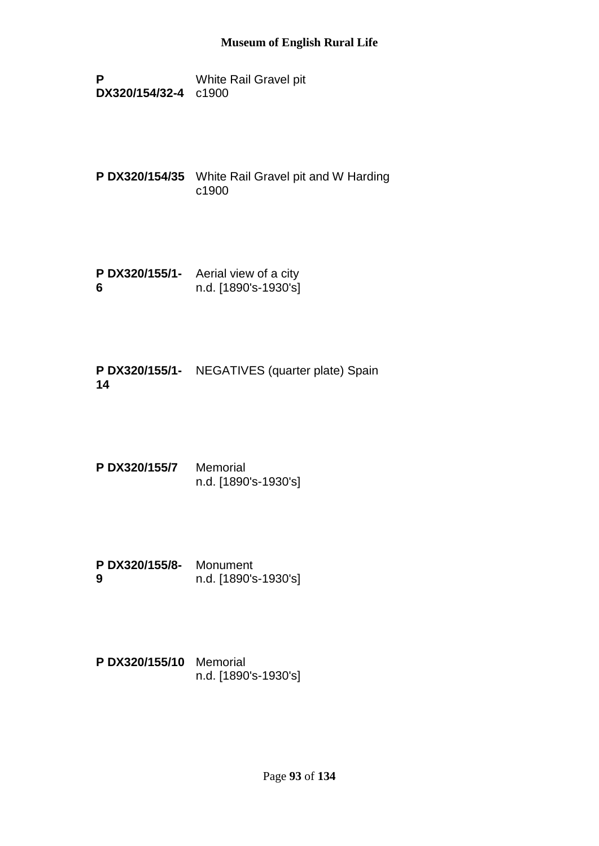**P DX320/154/32-4** c1900 White Rail Gravel pit

**P DX320/154/35** White Rail Gravel pit and W Harding c1900

**P DX320/155/1-** Aerial view of a city **6** n.d. [1890's-1930's]

**P DX320/155/1-** NEGATIVES (quarter plate) Spain **14**

**P DX320/155/7** Memorial n.d. [1890's-1930's]

**P DX320/155/8-** Monument **9** n.d. [1890's-1930's]

**P DX320/155/10** Memorial n.d. [1890's-1930's]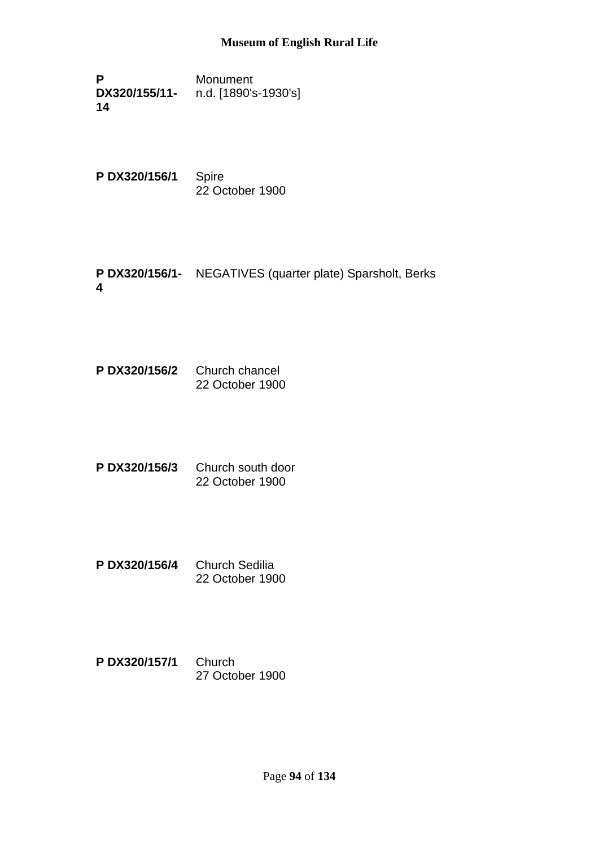**P DX320/155/11- 14** Monument n.d. [1890's-1930's]

**P DX320/156/1** Spire 22 October 1900

**P DX320/156/1-** NEGATIVES (quarter plate) Sparsholt, Berks **4**

**P DX320/156/2** Church chancel 22 October 1900

- **P DX320/156/3** Church south door 22 October 1900
- **P DX320/156/4** Church Sedilia 22 October 1900
- **P DX320/157/1** Church 27 October 1900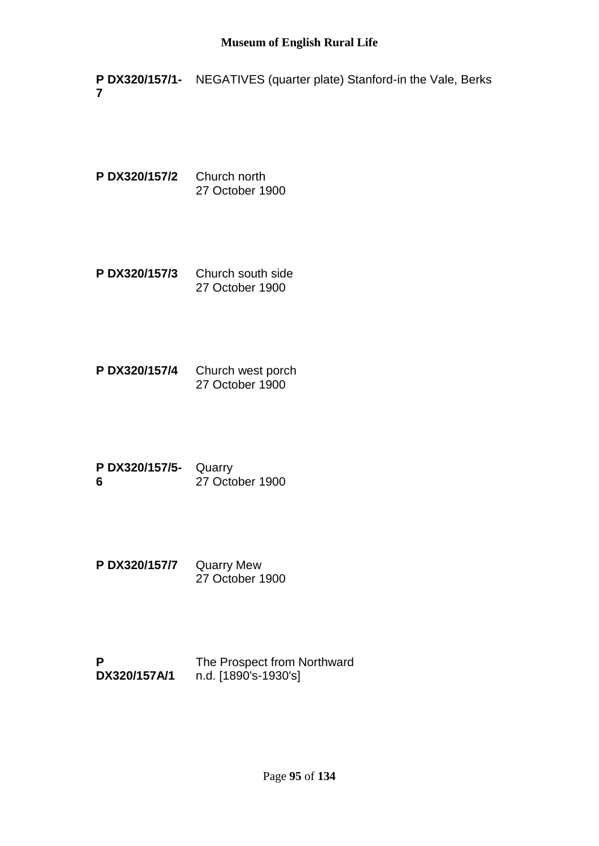**P DX320/157/1-** NEGATIVES (quarter plate) Stanford-in the Vale, Berks **7**

**P DX320/157/2** Church north 27 October 1900

- **P DX320/157/3** Church south side 27 October 1900
- **P DX320/157/4** Church west porch 27 October 1900
- **P DX320/157/5-** Quarry **6** 27 October 1900
- **P DX320/157/7** Quarry Mew 27 October 1900
- **P DX320/157A/1** The Prospect from Northward n.d. [1890's-1930's]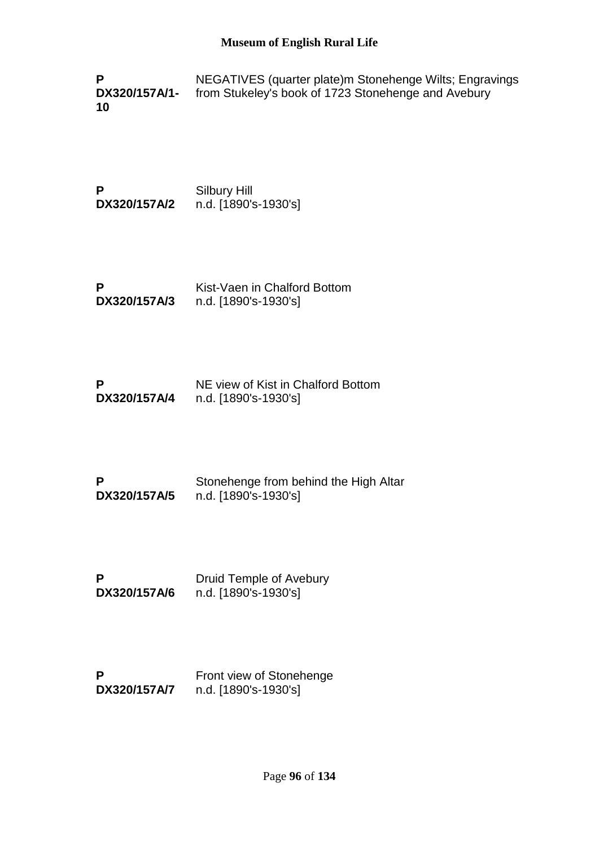**P DX320/157A/1- 10** NEGATIVES (quarter plate)m Stonehenge Wilts; Engravings from Stukeley's book of 1723 Stonehenge and Avebury

**P DX320/157A/2** Silbury Hill n.d. [1890's-1930's]

**P DX320/157A/3** Kist-Vaen in Chalford Bottom n.d. [1890's-1930's]

| P            | NE view of Kist in Chalford Bottom |
|--------------|------------------------------------|
| DX320/157A/4 | n.d. [1890's-1930's]               |

| P            | Stonehenge from behind the High Altar |
|--------------|---------------------------------------|
| DX320/157A/5 | n.d. [1890's-1930's]                  |

**P DX320/157A/6** Druid Temple of Avebury n.d. [1890's-1930's]

**P DX320/157A/7** Front view of Stonehenge n.d. [1890's-1930's]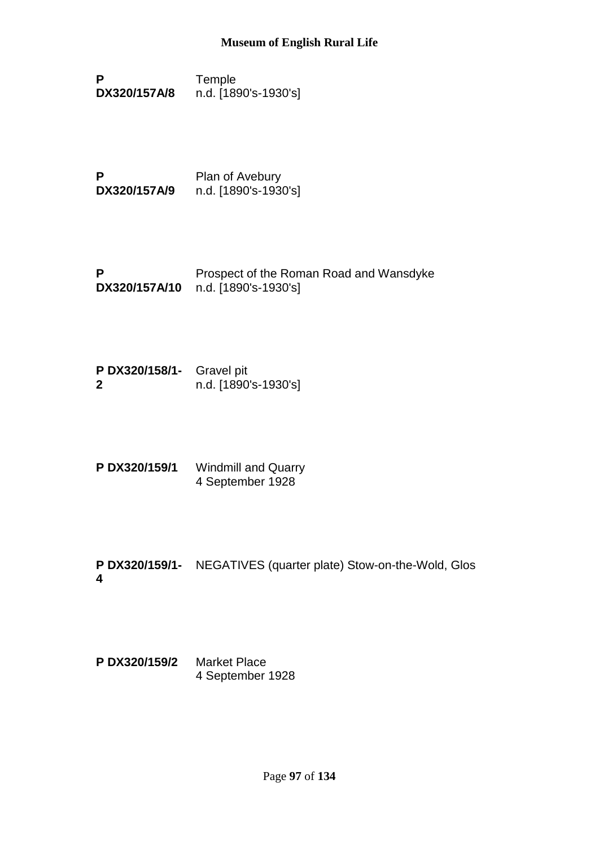- **P DX320/157A/8** Temple n.d. [1890's-1930's]
- **P DX320/157A/9** Plan of Avebury n.d. [1890's-1930's]
- **P DX320/157A/10** n.d. [1890's-1930's] Prospect of the Roman Road and Wansdyke
- **P DX320/158/1-** Gravel pit **2** n.d. [1890's-1930's]
- **P DX320/159/1** Windmill and Quarry 4 September 1928
- **P DX320/159/1-** NEGATIVES (quarter plate) Stow-on-the-Wold, Glos **4**
- **P DX320/159/2** Market Place 4 September 1928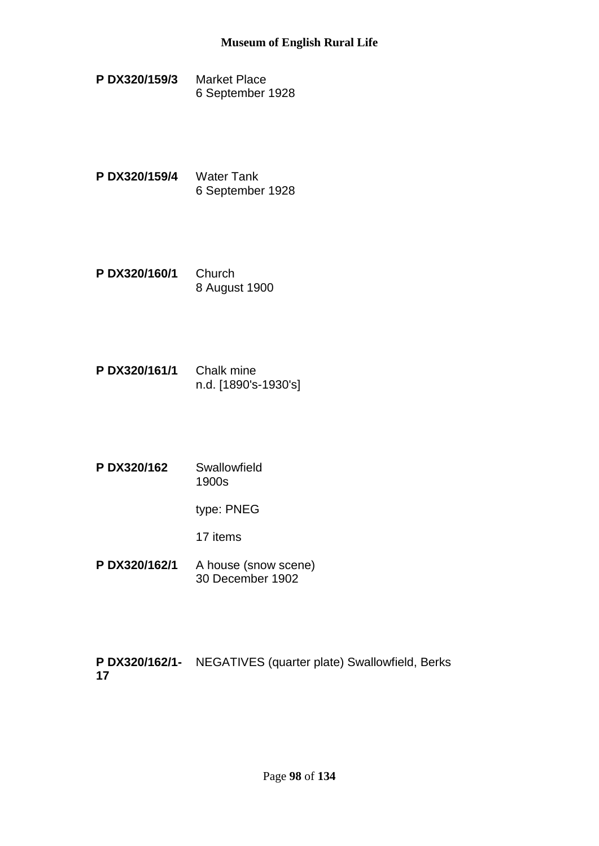- **P DX320/159/3** Market Place 6 September 1928
- **P DX320/159/4** Water Tank 6 September 1928
- **P DX320/160/1** Church 8 August 1900
- **P DX320/161/1** Chalk mine n.d. [1890's-1930's]
- **P DX320/162** Swallowfield 1900s

type: PNEG

17 items

**P DX320/162/1** A house (snow scene) 30 December 1902

**P DX320/162/1-** NEGATIVES (quarter plate) Swallowfield, Berks**17**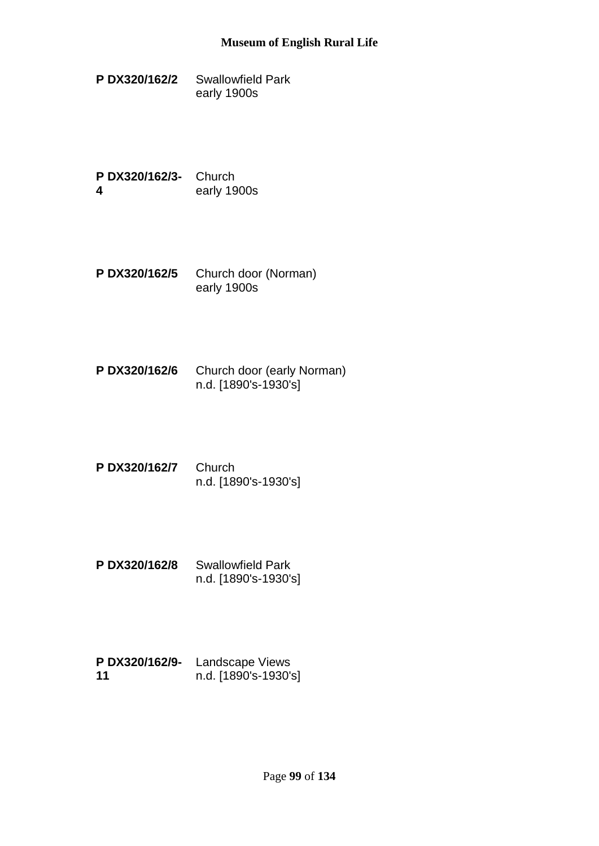**P DX320/162/2** Swallowfield Park early 1900s

**P DX320/162/3-** Church **4** early 1900s

- **P DX320/162/5** Church door (Norman) early 1900s
- **P DX320/162/6** Church door (early Norman) n.d. [1890's-1930's]
- **P DX320/162/7** Church n.d. [1890's-1930's]
- **P DX320/162/8** Swallowfield Park n.d. [1890's-1930's]
- **P DX320/162/9-** Landscape Views **11** n.d. [1890's-1930's]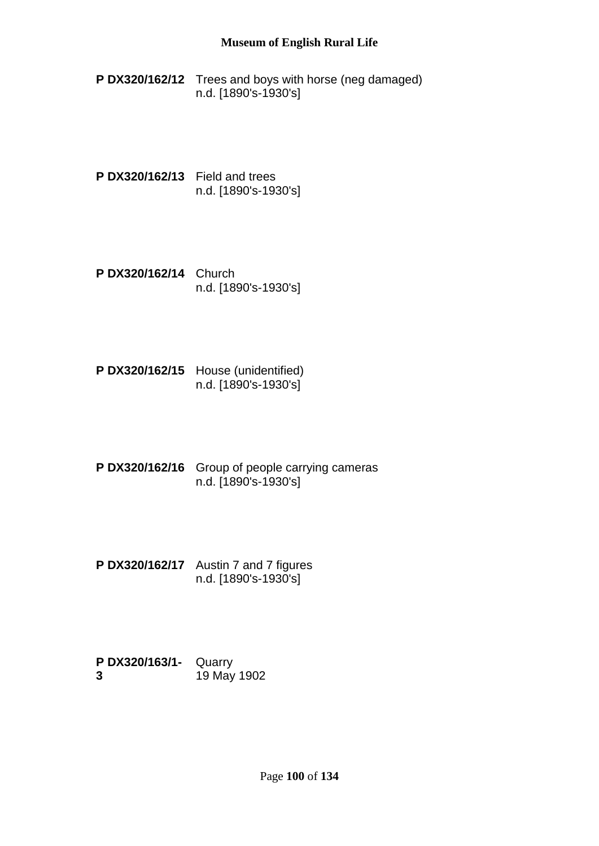- **P DX320/162/12** Trees and boys with horse (neg damaged) n.d. [1890's-1930's]
- **P DX320/162/13** Field and trees n.d. [1890's-1930's]
- **P DX320/162/14** Church n.d. [1890's-1930's]
- **P DX320/162/15** House (unidentified) n.d. [1890's-1930's]
- **P DX320/162/16** Group of people carrying cameras n.d. [1890's-1930's]
- **P DX320/162/17** Austin 7 and 7 figures n.d. [1890's-1930's]
- **P DX320/163/1-** Quarry **3** 19 May 1902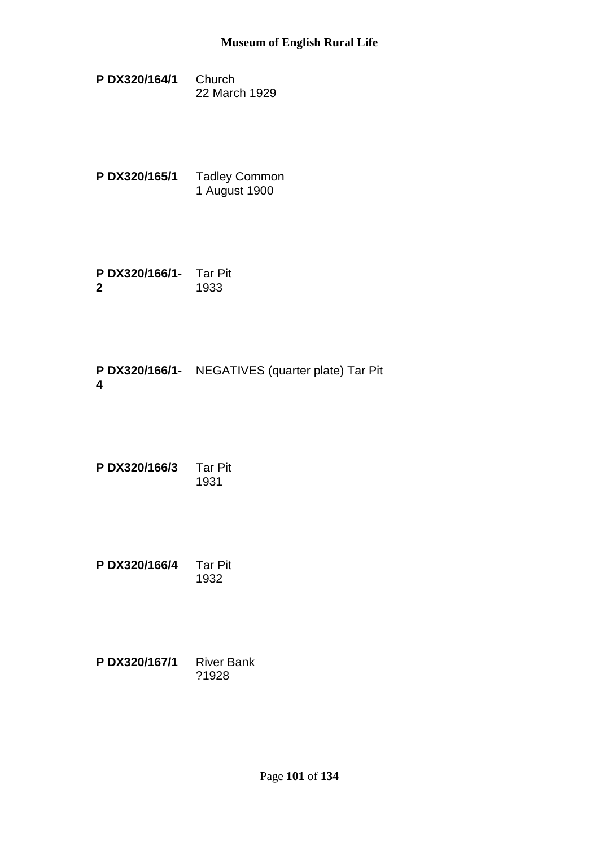- **P DX320/164/1** Church 22 March 1929
- **P DX320/165/1** Tadley Common 1 August 1900
- **P DX320/166/1-** Tar Pit **2** 1933

**P DX320/166/1-** NEGATIVES (quarter plate) Tar Pit **4**

| PDX320/166/3 | <b>Tar Pit</b> |
|--------------|----------------|
|              | 1931           |

**P DX320/166/4** Tar Pit 1932

| PDX320/167/1 | <b>River Bank</b> |
|--------------|-------------------|
|              | ?1928             |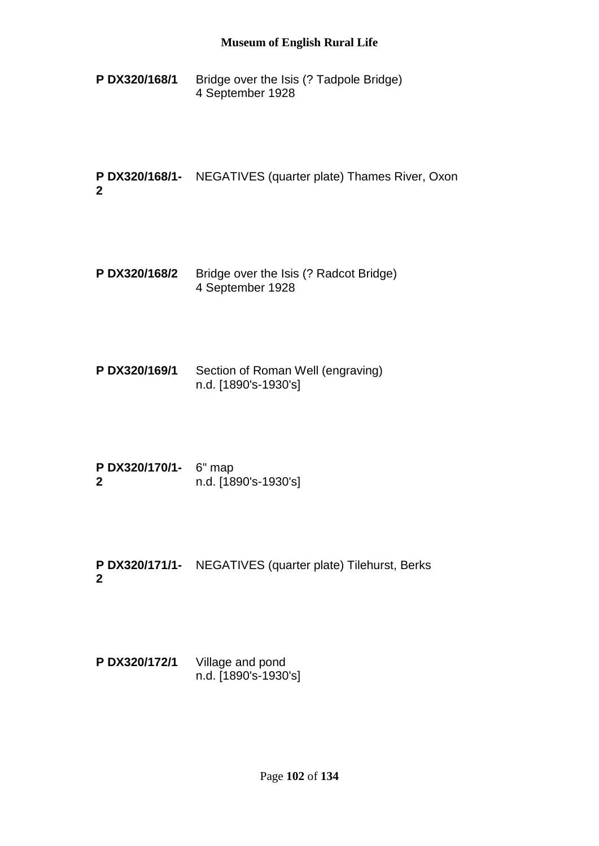**P DX320/168/1** Bridge over the Isis (? Tadpole Bridge) 4 September 1928

**P DX320/168/1-** NEGATIVES (quarter plate) Thames River, Oxon **2**

- **P DX320/168/2** Bridge over the Isis (? Radcot Bridge) 4 September 1928
- **P DX320/169/1** Section of Roman Well (engraving) n.d. [1890's-1930's]
- **P DX320/170/1-** 6" map **2** n.d. [1890's-1930's]
- **P DX320/171/1-** NEGATIVES (quarter plate) Tilehurst, Berks **2**

**P DX320/172/1** Village and pond n.d. [1890's-1930's]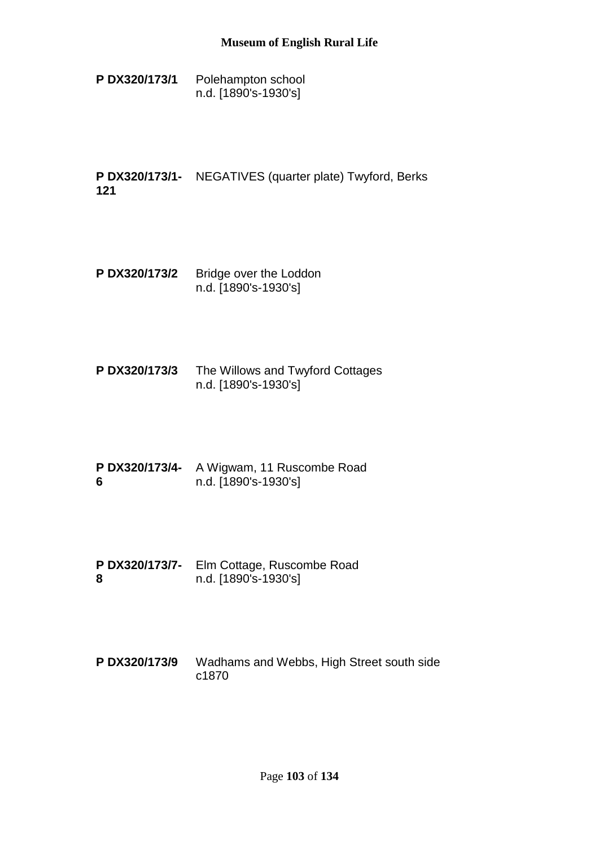**P DX320/173/1** Polehampton school n.d. [1890's-1930's]

**P DX320/173/1-** NEGATIVES (quarter plate) Twyford, Berks **121**

- **P DX320/173/2** Bridge over the Loddon n.d. [1890's-1930's]
- **P DX320/173/3** The Willows and Twyford Cottages n.d. [1890's-1930's]
- **P DX320/173/4-** A Wigwam, 11 Ruscombe Road **6** n.d. [1890's-1930's]
- **P DX320/173/7-** Elm Cottage, Ruscombe Road **8** n.d. [1890's-1930's]
- **P DX320/173/9** Wadhams and Webbs, High Street south side c1870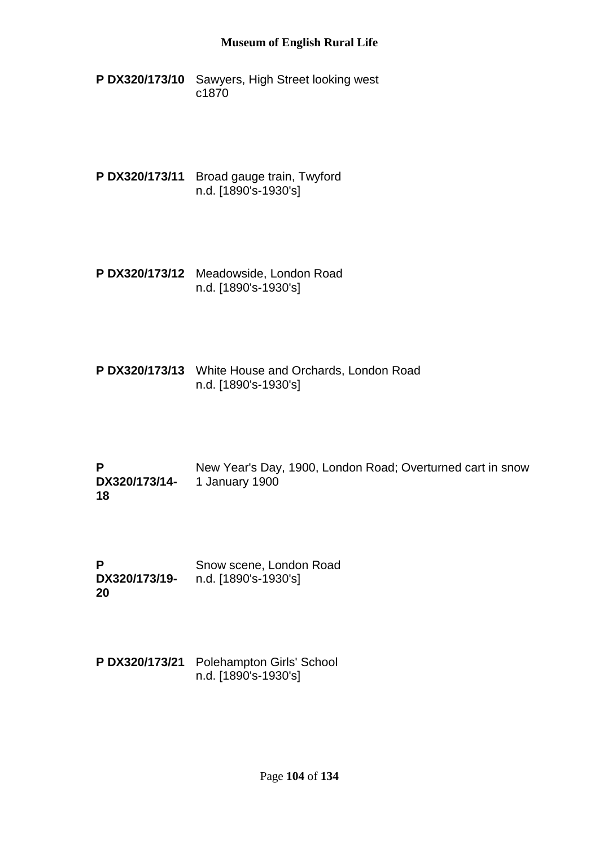- **P DX320/173/10** Sawyers, High Street looking west c1870
- **P DX320/173/11** Broad gauge train, Twyford n.d. [1890's-1930's]
- **P DX320/173/12** Meadowside, London Road n.d. [1890's-1930's]
- **P DX320/173/13** White House and Orchards, London Road n.d. [1890's-1930's]
- **P DX320/173/14- 18** New Year's Day, 1900, London Road; Overturned cart in snow 1 January 1900
- **P DX320/173/19-** n.d. [1890's-1930's] **20** Snow scene, London Road
- **P DX320/173/21** Polehampton Girls' School n.d. [1890's-1930's]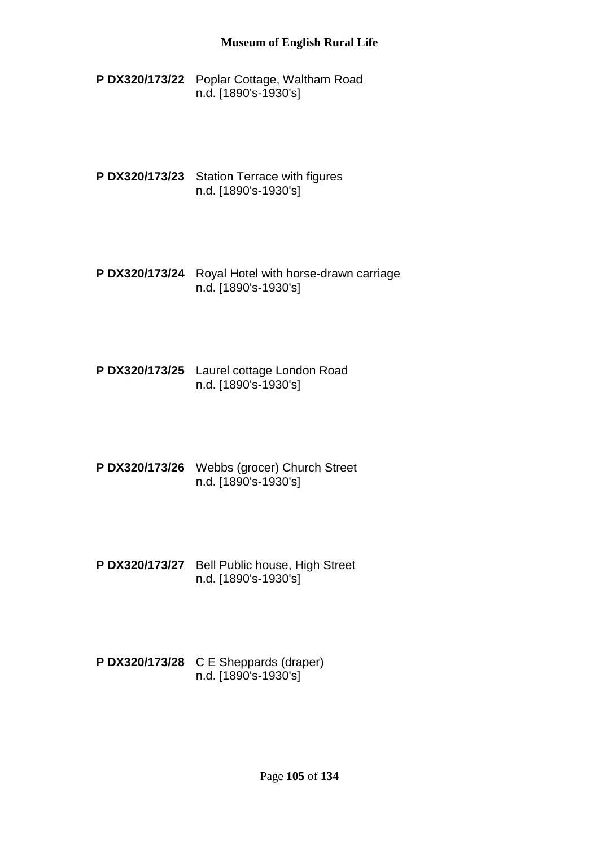- **P DX320/173/22** Poplar Cottage, Waltham Road n.d. [1890's-1930's]
- **P DX320/173/23** Station Terrace with figures n.d. [1890's-1930's]
- **P DX320/173/24** Royal Hotel with horse-drawn carriage n.d. [1890's-1930's]
- **P DX320/173/25** Laurel cottage London Road n.d. [1890's-1930's]
- **P DX320/173/26** Webbs (grocer) Church Street n.d. [1890's-1930's]
- **P DX320/173/27** Bell Public house, High Street n.d. [1890's-1930's]
- **P DX320/173/28** C E Sheppards (draper) n.d. [1890's-1930's]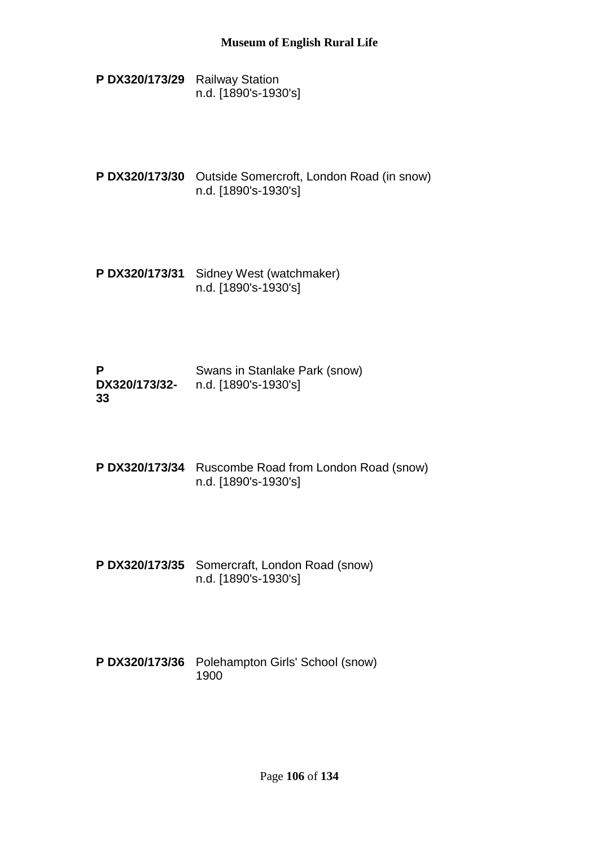- **P DX320/173/29** Railway Station n.d. [1890's-1930's]
- **P DX320/173/30** Outside Somercroft, London Road (in snow) n.d. [1890's-1930's]
- **P DX320/173/31** Sidney West (watchmaker) n.d. [1890's-1930's]
- **P DX320/173/32-** n.d. [1890's-1930's] **33** Swans in Stanlake Park (snow)
- **P DX320/173/34** Ruscombe Road from London Road (snow) n.d. [1890's-1930's]
- **P DX320/173/35** Somercraft, London Road (snow) n.d. [1890's-1930's]
- **P DX320/173/36** Polehampton Girls' School (snow) 1900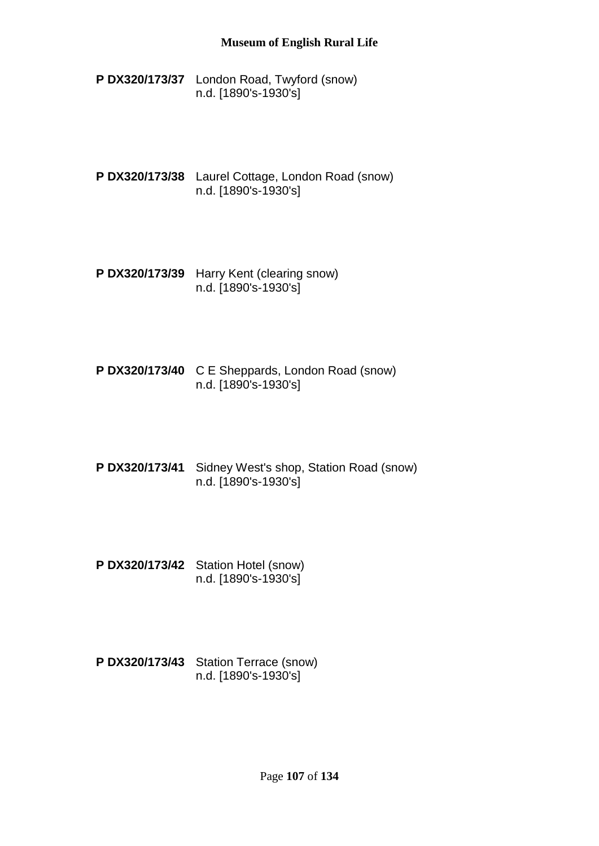- **P DX320/173/37** London Road, Twyford (snow) n.d. [1890's-1930's]
- **P DX320/173/38** Laurel Cottage, London Road (snow) n.d. [1890's-1930's]
- **P DX320/173/39** Harry Kent (clearing snow) n.d. [1890's-1930's]
- **P DX320/173/40** C E Sheppards, London Road (snow) n.d. [1890's-1930's]
- **P DX320/173/41** Sidney West's shop, Station Road (snow) n.d. [1890's-1930's]
- **P DX320/173/42** Station Hotel (snow) n.d. [1890's-1930's]
- **P DX320/173/43** Station Terrace (snow) n.d. [1890's-1930's]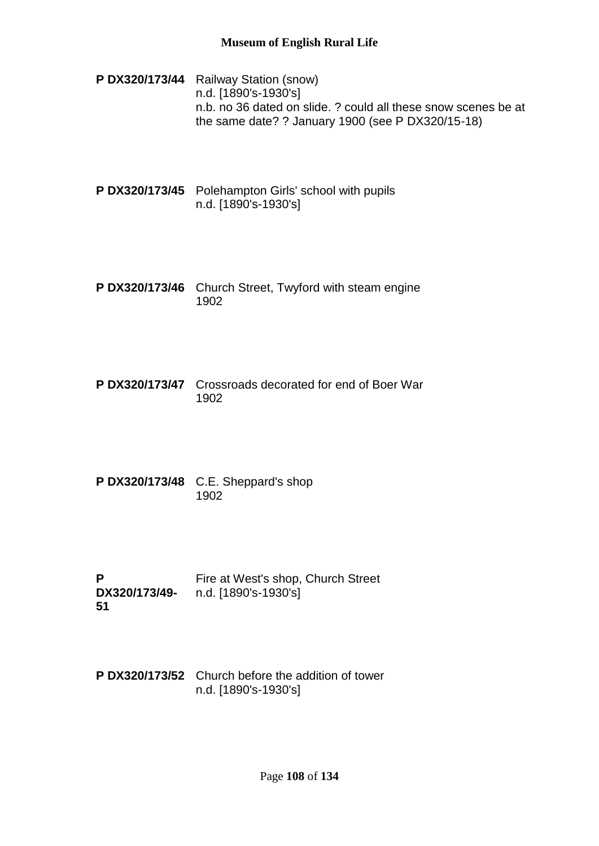- **P DX320/173/44** Railway Station (snow) n.d. [1890's-1930's] n.b. no 36 dated on slide. ? could all these snow scenes be at the same date? ? January 1900 (see P DX320/15-18)
- **P DX320/173/45** Polehampton Girls' school with pupils n.d. [1890's-1930's]
- **P DX320/173/46** Church Street, Twyford with steam engine 1902
- **P DX320/173/47** Crossroads decorated for end of Boer War 1902
- **P DX320/173/48** C.E. Sheppard's shop 1902
- **P DX320/173/49- 51** Fire at West's shop, Church Street n.d. [1890's-1930's]
- **P DX320/173/52** Church before the addition of tower n.d. [1890's-1930's]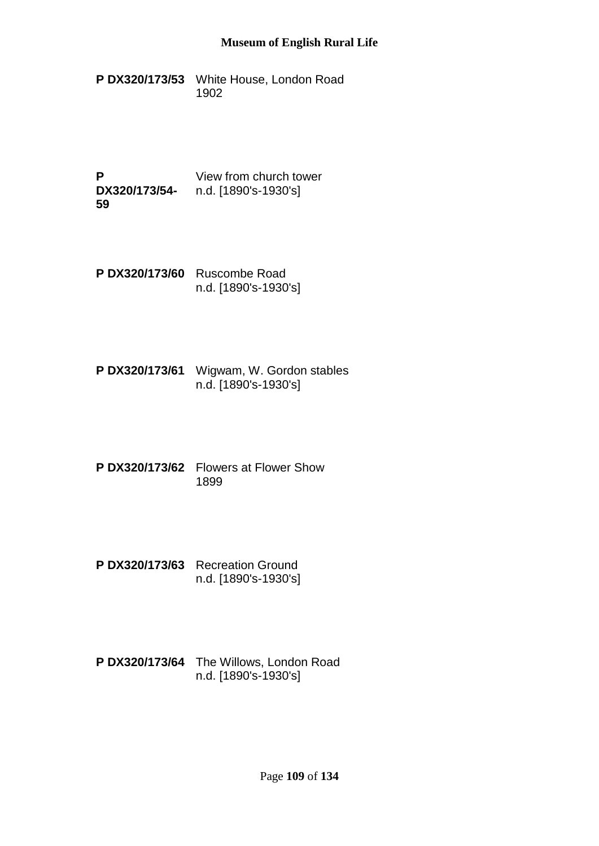- **P DX320/173/53** White House, London Road 1902
- **P DX320/173/54-** n.d. [1890's-1930's] **59** View from church tower
- **P DX320/173/60** Ruscombe Road n.d. [1890's-1930's]
- **P DX320/173/61** Wigwam, W. Gordon stables n.d. [1890's-1930's]
- **P DX320/173/62** Flowers at Flower Show 1899
- **P DX320/173/63** Recreation Ground n.d. [1890's-1930's]
- **P DX320/173/64** The Willows, London Road n.d. [1890's-1930's]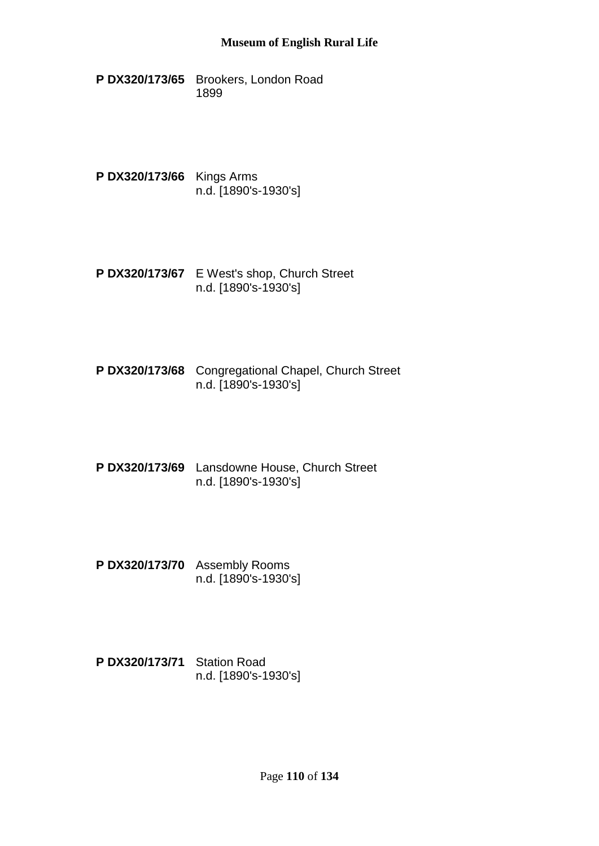- **P DX320/173/65** Brookers, London Road 1899
- **P DX320/173/66** Kings Arms n.d. [1890's-1930's]
- **P DX320/173/67** E West's shop, Church Street n.d. [1890's-1930's]
- **P DX320/173/68** Congregational Chapel, Church Street n.d. [1890's-1930's]
- **P DX320/173/69** Lansdowne House, Church Street n.d. [1890's-1930's]
- **P DX320/173/70** Assembly Rooms n.d. [1890's-1930's]
- **P DX320/173/71** Station Road n.d. [1890's-1930's]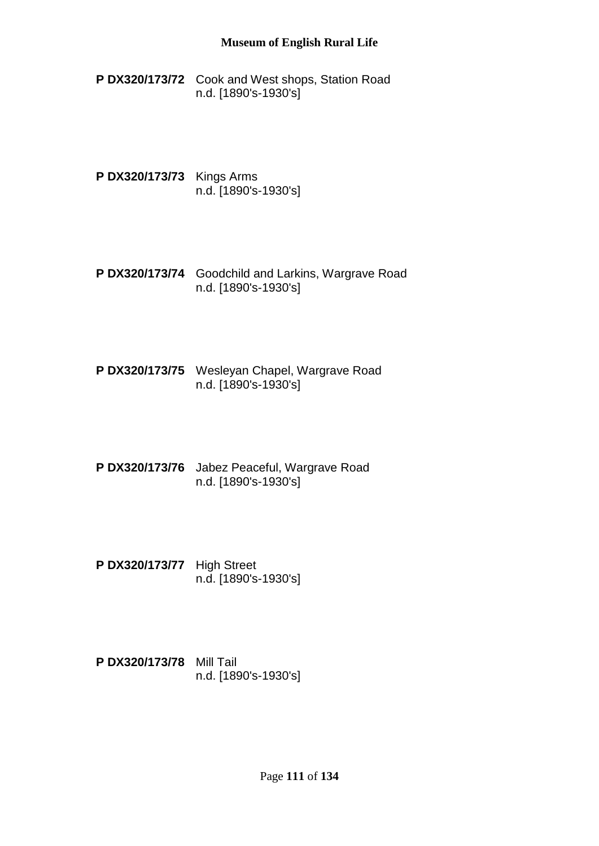- **P DX320/173/72** Cook and West shops, Station Road n.d. [1890's-1930's]
- **P DX320/173/73** Kings Arms n.d. [1890's-1930's]
- **P DX320/173/74** Goodchild and Larkins, Wargrave Road n.d. [1890's-1930's]
- **P DX320/173/75** Wesleyan Chapel, Wargrave Road n.d. [1890's-1930's]
- **P DX320/173/76** Jabez Peaceful, Wargrave Road n.d. [1890's-1930's]
- **P DX320/173/77** High Street n.d. [1890's-1930's]
- **P DX320/173/78** Mill Tail n.d. [1890's-1930's]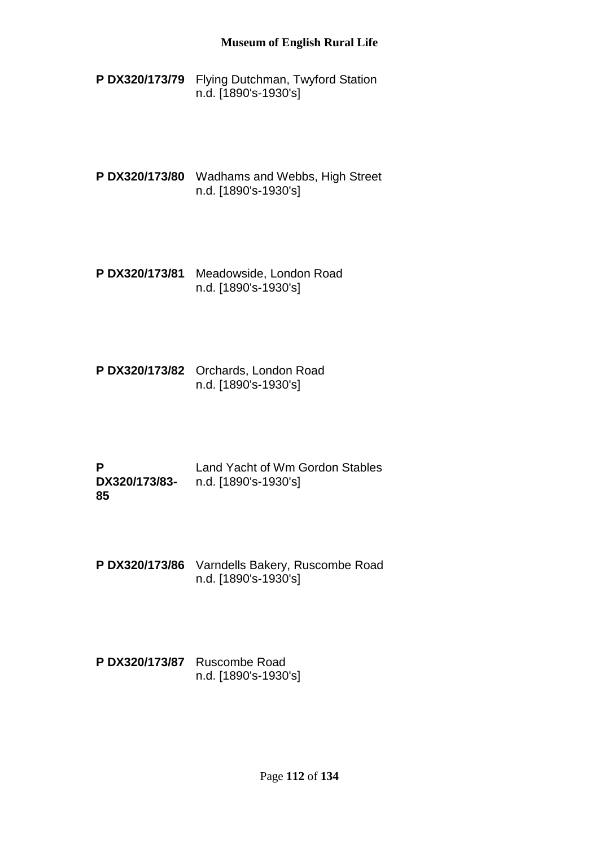- **P DX320/173/79** Flying Dutchman, Twyford Station n.d. [1890's-1930's]
- **P DX320/173/80** Wadhams and Webbs, High Street n.d. [1890's-1930's]
- **P DX320/173/81** Meadowside, London Road n.d. [1890's-1930's]
- **P DX320/173/82** Orchards, London Road n.d. [1890's-1930's]
- **P DX320/173/83-** n.d. [1890's-1930's] **85** Land Yacht of Wm Gordon Stables
- **P DX320/173/86** Varndells Bakery, Ruscombe Road n.d. [1890's-1930's]
- **P DX320/173/87** Ruscombe Road n.d. [1890's-1930's]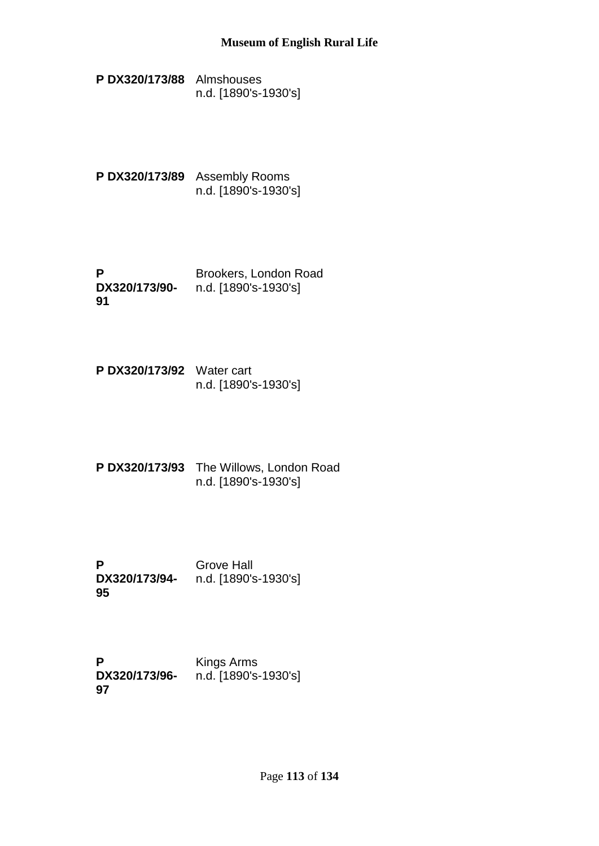- **P DX320/173/88** Almshouses n.d. [1890's-1930's]
- **P DX320/173/89** Assembly Rooms n.d. [1890's-1930's]
- **P DX320/173/90- 91** Brookers, London Road n.d. [1890's-1930's]
- **P DX320/173/92** Water cart n.d. [1890's-1930's]
- **P DX320/173/93** The Willows, London Road n.d. [1890's-1930's]
- **P DX320/173/94-** n.d. [1890's-1930's] **95** Grove Hall

**P DX320/173/96- 97** Kings Arms n.d. [1890's-1930's]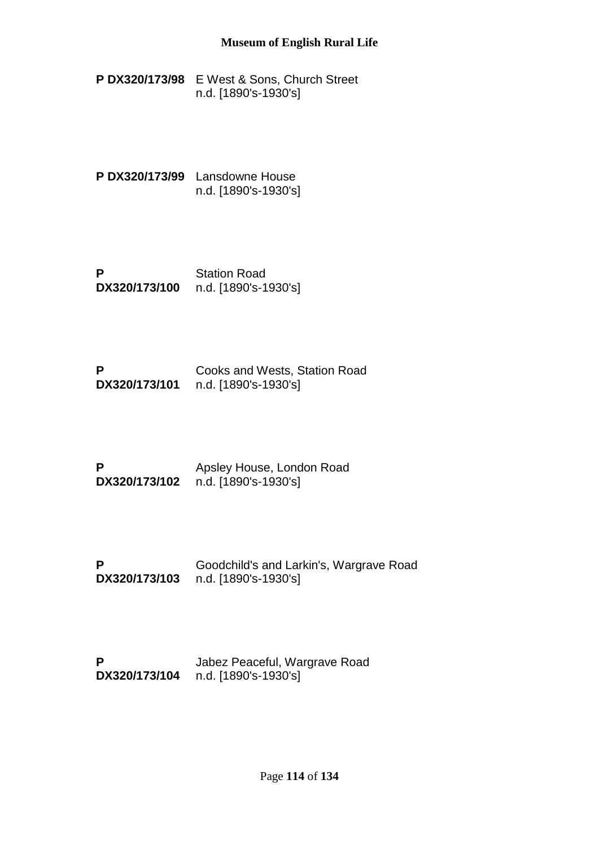**P DX320/173/98** E West & Sons, Church Street n.d. [1890's-1930's]

**P DX320/173/99** Lansdowne House n.d. [1890's-1930's]

**P DX320/173/100** Station Road n.d. [1890's-1930's]

**P DX320/173/101** n.d. [1890's-1930's] Cooks and Wests, Station Road

**P DX320/173/102** n.d. [1890's-1930's] Apsley House, London Road

**P DX320/173/103** n.d. [1890's-1930's] Goodchild's and Larkin's, Wargrave Road

**P DX320/173/104** n.d. [1890's-1930's]Jabez Peaceful, Wargrave Road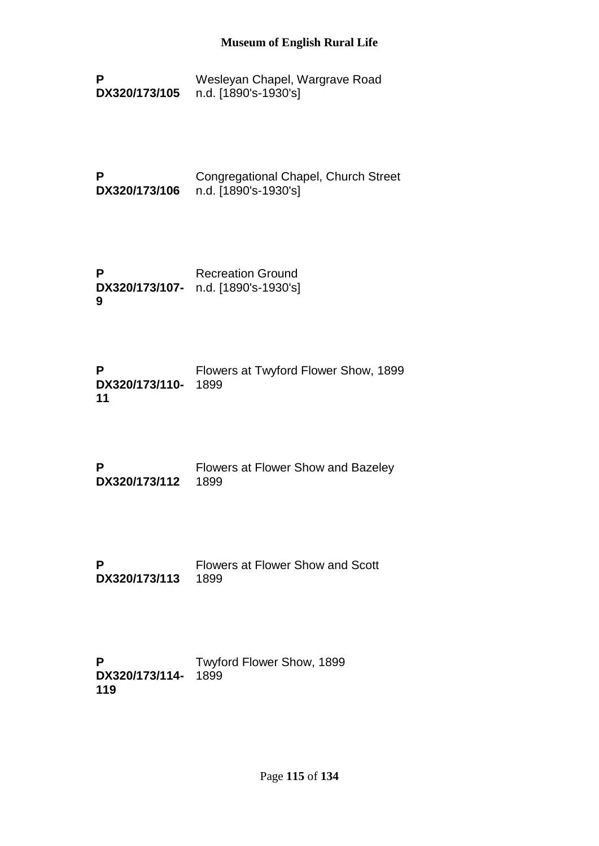- **P DX320/173/105** Wesleyan Chapel, Wargrave Road n.d. [1890's-1930's]
- **P DX320/173/106** Congregational Chapel, Church Street n.d. [1890's-1930's]
- **P DX320/173/107-** n.d. [1890's-1930's] **9** Recreation Ground

| P                   | Flowers at Twyford Flower Show, 1899 |
|---------------------|--------------------------------------|
| DX320/173/110- 1899 |                                      |
| 11                  |                                      |

| P                  | Flowers at Flower Show and Bazeley |
|--------------------|------------------------------------|
| DX320/173/112 1899 |                                    |

**P DX320/173/113** Flowers at Flower Show and Scott 1899

**P DX320/173/114-** 1899**119** Twyford Flower Show, 1899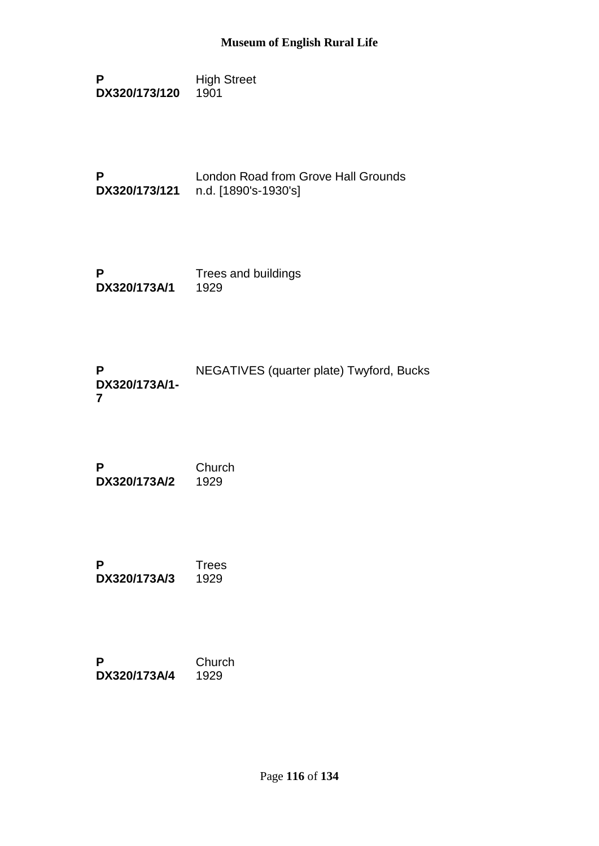**P DX320/173/120** High Street 1901

**P DX320/173/121** n.d. [1890's-1930's] London Road from Grove Hall Grounds

**P DX320/173A/1** Trees and buildings 1929

**P DX320/173A/1- 7** NEGATIVES (quarter plate) Twyford, Bucks

**P DX320/173A/2** Church 1929

**P DX320/173A/3 Trees** 1929

**P DX320/173A/4 Church** 1929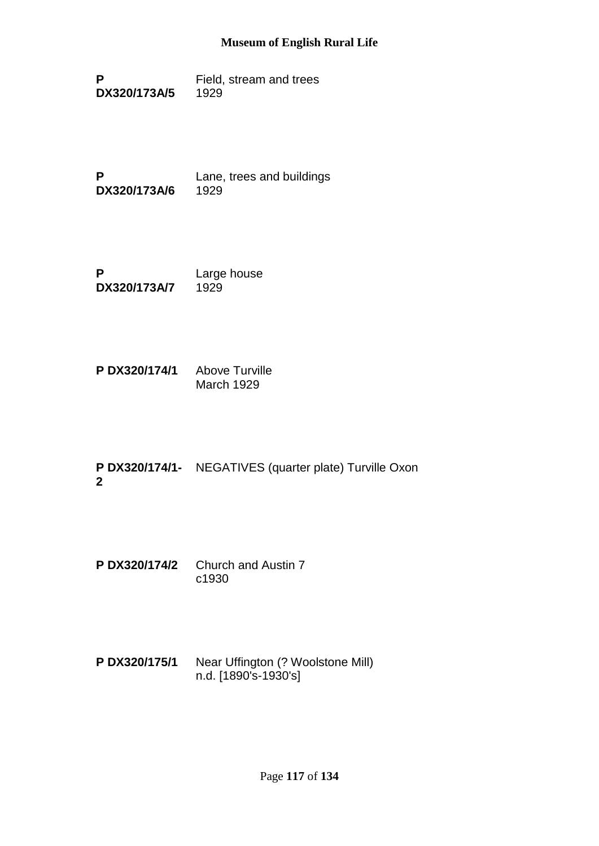**P DX320/173A/5** Field, stream and trees 1929

**P DX320/173A/6** Lane, trees and buildings 1929

**P DX320/173A/7** Large house 1929

**P DX320/174/1** Above Turville March 1929

**P DX320/174/1-** NEGATIVES (quarter plate) Turville Oxon **2**

**P DX320/174/2** Church and Austin 7 c1930

**P DX320/175/1** Near Uffington (? Woolstone Mill) n.d. [1890's-1930's]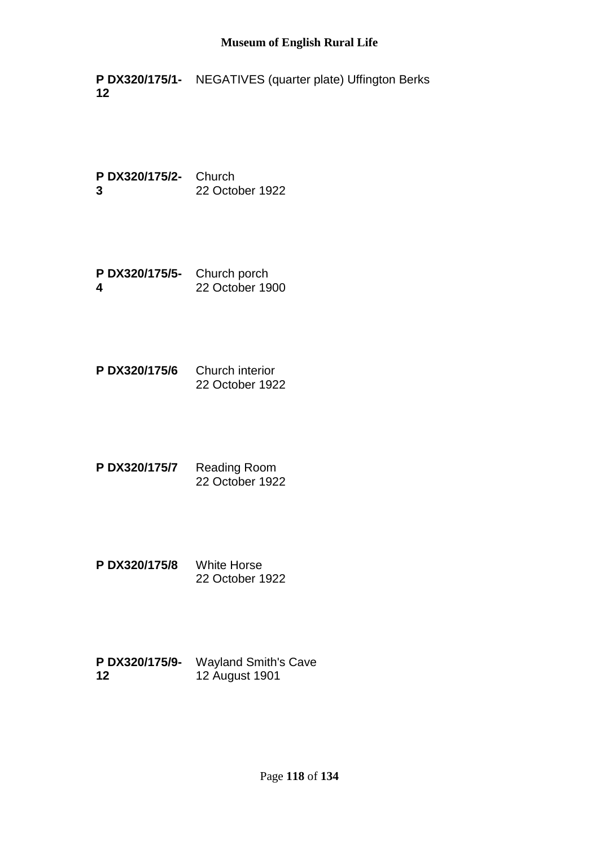**P DX320/175/1-** NEGATIVES (quarter plate) Uffington Berks **12**

**P DX320/175/2-** Church **3** 22 October 1922

- **P DX320/175/5-** Church porch **4** 22 October 1900
- **P DX320/175/6** Church interior 22 October 1922
- **P DX320/175/7** Reading Room 22 October 1922
- **P DX320/175/8** White Horse 22 October 1922
- **P DX320/175/9-** Wayland Smith's Cave **12** 12 August 1901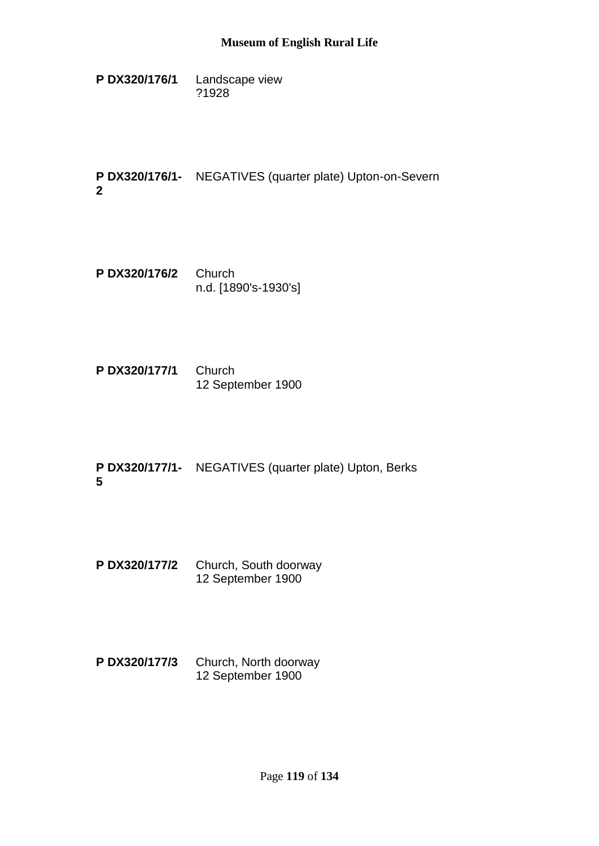**P DX320/176/1** Landscape view ?1928

**P DX320/176/1-** NEGATIVES (quarter plate) Upton-on-Severn **2**

- **P DX320/176/2** Church n.d. [1890's-1930's]
- **P DX320/177/1** Church 12 September 1900
- **P DX320/177/1-** NEGATIVES (quarter plate) Upton, Berks **5**
- **P DX320/177/2** Church, South doorway 12 September 1900
- **P DX320/177/3** Church, North doorway 12 September 1900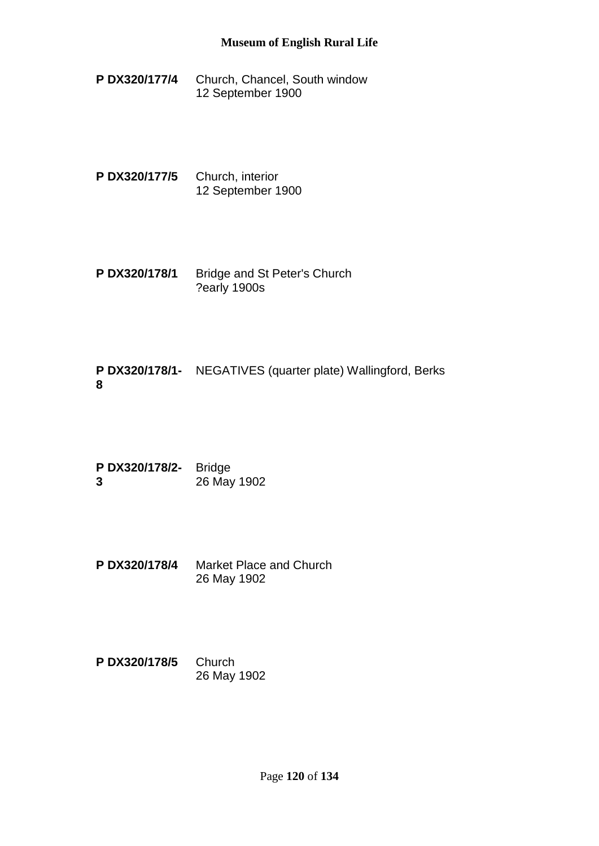**P DX320/177/4** Church, Chancel, South window 12 September 1900

**P DX320/177/5** Church, interior 12 September 1900

**P DX320/178/1** Bridge and St Peter's Church ?early 1900s

**P DX320/178/1-** NEGATIVES (quarter plate) Wallingford, Berks **8**

**P DX320/178/2-** Bridge **3** 26 May 1902

**P DX320/178/4** Market Place and Church 26 May 1902

**P DX320/178/5** Church 26 May 1902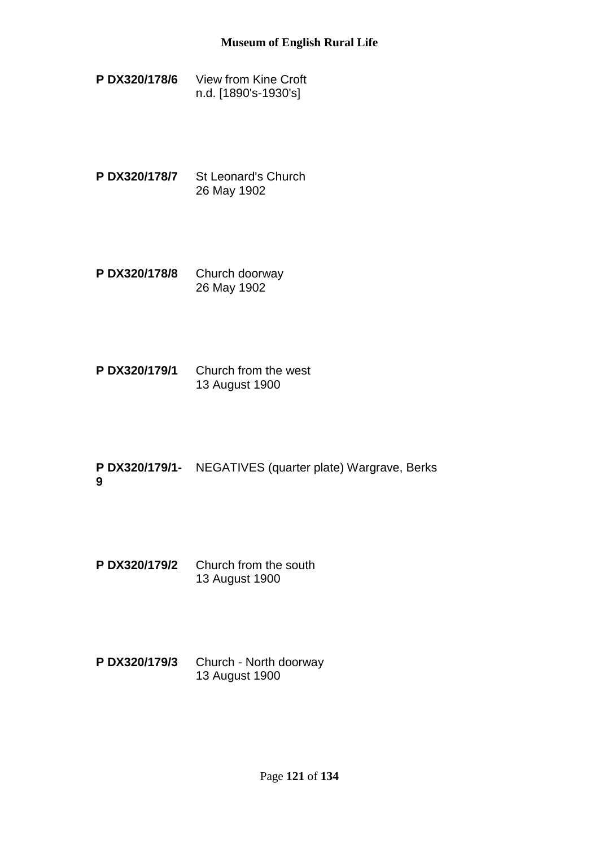- **P DX320/178/6** View from Kine Croft n.d. [1890's-1930's]
- **P DX320/178/7** St Leonard's Church 26 May 1902
- **P DX320/178/8** Church doorway 26 May 1902
- **P DX320/179/1** Church from the west 13 August 1900
- **P DX320/179/1-** NEGATIVES (quarter plate) Wargrave, Berks **9**
- **P DX320/179/2** Church from the south 13 August 1900
- **P DX320/179/3** Church North doorway 13 August 1900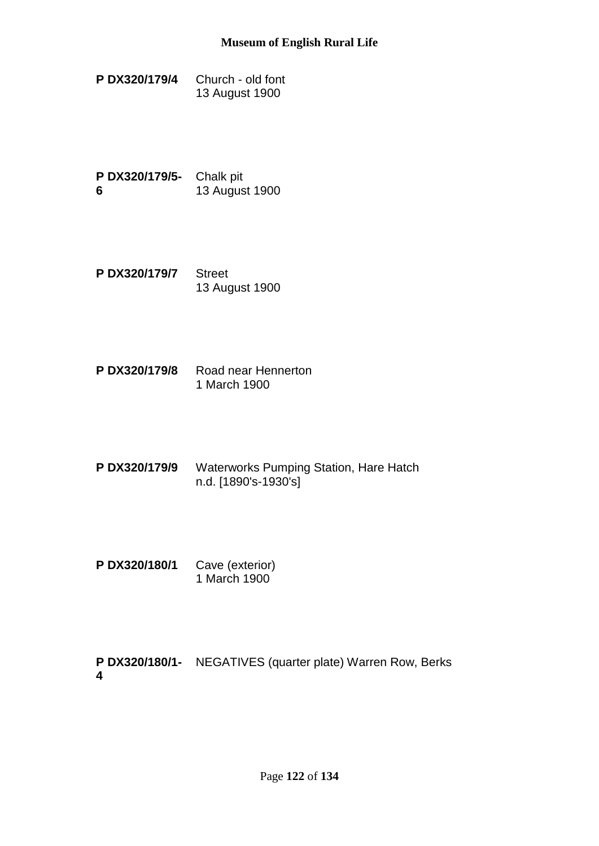**P DX320/179/4** Church - old font 13 August 1900

**P DX320/179/5-** Chalk pit **6** 13 August 1900

- **P DX320/179/7** Street 13 August 1900
- **P DX320/179/8** Road near Hennerton 1 March 1900
- **P DX320/179/9** Waterworks Pumping Station, Hare Hatch n.d. [1890's-1930's]
- **P DX320/180/1** Cave (exterior) 1 March 1900

**P DX320/180/1-** NEGATIVES (quarter plate) Warren Row, Berks**4**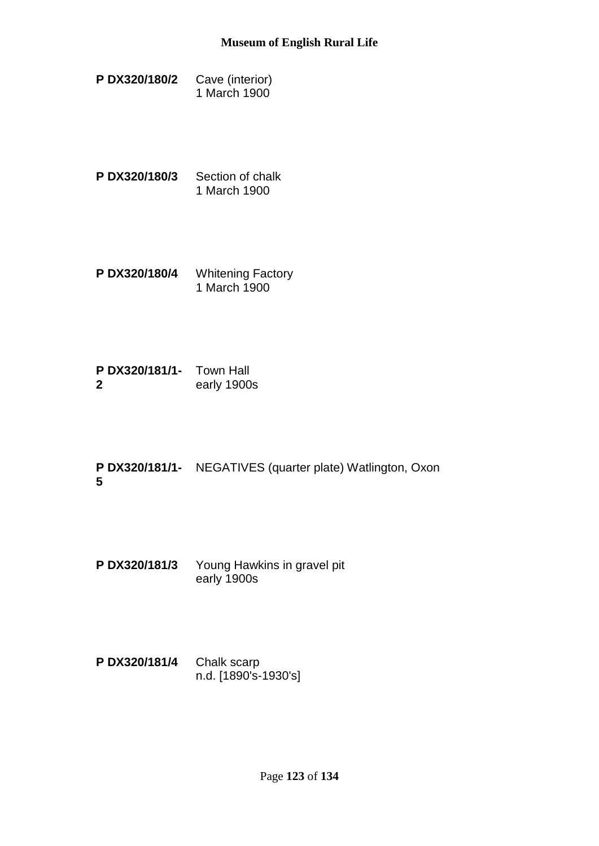- **P DX320/180/2** Cave (interior) 1 March 1900
- **P DX320/180/3** Section of chalk 1 March 1900
- **P DX320/180/4** Whitening Factory 1 March 1900
- **P DX320/181/1-** Town Hall **2** early 1900s
- **P DX320/181/1-** NEGATIVES (quarter plate) Watlington, Oxon **5**
- **P DX320/181/3** Young Hawkins in gravel pit early 1900s
- **P DX320/181/4** Chalk scarp n.d. [1890's-1930's]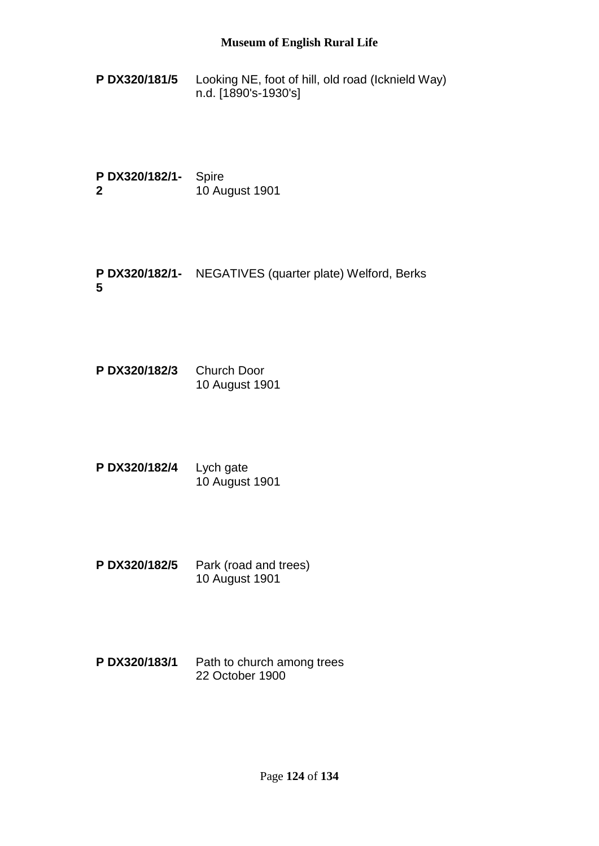- **P DX320/181/5** Looking NE, foot of hill, old road (Icknield Way) n.d. [1890's-1930's]
- **P DX320/182/1-** Spire **2** 10 August 1901
- **P DX320/182/1-** NEGATIVES (quarter plate) Welford, Berks **5**
- **P DX320/182/3** Church Door 10 August 1901
- **P DX320/182/4** Lych gate 10 August 1901
- **P DX320/182/5** Park (road and trees) 10 August 1901
- **P DX320/183/1** Path to church among trees 22 October 1900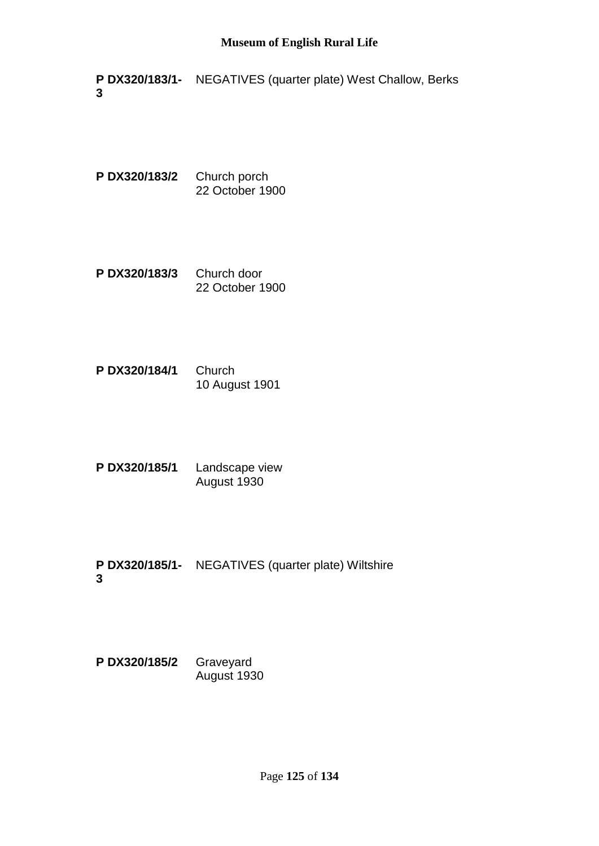**P DX320/183/1-** NEGATIVES (quarter plate) West Challow, Berks **3**

**P DX320/183/2** Church porch 22 October 1900

- **P DX320/183/3** Church door 22 October 1900
- **P DX320/184/1** Church 10 August 1901
- **P DX320/185/1** Landscape view August 1930
- **P DX320/185/1-** NEGATIVES (quarter plate) Wiltshire **3**

**P DX320/185/2** Graveyard August 1930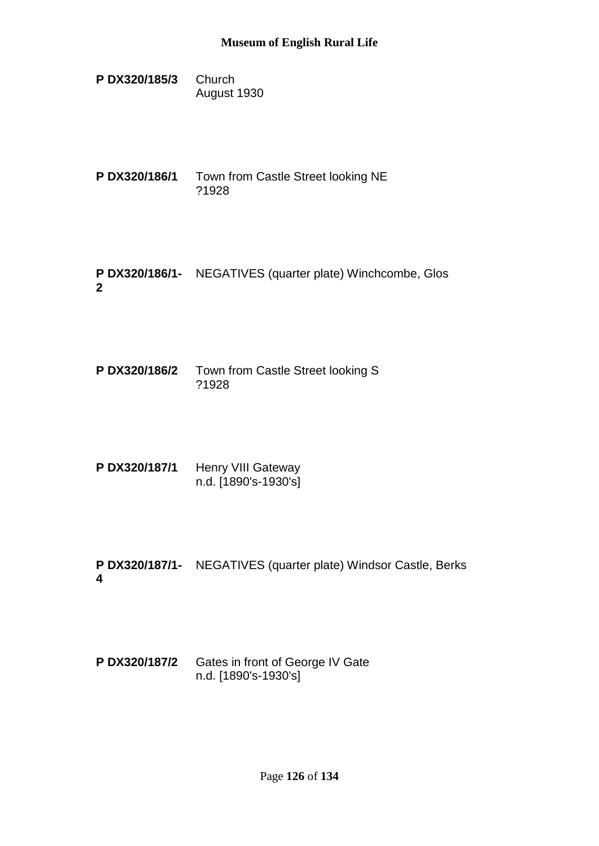- **P DX320/185/3** Church August 1930
- **P DX320/186/1** Town from Castle Street looking NE ?1928
- **P DX320/186/1-** NEGATIVES (quarter plate) Winchcombe, Glos **2**
- **P DX320/186/2** Town from Castle Street looking S ?1928
- P DX320/187/1 Henry VIII Gateway n.d. [1890's-1930's]
- **P DX320/187/1-** NEGATIVES (quarter plate) Windsor Castle, Berks **4**
- **P DX320/187/2** Gates in front of George IV Gate n.d. [1890's-1930's]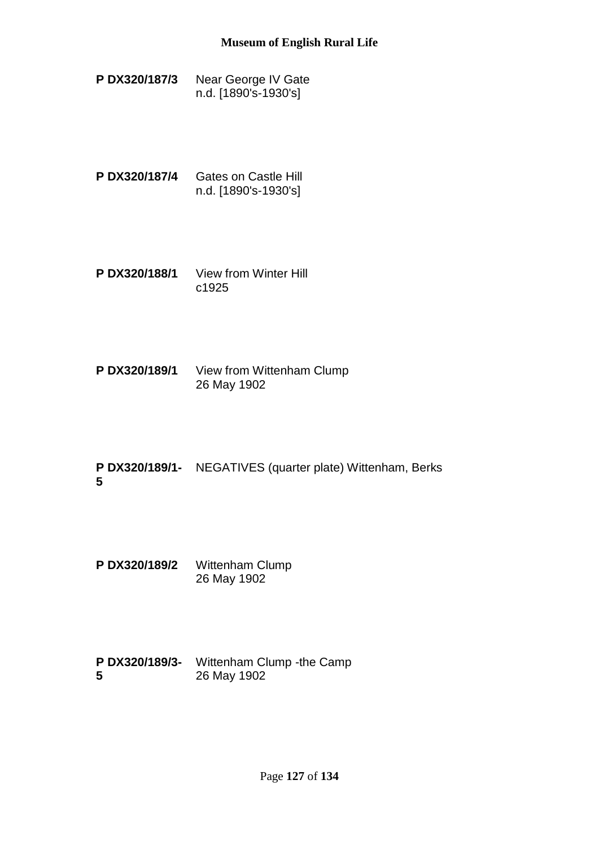- **P DX320/187/3** Near George IV Gate n.d. [1890's-1930's]
- **P DX320/187/4** Gates on Castle Hill n.d. [1890's-1930's]
- **P DX320/188/1** View from Winter Hill c1925
- **P DX320/189/1** View from Wittenham Clump 26 May 1902
- **P DX320/189/1-** NEGATIVES (quarter plate) Wittenham, Berks **5**
- **P DX320/189/2** Wittenham Clump 26 May 1902
- **P DX320/189/3-** Wittenham Clump -the Camp **5** 26 May 1902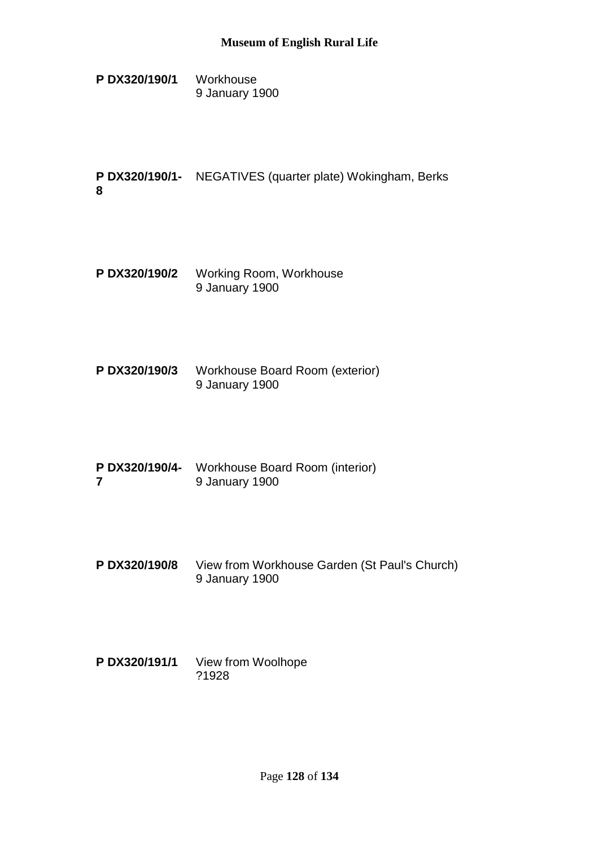**P DX320/190/1** Workhouse 9 January 1900

**P DX320/190/1-** NEGATIVES (quarter plate) Wokingham, Berks **8**

- **P DX320/190/2** Working Room, Workhouse 9 January 1900
- **P DX320/190/3** Workhouse Board Room (exterior) 9 January 1900
- **P DX320/190/4-** Workhouse Board Room (interior) **7** 9 January 1900
- **P DX320/190/8** View from Workhouse Garden (St Paul's Church) 9 January 1900
- **P DX320/191/1** View from Woolhope ?1928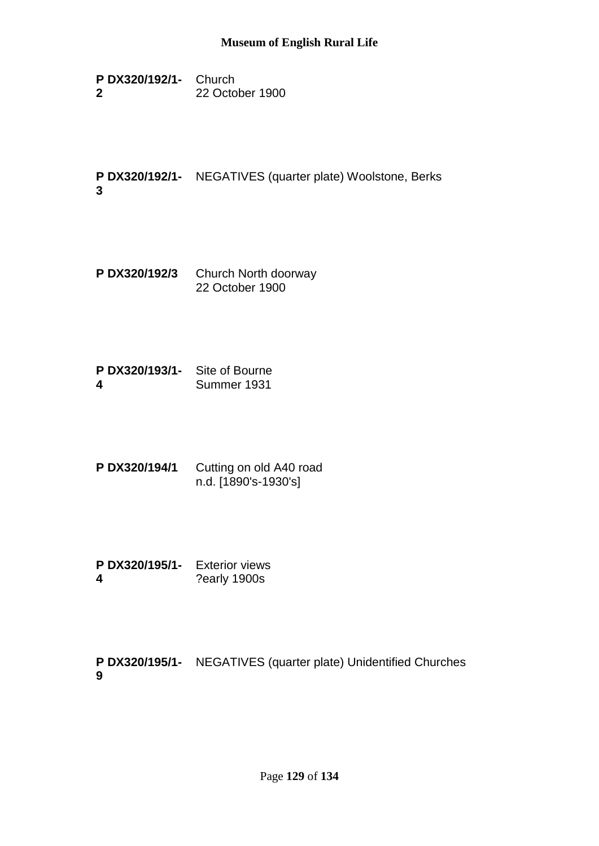**P DX320/192/1-** Church **2** 22 October 1900

**P DX320/192/1-** NEGATIVES (quarter plate) Woolstone, Berks **3**

- **P DX320/192/3** Church North doorway 22 October 1900
- **P DX320/193/1-** Site of Bourne **4** Summer 1931
- **P DX320/194/1** Cutting on old A40 road n.d. [1890's-1930's]
- **P DX320/195/1-** Exterior views **4** ?early 1900s

**P DX320/195/1-** NEGATIVES (quarter plate) Unidentified Churches**9**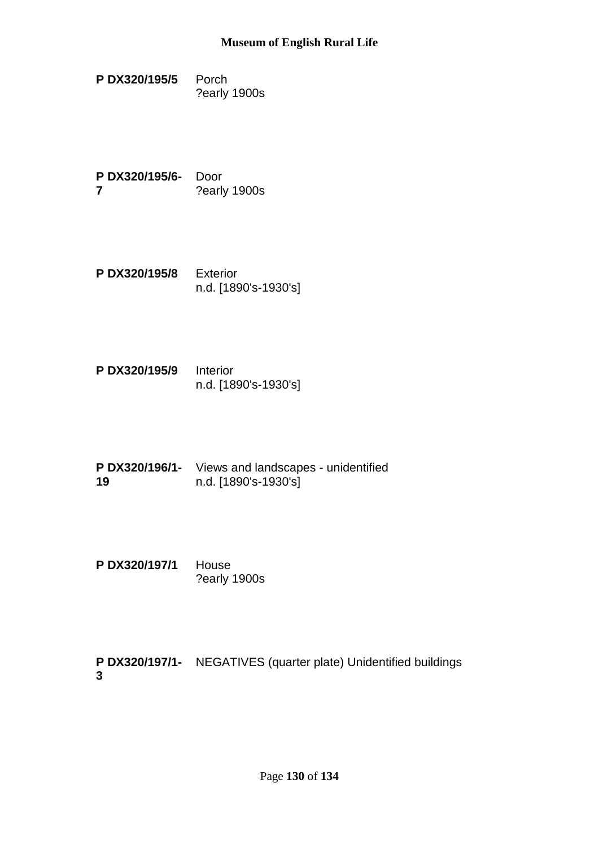**P DX320/195/5** Porch ?early 1900s

**P DX320/195/6-** Door **7** ?early 1900s

- **P DX320/195/8** Exterior n.d. [1890's-1930's]
- **P DX320/195/9** Interior n.d. [1890's-1930's]
- **P DX320/196/1-** Views and landscapes unidentified **19** n.d. [1890's-1930's]
- **P DX320/197/1** House ?early 1900s

**P DX320/197/1-** NEGATIVES (quarter plate) Unidentified buildings**3**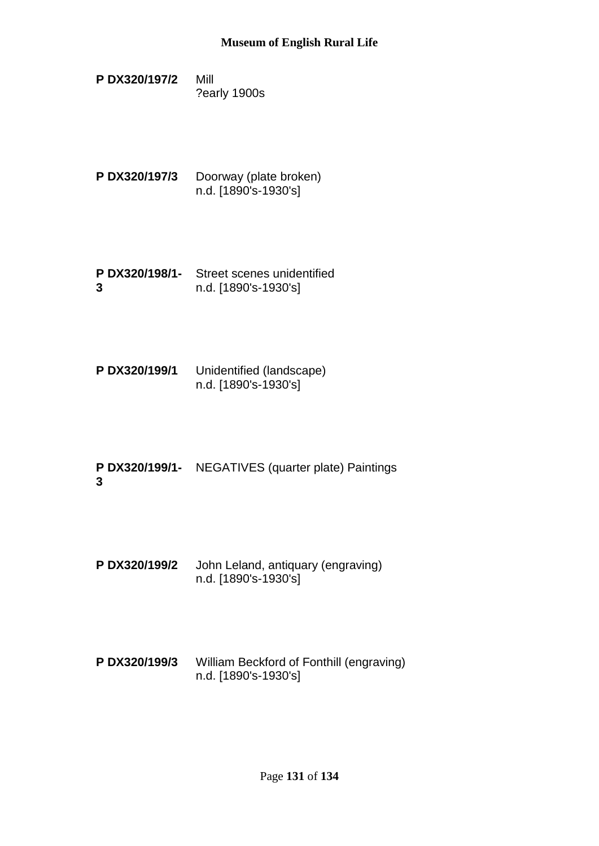- **P DX320/197/2** Mill ?early 1900s
- **P DX320/197/3** Doorway (plate broken) n.d. [1890's-1930's]
- **P DX320/198/1-** Street scenes unidentified **3** n.d. [1890's-1930's]
- **P DX320/199/1** Unidentified (landscape) n.d. [1890's-1930's]
- **P DX320/199/1-** NEGATIVES (quarter plate) Paintings **3**
- **P DX320/199/2** John Leland, antiquary (engraving) n.d. [1890's-1930's]
- **P DX320/199/3** William Beckford of Fonthill (engraving) n.d. [1890's-1930's]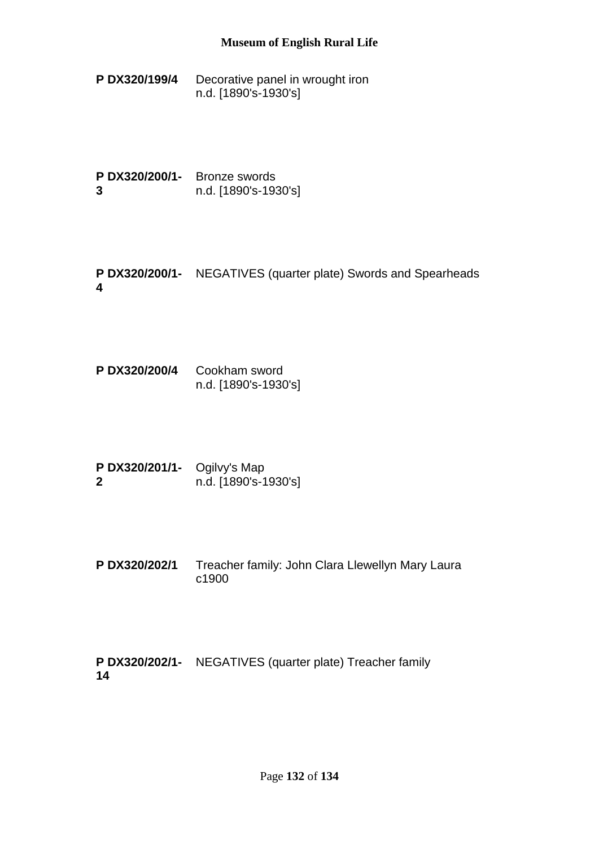**P DX320/199/4** Decorative panel in wrought iron n.d. [1890's-1930's]

**P DX320/200/1-** Bronze swords **3** n.d. [1890's-1930's]

**P DX320/200/1-** NEGATIVES (quarter plate) Swords and Spearheads **4**

**P DX320/200/4** Cookham sword n.d. [1890's-1930's]

**P DX320/201/1-** Ogilvy's Map **2** n.d. [1890's-1930's]

**P DX320/202/1** Treacher family: John Clara Llewellyn Mary Laura c1900

**P DX320/202/1-** NEGATIVES (quarter plate) Treacher family**14**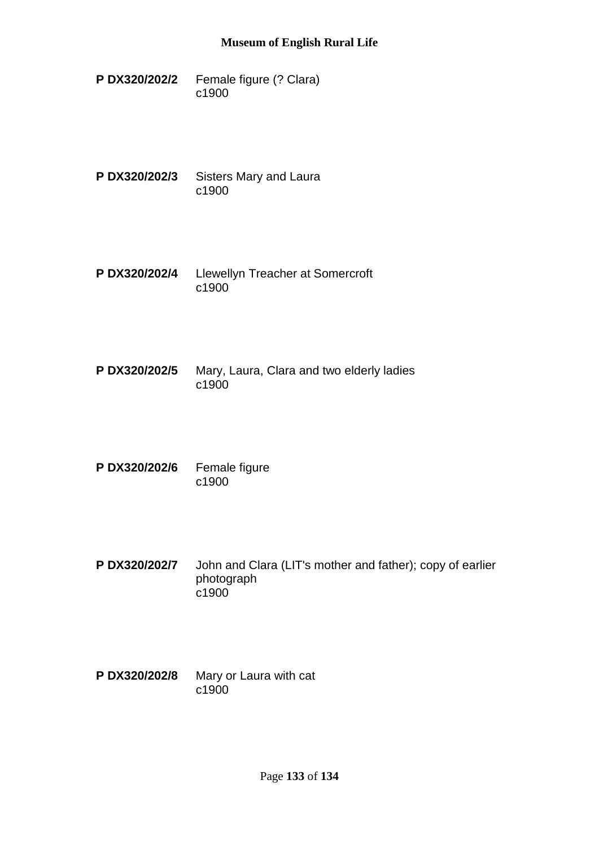- **P DX320/202/2** Female figure (? Clara) c1900
- **P DX320/202/3** Sisters Mary and Laura c1900
- **P DX320/202/4** Llewellyn Treacher at Somercroft c1900
- **P DX320/202/5** Mary, Laura, Clara and two elderly ladies c1900
- **P DX320/202/6** Female figure c1900
- **P DX320/202/7** John and Clara (LIT's mother and father); copy of earlier photograph c1900
- **P DX320/202/8** Mary or Laura with cat c1900